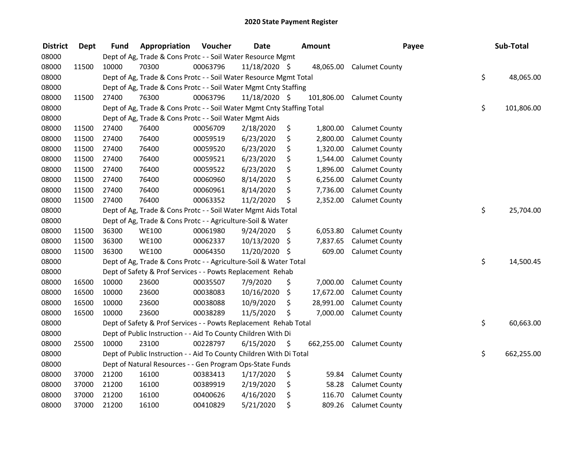| <b>District</b> | Dept  | <b>Fund</b> | Appropriation                                                          | Voucher  | <b>Date</b>   | <b>Amount</b>    | Payee                    | Sub-Total        |
|-----------------|-------|-------------|------------------------------------------------------------------------|----------|---------------|------------------|--------------------------|------------------|
| 08000           |       |             | Dept of Ag, Trade & Cons Protc - - Soil Water Resource Mgmt            |          |               |                  |                          |                  |
| 08000           | 11500 | 10000       | 70300                                                                  | 00063796 | 11/18/2020 \$ |                  | 48,065.00 Calumet County |                  |
| 08000           |       |             | Dept of Ag, Trade & Cons Protc - - Soil Water Resource Mgmt Total      |          |               |                  |                          | \$<br>48,065.00  |
| 08000           |       |             | Dept of Ag, Trade & Cons Protc - - Soil Water Mgmt Cnty Staffing       |          |               |                  |                          |                  |
| 08000           | 11500 | 27400       | 76300                                                                  | 00063796 | 11/18/2020 \$ | 101,806.00       | <b>Calumet County</b>    |                  |
| 08000           |       |             | Dept of Ag, Trade & Cons Protc - - Soil Water Mgmt Cnty Staffing Total |          |               |                  |                          | \$<br>101,806.00 |
| 08000           |       |             | Dept of Ag, Trade & Cons Protc - - Soil Water Mgmt Aids                |          |               |                  |                          |                  |
| 08000           | 11500 | 27400       | 76400                                                                  | 00056709 | 2/18/2020     | \$<br>1,800.00   | <b>Calumet County</b>    |                  |
| 08000           | 11500 | 27400       | 76400                                                                  | 00059519 | 6/23/2020     | \$<br>2,800.00   | <b>Calumet County</b>    |                  |
| 08000           | 11500 | 27400       | 76400                                                                  | 00059520 | 6/23/2020     | \$<br>1,320.00   | <b>Calumet County</b>    |                  |
| 08000           | 11500 | 27400       | 76400                                                                  | 00059521 | 6/23/2020     | \$<br>1,544.00   | Calumet County           |                  |
| 08000           | 11500 | 27400       | 76400                                                                  | 00059522 | 6/23/2020     | \$<br>1,896.00   | <b>Calumet County</b>    |                  |
| 08000           | 11500 | 27400       | 76400                                                                  | 00060960 | 8/14/2020     | \$<br>6,256.00   | <b>Calumet County</b>    |                  |
| 08000           | 11500 | 27400       | 76400                                                                  | 00060961 | 8/14/2020     | \$<br>7,736.00   | <b>Calumet County</b>    |                  |
| 08000           | 11500 | 27400       | 76400                                                                  | 00063352 | 11/2/2020     | \$<br>2,352.00   | <b>Calumet County</b>    |                  |
| 08000           |       |             | Dept of Ag, Trade & Cons Protc - - Soil Water Mgmt Aids Total          |          |               |                  |                          | \$<br>25,704.00  |
| 08000           |       |             | Dept of Ag, Trade & Cons Protc - - Agriculture-Soil & Water            |          |               |                  |                          |                  |
| 08000           | 11500 | 36300       | <b>WE100</b>                                                           | 00061980 | 9/24/2020     | \$<br>6,053.80   | <b>Calumet County</b>    |                  |
| 08000           | 11500 | 36300       | <b>WE100</b>                                                           | 00062337 | 10/13/2020    | \$<br>7,837.65   | <b>Calumet County</b>    |                  |
| 08000           | 11500 | 36300       | <b>WE100</b>                                                           | 00064350 | 11/20/2020 \$ | 609.00           | <b>Calumet County</b>    |                  |
| 08000           |       |             | Dept of Ag, Trade & Cons Protc - - Agriculture-Soil & Water Total      |          |               |                  |                          | \$<br>14,500.45  |
| 08000           |       |             | Dept of Safety & Prof Services - - Powts Replacement Rehab             |          |               |                  |                          |                  |
| 08000           | 16500 | 10000       | 23600                                                                  | 00035507 | 7/9/2020      | \$<br>7,000.00   | <b>Calumet County</b>    |                  |
| 08000           | 16500 | 10000       | 23600                                                                  | 00038083 | 10/16/2020    | \$<br>17,672.00  | <b>Calumet County</b>    |                  |
| 08000           | 16500 | 10000       | 23600                                                                  | 00038088 | 10/9/2020     | \$<br>28,991.00  | <b>Calumet County</b>    |                  |
| 08000           | 16500 | 10000       | 23600                                                                  | 00038289 | 11/5/2020     | \$<br>7,000.00   | <b>Calumet County</b>    |                  |
| 08000           |       |             | Dept of Safety & Prof Services - - Powts Replacement Rehab Total       |          |               |                  |                          | \$<br>60,663.00  |
| 08000           |       |             | Dept of Public Instruction - - Aid To County Children With Di          |          |               |                  |                          |                  |
| 08000           | 25500 | 10000       | 23100                                                                  | 00228797 | 6/15/2020     | \$<br>662,255.00 | <b>Calumet County</b>    |                  |
| 08000           |       |             | Dept of Public Instruction - - Aid To County Children With Di Total    |          |               |                  |                          | \$<br>662,255.00 |
| 08000           |       |             | Dept of Natural Resources - - Gen Program Ops-State Funds              |          |               |                  |                          |                  |
| 08000           | 37000 | 21200       | 16100                                                                  | 00383413 | 1/17/2020     | \$<br>59.84      | <b>Calumet County</b>    |                  |
| 08000           | 37000 | 21200       | 16100                                                                  | 00389919 | 2/19/2020     | \$<br>58.28      | <b>Calumet County</b>    |                  |
| 08000           | 37000 | 21200       | 16100                                                                  | 00400626 | 4/16/2020     | \$<br>116.70     | <b>Calumet County</b>    |                  |
| 08000           | 37000 | 21200       | 16100                                                                  | 00410829 | 5/21/2020     | \$<br>809.26     | <b>Calumet County</b>    |                  |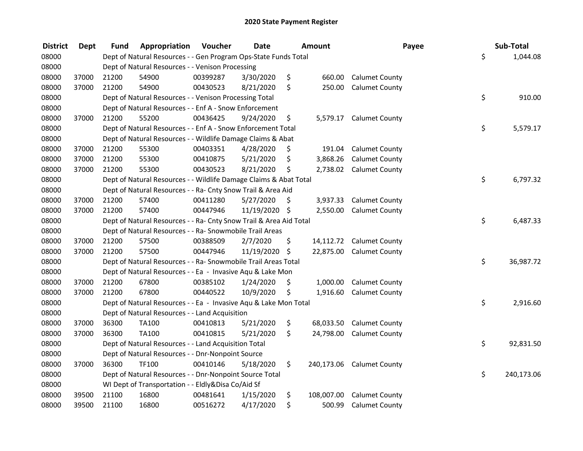| <b>District</b> | <b>Dept</b> | Fund  | Appropriation                                                      | Voucher  | <b>Date</b>   |     | <b>Amount</b> | Payee                     | Sub-Total        |
|-----------------|-------------|-------|--------------------------------------------------------------------|----------|---------------|-----|---------------|---------------------------|------------------|
| 08000           |             |       | Dept of Natural Resources - - Gen Program Ops-State Funds Total    |          |               |     |               |                           | \$<br>1,044.08   |
| 08000           |             |       | Dept of Natural Resources - - Venison Processing                   |          |               |     |               |                           |                  |
| 08000           | 37000       | 21200 | 54900                                                              | 00399287 | 3/30/2020     | \$  | 660.00        | <b>Calumet County</b>     |                  |
| 08000           | 37000       | 21200 | 54900                                                              | 00430523 | 8/21/2020     | \$  | 250.00        | <b>Calumet County</b>     |                  |
| 08000           |             |       | Dept of Natural Resources - - Venison Processing Total             |          |               |     |               |                           | \$<br>910.00     |
| 08000           |             |       | Dept of Natural Resources - - Enf A - Snow Enforcement             |          |               |     |               |                           |                  |
| 08000           | 37000       | 21200 | 55200                                                              | 00436425 | 9/24/2020     | \$  | 5,579.17      | <b>Calumet County</b>     |                  |
| 08000           |             |       | Dept of Natural Resources - - Enf A - Snow Enforcement Total       |          |               |     |               |                           | \$<br>5,579.17   |
| 08000           |             |       | Dept of Natural Resources - - Wildlife Damage Claims & Abat        |          |               |     |               |                           |                  |
| 08000           | 37000       | 21200 | 55300                                                              | 00403351 | 4/28/2020     | \$. | 191.04        | <b>Calumet County</b>     |                  |
| 08000           | 37000       | 21200 | 55300                                                              | 00410875 | 5/21/2020     | \$  | 3,868.26      | <b>Calumet County</b>     |                  |
| 08000           | 37000       | 21200 | 55300                                                              | 00430523 | 8/21/2020     | \$  | 2,738.02      | <b>Calumet County</b>     |                  |
| 08000           |             |       | Dept of Natural Resources - - Wildlife Damage Claims & Abat Total  |          |               |     |               |                           | \$<br>6,797.32   |
| 08000           |             |       | Dept of Natural Resources - - Ra- Cnty Snow Trail & Area Aid       |          |               |     |               |                           |                  |
| 08000           | 37000       | 21200 | 57400                                                              | 00411280 | 5/27/2020     | \$  | 3,937.33      | <b>Calumet County</b>     |                  |
| 08000           | 37000       | 21200 | 57400                                                              | 00447946 | 11/19/2020 \$ |     | 2,550.00      | <b>Calumet County</b>     |                  |
| 08000           |             |       | Dept of Natural Resources - - Ra- Cnty Snow Trail & Area Aid Total |          |               |     |               |                           | \$<br>6,487.33   |
| 08000           |             |       | Dept of Natural Resources - - Ra- Snowmobile Trail Areas           |          |               |     |               |                           |                  |
| 08000           | 37000       | 21200 | 57500                                                              | 00388509 | 2/7/2020      | \$  | 14,112.72     | <b>Calumet County</b>     |                  |
| 08000           | 37000       | 21200 | 57500                                                              | 00447946 | 11/19/2020    | \$  | 22,875.00     | <b>Calumet County</b>     |                  |
| 08000           |             |       | Dept of Natural Resources - - Ra- Snowmobile Trail Areas Total     |          |               |     |               |                           | \$<br>36,987.72  |
| 08000           |             |       | Dept of Natural Resources - - Ea - Invasive Aqu & Lake Mon         |          |               |     |               |                           |                  |
| 08000           | 37000       | 21200 | 67800                                                              | 00385102 | 1/24/2020     | \$  | 1,000.00      | <b>Calumet County</b>     |                  |
| 08000           | 37000       | 21200 | 67800                                                              | 00440522 | 10/9/2020     | \$  | 1,916.60      | <b>Calumet County</b>     |                  |
| 08000           |             |       | Dept of Natural Resources - - Ea - Invasive Aqu & Lake Mon Total   |          |               |     |               |                           | \$<br>2,916.60   |
| 08000           |             |       | Dept of Natural Resources - - Land Acquisition                     |          |               |     |               |                           |                  |
| 08000           | 37000       | 36300 | TA100                                                              | 00410813 | 5/21/2020     | \$  | 68,033.50     | <b>Calumet County</b>     |                  |
| 08000           | 37000       | 36300 | TA100                                                              | 00410815 | 5/21/2020     | \$  | 24,798.00     | <b>Calumet County</b>     |                  |
| 08000           |             |       | Dept of Natural Resources - - Land Acquisition Total               |          |               |     |               |                           | \$<br>92,831.50  |
| 08000           |             |       | Dept of Natural Resources - - Dnr-Nonpoint Source                  |          |               |     |               |                           |                  |
| 08000           | 37000       | 36300 | <b>TF100</b>                                                       | 00410146 | 5/18/2020     | \$  |               | 240,173.06 Calumet County |                  |
| 08000           |             |       | Dept of Natural Resources - - Dnr-Nonpoint Source Total            |          |               |     |               |                           | \$<br>240,173.06 |
| 08000           |             |       | WI Dept of Transportation - - Eldly&Disa Co/Aid Sf                 |          |               |     |               |                           |                  |
| 08000           | 39500       | 21100 | 16800                                                              | 00481641 | 1/15/2020     | \$  | 108,007.00    | <b>Calumet County</b>     |                  |
| 08000           | 39500       | 21100 | 16800                                                              | 00516272 | 4/17/2020     | \$  | 500.99        | <b>Calumet County</b>     |                  |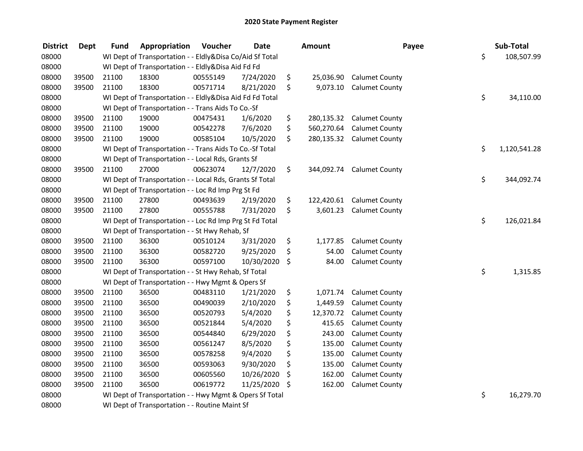| <b>District</b> | <b>Dept</b> | <b>Fund</b> | Appropriation                                            | Voucher  | <b>Date</b> | Amount           | Payee                 | Sub-Total          |
|-----------------|-------------|-------------|----------------------------------------------------------|----------|-------------|------------------|-----------------------|--------------------|
| 08000           |             |             | WI Dept of Transportation - - Eldly&Disa Co/Aid Sf Total |          |             |                  |                       | \$<br>108,507.99   |
| 08000           |             |             | WI Dept of Transportation - - Eldly&Disa Aid Fd Fd       |          |             |                  |                       |                    |
| 08000           | 39500       | 21100       | 18300                                                    | 00555149 | 7/24/2020   | \$<br>25,036.90  | <b>Calumet County</b> |                    |
| 08000           | 39500       | 21100       | 18300                                                    | 00571714 | 8/21/2020   | \$<br>9,073.10   | <b>Calumet County</b> |                    |
| 08000           |             |             | WI Dept of Transportation - - Eldly&Disa Aid Fd Fd Total |          |             |                  |                       | \$<br>34,110.00    |
| 08000           |             |             | WI Dept of Transportation - - Trans Aids To Co.-Sf       |          |             |                  |                       |                    |
| 08000           | 39500       | 21100       | 19000                                                    | 00475431 | 1/6/2020    | \$<br>280,135.32 | <b>Calumet County</b> |                    |
| 08000           | 39500       | 21100       | 19000                                                    | 00542278 | 7/6/2020    | \$<br>560,270.64 | <b>Calumet County</b> |                    |
| 08000           | 39500       | 21100       | 19000                                                    | 00585104 | 10/5/2020   | \$<br>280,135.32 | <b>Calumet County</b> |                    |
| 08000           |             |             | WI Dept of Transportation - - Trans Aids To Co.-Sf Total |          |             |                  |                       | \$<br>1,120,541.28 |
| 08000           |             |             | WI Dept of Transportation - - Local Rds, Grants Sf       |          |             |                  |                       |                    |
| 08000           | 39500       | 21100       | 27000                                                    | 00623074 | 12/7/2020   | \$<br>344,092.74 | <b>Calumet County</b> |                    |
| 08000           |             |             | WI Dept of Transportation - - Local Rds, Grants Sf Total |          |             |                  |                       | \$<br>344,092.74   |
| 08000           |             |             | WI Dept of Transportation - - Loc Rd Imp Prg St Fd       |          |             |                  |                       |                    |
| 08000           | 39500       | 21100       | 27800                                                    | 00493639 | 2/19/2020   | \$<br>122,420.61 | <b>Calumet County</b> |                    |
| 08000           | 39500       | 21100       | 27800                                                    | 00555788 | 7/31/2020   | \$<br>3,601.23   | <b>Calumet County</b> |                    |
| 08000           |             |             | WI Dept of Transportation - - Loc Rd Imp Prg St Fd Total |          |             |                  |                       | \$<br>126,021.84   |
| 08000           |             |             | WI Dept of Transportation - - St Hwy Rehab, Sf           |          |             |                  |                       |                    |
| 08000           | 39500       | 21100       | 36300                                                    | 00510124 | 3/31/2020   | \$<br>1,177.85   | <b>Calumet County</b> |                    |
| 08000           | 39500       | 21100       | 36300                                                    | 00582720 | 9/25/2020   | \$<br>54.00      | <b>Calumet County</b> |                    |
| 08000           | 39500       | 21100       | 36300                                                    | 00597100 | 10/30/2020  | \$<br>84.00      | <b>Calumet County</b> |                    |
| 08000           |             |             | WI Dept of Transportation - - St Hwy Rehab, Sf Total     |          |             |                  |                       | \$<br>1,315.85     |
| 08000           |             |             | WI Dept of Transportation - - Hwy Mgmt & Opers Sf        |          |             |                  |                       |                    |
| 08000           | 39500       | 21100       | 36500                                                    | 00483110 | 1/21/2020   | \$<br>1,071.74   | <b>Calumet County</b> |                    |
| 08000           | 39500       | 21100       | 36500                                                    | 00490039 | 2/10/2020   | \$<br>1,449.59   | <b>Calumet County</b> |                    |
| 08000           | 39500       | 21100       | 36500                                                    | 00520793 | 5/4/2020    | \$<br>12,370.72  | <b>Calumet County</b> |                    |
| 08000           | 39500       | 21100       | 36500                                                    | 00521844 | 5/4/2020    | \$<br>415.65     | <b>Calumet County</b> |                    |
| 08000           | 39500       | 21100       | 36500                                                    | 00544840 | 6/29/2020   | \$<br>243.00     | <b>Calumet County</b> |                    |
| 08000           | 39500       | 21100       | 36500                                                    | 00561247 | 8/5/2020    | \$<br>135.00     | <b>Calumet County</b> |                    |
| 08000           | 39500       | 21100       | 36500                                                    | 00578258 | 9/4/2020    | \$<br>135.00     | <b>Calumet County</b> |                    |
| 08000           | 39500       | 21100       | 36500                                                    | 00593063 | 9/30/2020   | \$<br>135.00     | <b>Calumet County</b> |                    |
| 08000           | 39500       | 21100       | 36500                                                    | 00605560 | 10/26/2020  | \$<br>162.00     | <b>Calumet County</b> |                    |
| 08000           | 39500       | 21100       | 36500                                                    | 00619772 | 11/25/2020  | \$<br>162.00     | <b>Calumet County</b> |                    |
| 08000           |             |             | WI Dept of Transportation - - Hwy Mgmt & Opers Sf Total  |          |             |                  |                       | \$<br>16,279.70    |
| 08000           |             |             | WI Dept of Transportation - - Routine Maint Sf           |          |             |                  |                       |                    |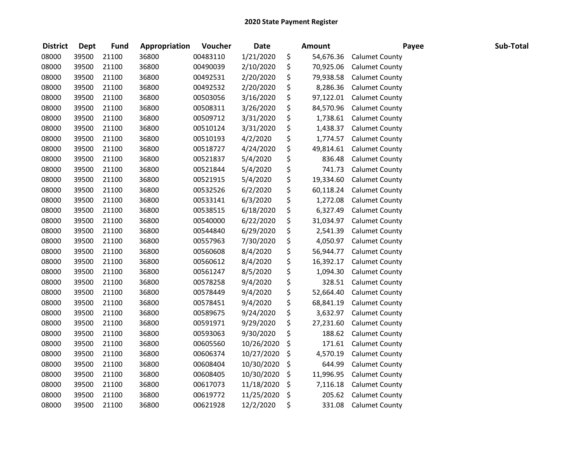| <b>District</b> | <b>Dept</b> | <b>Fund</b> | Appropriation | Voucher  | <b>Date</b> | <b>Amount</b>   | Payee                 | Sub-Total |
|-----------------|-------------|-------------|---------------|----------|-------------|-----------------|-----------------------|-----------|
| 08000           | 39500       | 21100       | 36800         | 00483110 | 1/21/2020   | \$<br>54,676.36 | <b>Calumet County</b> |           |
| 08000           | 39500       | 21100       | 36800         | 00490039 | 2/10/2020   | \$<br>70,925.06 | <b>Calumet County</b> |           |
| 08000           | 39500       | 21100       | 36800         | 00492531 | 2/20/2020   | \$<br>79,938.58 | <b>Calumet County</b> |           |
| 08000           | 39500       | 21100       | 36800         | 00492532 | 2/20/2020   | \$<br>8,286.36  | <b>Calumet County</b> |           |
| 08000           | 39500       | 21100       | 36800         | 00503056 | 3/16/2020   | \$<br>97,122.01 | <b>Calumet County</b> |           |
| 08000           | 39500       | 21100       | 36800         | 00508311 | 3/26/2020   | \$<br>84,570.96 | <b>Calumet County</b> |           |
| 08000           | 39500       | 21100       | 36800         | 00509712 | 3/31/2020   | \$<br>1,738.61  | <b>Calumet County</b> |           |
| 08000           | 39500       | 21100       | 36800         | 00510124 | 3/31/2020   | \$<br>1,438.37  | <b>Calumet County</b> |           |
| 08000           | 39500       | 21100       | 36800         | 00510193 | 4/2/2020    | \$<br>1,774.57  | <b>Calumet County</b> |           |
| 08000           | 39500       | 21100       | 36800         | 00518727 | 4/24/2020   | \$<br>49,814.61 | <b>Calumet County</b> |           |
| 08000           | 39500       | 21100       | 36800         | 00521837 | 5/4/2020    | \$<br>836.48    | <b>Calumet County</b> |           |
| 08000           | 39500       | 21100       | 36800         | 00521844 | 5/4/2020    | \$<br>741.73    | <b>Calumet County</b> |           |
| 08000           | 39500       | 21100       | 36800         | 00521915 | 5/4/2020    | \$<br>19,334.60 | <b>Calumet County</b> |           |
| 08000           | 39500       | 21100       | 36800         | 00532526 | 6/2/2020    | \$<br>60,118.24 | <b>Calumet County</b> |           |
| 08000           | 39500       | 21100       | 36800         | 00533141 | 6/3/2020    | \$<br>1,272.08  | <b>Calumet County</b> |           |
| 08000           | 39500       | 21100       | 36800         | 00538515 | 6/18/2020   | \$<br>6,327.49  | <b>Calumet County</b> |           |
| 08000           | 39500       | 21100       | 36800         | 00540000 | 6/22/2020   | \$<br>31,034.97 | <b>Calumet County</b> |           |
| 08000           | 39500       | 21100       | 36800         | 00544840 | 6/29/2020   | \$<br>2,541.39  | <b>Calumet County</b> |           |
| 08000           | 39500       | 21100       | 36800         | 00557963 | 7/30/2020   | \$<br>4,050.97  | <b>Calumet County</b> |           |
| 08000           | 39500       | 21100       | 36800         | 00560608 | 8/4/2020    | \$<br>56,944.77 | <b>Calumet County</b> |           |
| 08000           | 39500       | 21100       | 36800         | 00560612 | 8/4/2020    | \$<br>16,392.17 | <b>Calumet County</b> |           |
| 08000           | 39500       | 21100       | 36800         | 00561247 | 8/5/2020    | \$<br>1,094.30  | <b>Calumet County</b> |           |
| 08000           | 39500       | 21100       | 36800         | 00578258 | 9/4/2020    | \$<br>328.51    | <b>Calumet County</b> |           |
| 08000           | 39500       | 21100       | 36800         | 00578449 | 9/4/2020    | \$<br>52,664.40 | <b>Calumet County</b> |           |
| 08000           | 39500       | 21100       | 36800         | 00578451 | 9/4/2020    | \$<br>68,841.19 | <b>Calumet County</b> |           |
| 08000           | 39500       | 21100       | 36800         | 00589675 | 9/24/2020   | \$<br>3,632.97  | <b>Calumet County</b> |           |
| 08000           | 39500       | 21100       | 36800         | 00591971 | 9/29/2020   | \$<br>27,231.60 | <b>Calumet County</b> |           |
| 08000           | 39500       | 21100       | 36800         | 00593063 | 9/30/2020   | \$<br>188.62    | <b>Calumet County</b> |           |
| 08000           | 39500       | 21100       | 36800         | 00605560 | 10/26/2020  | \$<br>171.61    | <b>Calumet County</b> |           |
| 08000           | 39500       | 21100       | 36800         | 00606374 | 10/27/2020  | \$<br>4,570.19  | <b>Calumet County</b> |           |
| 08000           | 39500       | 21100       | 36800         | 00608404 | 10/30/2020  | \$<br>644.99    | <b>Calumet County</b> |           |
| 08000           | 39500       | 21100       | 36800         | 00608405 | 10/30/2020  | \$<br>11,996.95 | <b>Calumet County</b> |           |
| 08000           | 39500       | 21100       | 36800         | 00617073 | 11/18/2020  | \$<br>7,116.18  | <b>Calumet County</b> |           |
| 08000           | 39500       | 21100       | 36800         | 00619772 | 11/25/2020  | \$<br>205.62    | <b>Calumet County</b> |           |
| 08000           | 39500       | 21100       | 36800         | 00621928 | 12/2/2020   | \$<br>331.08    | <b>Calumet County</b> |           |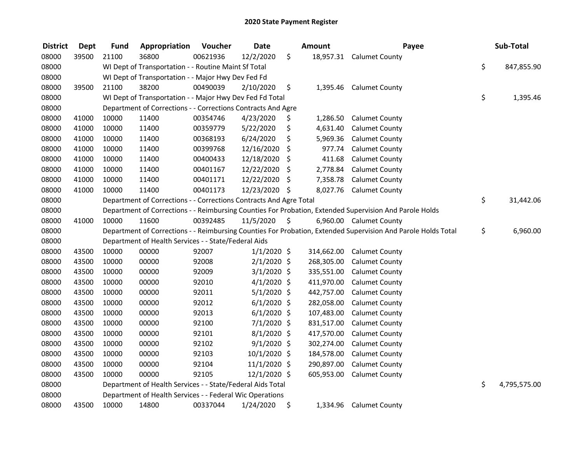| <b>District</b> | <b>Dept</b> | <b>Fund</b> | Appropriation                                                      | Voucher  | <b>Date</b>   |     | <b>Amount</b> | Payee                                                                                                         | Sub-Total          |
|-----------------|-------------|-------------|--------------------------------------------------------------------|----------|---------------|-----|---------------|---------------------------------------------------------------------------------------------------------------|--------------------|
| 08000           | 39500       | 21100       | 36800                                                              | 00621936 | 12/2/2020     | \$  | 18,957.31     | <b>Calumet County</b>                                                                                         |                    |
| 08000           |             |             | WI Dept of Transportation - - Routine Maint Sf Total               |          |               |     |               |                                                                                                               | \$<br>847,855.90   |
| 08000           |             |             | WI Dept of Transportation - - Major Hwy Dev Fed Fd                 |          |               |     |               |                                                                                                               |                    |
| 08000           | 39500       | 21100       | 38200                                                              | 00490039 | 2/10/2020     | \$  | 1,395.46      | <b>Calumet County</b>                                                                                         |                    |
| 08000           |             |             | WI Dept of Transportation - - Major Hwy Dev Fed Fd Total           |          |               |     |               |                                                                                                               | \$<br>1,395.46     |
| 08000           |             |             | Department of Corrections - - Corrections Contracts And Agre       |          |               |     |               |                                                                                                               |                    |
| 08000           | 41000       | 10000       | 11400                                                              | 00354746 | 4/23/2020     | \$  | 1,286.50      | <b>Calumet County</b>                                                                                         |                    |
| 08000           | 41000       | 10000       | 11400                                                              | 00359779 | 5/22/2020     | \$  | 4,631.40      | <b>Calumet County</b>                                                                                         |                    |
| 08000           | 41000       | 10000       | 11400                                                              | 00368193 | 6/24/2020     | \$  | 5,969.36      | <b>Calumet County</b>                                                                                         |                    |
| 08000           | 41000       | 10000       | 11400                                                              | 00399768 | 12/16/2020    | \$  | 977.74        | <b>Calumet County</b>                                                                                         |                    |
| 08000           | 41000       | 10000       | 11400                                                              | 00400433 | 12/18/2020    | \$  | 411.68        | <b>Calumet County</b>                                                                                         |                    |
| 08000           | 41000       | 10000       | 11400                                                              | 00401167 | 12/22/2020    | \$  | 2,778.84      | <b>Calumet County</b>                                                                                         |                    |
| 08000           | 41000       | 10000       | 11400                                                              | 00401171 | 12/22/2020    | \$  | 7,358.78      | <b>Calumet County</b>                                                                                         |                    |
| 08000           | 41000       | 10000       | 11400                                                              | 00401173 | 12/23/2020    | -\$ | 8,027.76      | <b>Calumet County</b>                                                                                         |                    |
| 08000           |             |             | Department of Corrections - - Corrections Contracts And Agre Total |          |               |     |               |                                                                                                               | \$<br>31,442.06    |
| 08000           |             |             |                                                                    |          |               |     |               | Department of Corrections - - Reimbursing Counties For Probation, Extended Supervision And Parole Holds       |                    |
| 08000           | 41000       | 10000       | 11600                                                              | 00392485 | 11/5/2020     | \$  |               | 6,960.00 Calumet County                                                                                       |                    |
| 08000           |             |             |                                                                    |          |               |     |               | Department of Corrections - - Reimbursing Counties For Probation, Extended Supervision And Parole Holds Total | \$<br>6,960.00     |
| 08000           |             |             | Department of Health Services - - State/Federal Aids               |          |               |     |               |                                                                                                               |                    |
| 08000           | 43500       | 10000       | 00000                                                              | 92007    | $1/1/2020$ \$ |     | 314,662.00    | <b>Calumet County</b>                                                                                         |                    |
| 08000           | 43500       | 10000       | 00000                                                              | 92008    | $2/1/2020$ \$ |     | 268,305.00    | <b>Calumet County</b>                                                                                         |                    |
| 08000           | 43500       | 10000       | 00000                                                              | 92009    | $3/1/2020$ \$ |     | 335,551.00    | <b>Calumet County</b>                                                                                         |                    |
| 08000           | 43500       | 10000       | 00000                                                              | 92010    | $4/1/2020$ \$ |     | 411,970.00    | <b>Calumet County</b>                                                                                         |                    |
| 08000           | 43500       | 10000       | 00000                                                              | 92011    | $5/1/2020$ \$ |     | 442,757.00    | <b>Calumet County</b>                                                                                         |                    |
| 08000           | 43500       | 10000       | 00000                                                              | 92012    | $6/1/2020$ \$ |     | 282,058.00    | <b>Calumet County</b>                                                                                         |                    |
| 08000           | 43500       | 10000       | 00000                                                              | 92013    | $6/1/2020$ \$ |     | 107,483.00    | <b>Calumet County</b>                                                                                         |                    |
| 08000           | 43500       | 10000       | 00000                                                              | 92100    | $7/1/2020$ \$ |     | 831,517.00    | <b>Calumet County</b>                                                                                         |                    |
| 08000           | 43500       | 10000       | 00000                                                              | 92101    | $8/1/2020$ \$ |     | 417,570.00    | <b>Calumet County</b>                                                                                         |                    |
| 08000           | 43500       | 10000       | 00000                                                              | 92102    | $9/1/2020$ \$ |     | 302,274.00    | <b>Calumet County</b>                                                                                         |                    |
| 08000           | 43500       | 10000       | 00000                                                              | 92103    | 10/1/2020 \$  |     | 184,578.00    | <b>Calumet County</b>                                                                                         |                    |
| 08000           | 43500       | 10000       | 00000                                                              | 92104    | 11/1/2020 \$  |     | 290,897.00    | <b>Calumet County</b>                                                                                         |                    |
| 08000           | 43500       | 10000       | 00000                                                              | 92105    | 12/1/2020 \$  |     | 605,953.00    | <b>Calumet County</b>                                                                                         |                    |
| 08000           |             |             | Department of Health Services - - State/Federal Aids Total         |          |               |     |               |                                                                                                               | \$<br>4,795,575.00 |
| 08000           |             |             | Department of Health Services - - Federal Wic Operations           |          |               |     |               |                                                                                                               |                    |
| 08000           | 43500       | 10000       | 14800                                                              | 00337044 | 1/24/2020     | \$  | 1,334.96      | <b>Calumet County</b>                                                                                         |                    |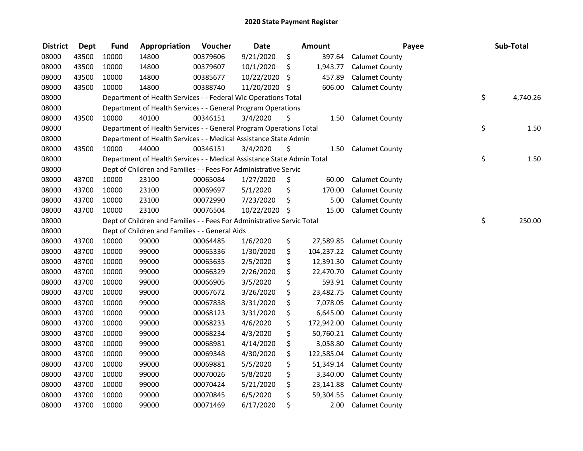| <b>District</b> | <b>Dept</b> | <b>Fund</b> | Appropriation                                                          | Voucher  | <b>Date</b>   | <b>Amount</b>    | Payee                 | Sub-Total      |
|-----------------|-------------|-------------|------------------------------------------------------------------------|----------|---------------|------------------|-----------------------|----------------|
| 08000           | 43500       | 10000       | 14800                                                                  | 00379606 | 9/21/2020     | \$<br>397.64     | <b>Calumet County</b> |                |
| 08000           | 43500       | 10000       | 14800                                                                  | 00379607 | 10/1/2020     | \$<br>1,943.77   | <b>Calumet County</b> |                |
| 08000           | 43500       | 10000       | 14800                                                                  | 00385677 | 10/22/2020    | \$<br>457.89     | <b>Calumet County</b> |                |
| 08000           | 43500       | 10000       | 14800                                                                  | 00388740 | 11/20/2020 \$ | 606.00           | <b>Calumet County</b> |                |
| 08000           |             |             | Department of Health Services - - Federal Wic Operations Total         |          |               |                  |                       | \$<br>4,740.26 |
| 08000           |             |             | Department of Health Services - - General Program Operations           |          |               |                  |                       |                |
| 08000           | 43500       | 10000       | 40100                                                                  | 00346151 | 3/4/2020      | \$<br>1.50       | <b>Calumet County</b> |                |
| 08000           |             |             | Department of Health Services - - General Program Operations Total     |          |               |                  |                       | \$<br>1.50     |
| 08000           |             |             | Department of Health Services - - Medical Assistance State Admin       |          |               |                  |                       |                |
| 08000           | 43500       | 10000       | 44000                                                                  | 00346151 | 3/4/2020      | \$<br>1.50       | <b>Calumet County</b> |                |
| 08000           |             |             | Department of Health Services - - Medical Assistance State Admin Total |          |               |                  |                       | \$<br>1.50     |
| 08000           |             |             | Dept of Children and Families - - Fees For Administrative Servic       |          |               |                  |                       |                |
| 08000           | 43700       | 10000       | 23100                                                                  | 00065084 | 1/27/2020     | \$<br>60.00      | <b>Calumet County</b> |                |
| 08000           | 43700       | 10000       | 23100                                                                  | 00069697 | 5/1/2020      | \$<br>170.00     | <b>Calumet County</b> |                |
| 08000           | 43700       | 10000       | 23100                                                                  | 00072990 | 7/23/2020     | \$<br>5.00       | <b>Calumet County</b> |                |
| 08000           | 43700       | 10000       | 23100                                                                  | 00076504 | 10/22/2020    | \$<br>15.00      | <b>Calumet County</b> |                |
| 08000           |             |             | Dept of Children and Families - - Fees For Administrative Servic Total |          |               |                  |                       | \$<br>250.00   |
| 08000           |             |             | Dept of Children and Families - - General Aids                         |          |               |                  |                       |                |
| 08000           | 43700       | 10000       | 99000                                                                  | 00064485 | 1/6/2020      | \$<br>27,589.85  | <b>Calumet County</b> |                |
| 08000           | 43700       | 10000       | 99000                                                                  | 00065336 | 1/30/2020     | \$<br>104,237.22 | <b>Calumet County</b> |                |
| 08000           | 43700       | 10000       | 99000                                                                  | 00065635 | 2/5/2020      | \$<br>12,391.30  | <b>Calumet County</b> |                |
| 08000           | 43700       | 10000       | 99000                                                                  | 00066329 | 2/26/2020     | \$<br>22,470.70  | <b>Calumet County</b> |                |
| 08000           | 43700       | 10000       | 99000                                                                  | 00066905 | 3/5/2020      | \$<br>593.91     | <b>Calumet County</b> |                |
| 08000           | 43700       | 10000       | 99000                                                                  | 00067672 | 3/26/2020     | \$<br>23,482.75  | <b>Calumet County</b> |                |
| 08000           | 43700       | 10000       | 99000                                                                  | 00067838 | 3/31/2020     | \$<br>7,078.05   | <b>Calumet County</b> |                |
| 08000           | 43700       | 10000       | 99000                                                                  | 00068123 | 3/31/2020     | \$<br>6,645.00   | <b>Calumet County</b> |                |
| 08000           | 43700       | 10000       | 99000                                                                  | 00068233 | 4/6/2020      | \$<br>172,942.00 | <b>Calumet County</b> |                |
| 08000           | 43700       | 10000       | 99000                                                                  | 00068234 | 4/3/2020      | \$<br>50,760.21  | <b>Calumet County</b> |                |
| 08000           | 43700       | 10000       | 99000                                                                  | 00068981 | 4/14/2020     | \$<br>3,058.80   | <b>Calumet County</b> |                |
| 08000           | 43700       | 10000       | 99000                                                                  | 00069348 | 4/30/2020     | \$<br>122,585.04 | <b>Calumet County</b> |                |
| 08000           | 43700       | 10000       | 99000                                                                  | 00069881 | 5/5/2020      | \$<br>51,349.14  | <b>Calumet County</b> |                |
| 08000           | 43700       | 10000       | 99000                                                                  | 00070026 | 5/8/2020      | \$<br>3,340.00   | <b>Calumet County</b> |                |
| 08000           | 43700       | 10000       | 99000                                                                  | 00070424 | 5/21/2020     | \$<br>23,141.88  | <b>Calumet County</b> |                |
| 08000           | 43700       | 10000       | 99000                                                                  | 00070845 | 6/5/2020      | \$<br>59,304.55  | <b>Calumet County</b> |                |
| 08000           | 43700       | 10000       | 99000                                                                  | 00071469 | 6/17/2020     | \$<br>2.00       | <b>Calumet County</b> |                |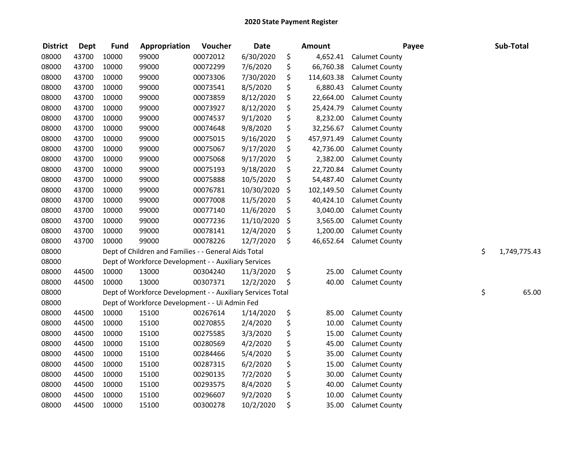| <b>District</b> | <b>Dept</b> | <b>Fund</b> | Appropriation                                              | Voucher  | <b>Date</b> | <b>Amount</b>    | Payee                 | Sub-Total          |
|-----------------|-------------|-------------|------------------------------------------------------------|----------|-------------|------------------|-----------------------|--------------------|
| 08000           | 43700       | 10000       | 99000                                                      | 00072012 | 6/30/2020   | \$<br>4,652.41   | <b>Calumet County</b> |                    |
| 08000           | 43700       | 10000       | 99000                                                      | 00072299 | 7/6/2020    | \$<br>66,760.38  | <b>Calumet County</b> |                    |
| 08000           | 43700       | 10000       | 99000                                                      | 00073306 | 7/30/2020   | \$<br>114,603.38 | <b>Calumet County</b> |                    |
| 08000           | 43700       | 10000       | 99000                                                      | 00073541 | 8/5/2020    | \$<br>6,880.43   | <b>Calumet County</b> |                    |
| 08000           | 43700       | 10000       | 99000                                                      | 00073859 | 8/12/2020   | \$<br>22,664.00  | <b>Calumet County</b> |                    |
| 08000           | 43700       | 10000       | 99000                                                      | 00073927 | 8/12/2020   | \$<br>25,424.79  | <b>Calumet County</b> |                    |
| 08000           | 43700       | 10000       | 99000                                                      | 00074537 | 9/1/2020    | \$<br>8,232.00   | <b>Calumet County</b> |                    |
| 08000           | 43700       | 10000       | 99000                                                      | 00074648 | 9/8/2020    | \$<br>32,256.67  | <b>Calumet County</b> |                    |
| 08000           | 43700       | 10000       | 99000                                                      | 00075015 | 9/16/2020   | \$<br>457,971.49 | <b>Calumet County</b> |                    |
| 08000           | 43700       | 10000       | 99000                                                      | 00075067 | 9/17/2020   | \$<br>42,736.00  | <b>Calumet County</b> |                    |
| 08000           | 43700       | 10000       | 99000                                                      | 00075068 | 9/17/2020   | \$<br>2,382.00   | <b>Calumet County</b> |                    |
| 08000           | 43700       | 10000       | 99000                                                      | 00075193 | 9/18/2020   | \$<br>22,720.84  | <b>Calumet County</b> |                    |
| 08000           | 43700       | 10000       | 99000                                                      | 00075888 | 10/5/2020   | \$<br>54,487.40  | <b>Calumet County</b> |                    |
| 08000           | 43700       | 10000       | 99000                                                      | 00076781 | 10/30/2020  | \$<br>102,149.50 | <b>Calumet County</b> |                    |
| 08000           | 43700       | 10000       | 99000                                                      | 00077008 | 11/5/2020   | \$<br>40,424.10  | <b>Calumet County</b> |                    |
| 08000           | 43700       | 10000       | 99000                                                      | 00077140 | 11/6/2020   | \$<br>3,040.00   | <b>Calumet County</b> |                    |
| 08000           | 43700       | 10000       | 99000                                                      | 00077236 | 11/10/2020  | \$<br>3,565.00   | <b>Calumet County</b> |                    |
| 08000           | 43700       | 10000       | 99000                                                      | 00078141 | 12/4/2020   | \$<br>1,200.00   | <b>Calumet County</b> |                    |
| 08000           | 43700       | 10000       | 99000                                                      | 00078226 | 12/7/2020   | \$<br>46,652.64  | <b>Calumet County</b> |                    |
| 08000           |             |             | Dept of Children and Families - - General Aids Total       |          |             |                  |                       | \$<br>1,749,775.43 |
| 08000           |             |             | Dept of Workforce Development - - Auxiliary Services       |          |             |                  |                       |                    |
| 08000           | 44500       | 10000       | 13000                                                      | 00304240 | 11/3/2020   | \$<br>25.00      | <b>Calumet County</b> |                    |
| 08000           | 44500       | 10000       | 13000                                                      | 00307371 | 12/2/2020   | \$<br>40.00      | <b>Calumet County</b> |                    |
| 08000           |             |             | Dept of Workforce Development - - Auxiliary Services Total |          |             |                  |                       | \$<br>65.00        |
| 08000           |             |             | Dept of Workforce Development - - Ui Admin Fed             |          |             |                  |                       |                    |
| 08000           | 44500       | 10000       | 15100                                                      | 00267614 | 1/14/2020   | \$<br>85.00      | <b>Calumet County</b> |                    |
| 08000           | 44500       | 10000       | 15100                                                      | 00270855 | 2/4/2020    | \$<br>10.00      | <b>Calumet County</b> |                    |
| 08000           | 44500       | 10000       | 15100                                                      | 00275585 | 3/3/2020    | \$<br>15.00      | <b>Calumet County</b> |                    |
| 08000           | 44500       | 10000       | 15100                                                      | 00280569 | 4/2/2020    | \$<br>45.00      | <b>Calumet County</b> |                    |
| 08000           | 44500       | 10000       | 15100                                                      | 00284466 | 5/4/2020    | \$<br>35.00      | <b>Calumet County</b> |                    |
| 08000           | 44500       | 10000       | 15100                                                      | 00287315 | 6/2/2020    | \$<br>15.00      | <b>Calumet County</b> |                    |
| 08000           | 44500       | 10000       | 15100                                                      | 00290135 | 7/2/2020    | \$<br>30.00      | <b>Calumet County</b> |                    |
| 08000           | 44500       | 10000       | 15100                                                      | 00293575 | 8/4/2020    | \$<br>40.00      | <b>Calumet County</b> |                    |
| 08000           | 44500       | 10000       | 15100                                                      | 00296607 | 9/2/2020    | \$<br>10.00      | <b>Calumet County</b> |                    |
| 08000           | 44500       | 10000       | 15100                                                      | 00300278 | 10/2/2020   | \$<br>35.00      | <b>Calumet County</b> |                    |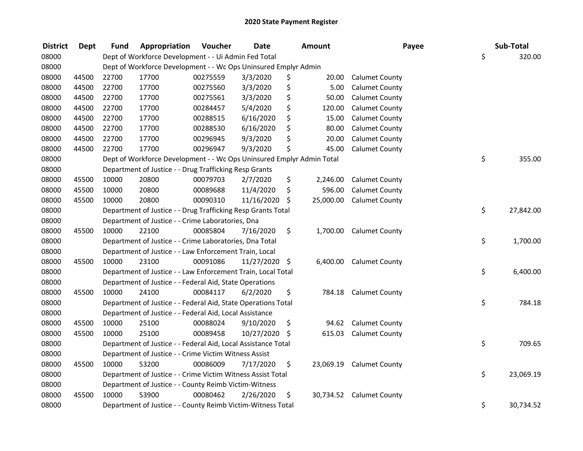| <b>District</b> | <b>Dept</b> | <b>Fund</b> | Appropriation                                                         | Voucher  | <b>Date</b>   |     | Amount    | Payee                    | Sub-Total       |
|-----------------|-------------|-------------|-----------------------------------------------------------------------|----------|---------------|-----|-----------|--------------------------|-----------------|
| 08000           |             |             | Dept of Workforce Development - - Ui Admin Fed Total                  |          |               |     |           |                          | \$<br>320.00    |
| 08000           |             |             | Dept of Workforce Development - - Wc Ops Uninsured Emplyr Admin       |          |               |     |           |                          |                 |
| 08000           | 44500       | 22700       | 17700                                                                 | 00275559 | 3/3/2020      | \$  | 20.00     | <b>Calumet County</b>    |                 |
| 08000           | 44500       | 22700       | 17700                                                                 | 00275560 | 3/3/2020      | \$  | 5.00      | <b>Calumet County</b>    |                 |
| 08000           | 44500       | 22700       | 17700                                                                 | 00275561 | 3/3/2020      | \$  | 50.00     | <b>Calumet County</b>    |                 |
| 08000           | 44500       | 22700       | 17700                                                                 | 00284457 | 5/4/2020      | \$  | 120.00    | <b>Calumet County</b>    |                 |
| 08000           | 44500       | 22700       | 17700                                                                 | 00288515 | 6/16/2020     | \$  | 15.00     | <b>Calumet County</b>    |                 |
| 08000           | 44500       | 22700       | 17700                                                                 | 00288530 | 6/16/2020     | \$  | 80.00     | <b>Calumet County</b>    |                 |
| 08000           | 44500       | 22700       | 17700                                                                 | 00296945 | 9/3/2020      | \$  | 20.00     | <b>Calumet County</b>    |                 |
| 08000           | 44500       | 22700       | 17700                                                                 | 00296947 | 9/3/2020      | \$  | 45.00     | <b>Calumet County</b>    |                 |
| 08000           |             |             | Dept of Workforce Development - - Wc Ops Uninsured Emplyr Admin Total |          |               |     |           |                          | \$<br>355.00    |
| 08000           |             |             | Department of Justice - - Drug Trafficking Resp Grants                |          |               |     |           |                          |                 |
| 08000           | 45500       | 10000       | 20800                                                                 | 00079703 | 2/7/2020      | \$  | 2,246.00  | <b>Calumet County</b>    |                 |
| 08000           | 45500       | 10000       | 20800                                                                 | 00089688 | 11/4/2020     | \$  | 596.00    | <b>Calumet County</b>    |                 |
| 08000           | 45500       | 10000       | 20800                                                                 | 00090310 | 11/16/2020    | \$  | 25,000.00 | <b>Calumet County</b>    |                 |
| 08000           |             |             | Department of Justice - - Drug Trafficking Resp Grants Total          |          |               |     |           |                          | \$<br>27,842.00 |
| 08000           |             |             | Department of Justice - - Crime Laboratories, Dna                     |          |               |     |           |                          |                 |
| 08000           | 45500       | 10000       | 22100                                                                 | 00085804 | 7/16/2020     | \$  | 1,700.00  | <b>Calumet County</b>    |                 |
| 08000           |             |             | Department of Justice - - Crime Laboratories, Dna Total               |          |               |     |           |                          | \$<br>1,700.00  |
| 08000           |             |             | Department of Justice - - Law Enforcement Train, Local                |          |               |     |           |                          |                 |
| 08000           | 45500       | 10000       | 23100                                                                 | 00091086 | 11/27/2020 \$ |     | 6,400.00  | <b>Calumet County</b>    |                 |
| 08000           |             |             | Department of Justice - - Law Enforcement Train, Local Total          |          |               |     |           |                          | \$<br>6,400.00  |
| 08000           |             |             | Department of Justice - - Federal Aid, State Operations               |          |               |     |           |                          |                 |
| 08000           | 45500       | 10000       | 24100                                                                 | 00084117 | 6/2/2020      | \$  | 784.18    | <b>Calumet County</b>    |                 |
| 08000           |             |             | Department of Justice - - Federal Aid, State Operations Total         |          |               |     |           |                          | \$<br>784.18    |
| 08000           |             |             | Department of Justice - - Federal Aid, Local Assistance               |          |               |     |           |                          |                 |
| 08000           | 45500       | 10000       | 25100                                                                 | 00088024 | 9/10/2020     | \$  | 94.62     | <b>Calumet County</b>    |                 |
| 08000           | 45500       | 10000       | 25100                                                                 | 00089458 | 10/27/2020    | -\$ | 615.03    | <b>Calumet County</b>    |                 |
| 08000           |             |             | Department of Justice - - Federal Aid, Local Assistance Total         |          |               |     |           |                          | \$<br>709.65    |
| 08000           |             |             | Department of Justice - - Crime Victim Witness Assist                 |          |               |     |           |                          |                 |
| 08000           | 45500       | 10000       | 53200                                                                 | 00086009 | 7/17/2020     | \$  | 23,069.19 | <b>Calumet County</b>    |                 |
| 08000           |             |             | Department of Justice - - Crime Victim Witness Assist Total           |          |               |     |           |                          | \$<br>23,069.19 |
| 08000           |             |             | Department of Justice - - County Reimb Victim-Witness                 |          |               |     |           |                          |                 |
| 08000           | 45500       | 10000       | 53900                                                                 | 00080462 | 2/26/2020     | \$  |           | 30,734.52 Calumet County |                 |
| 08000           |             |             | Department of Justice - - County Reimb Victim-Witness Total           |          |               |     |           |                          | \$<br>30,734.52 |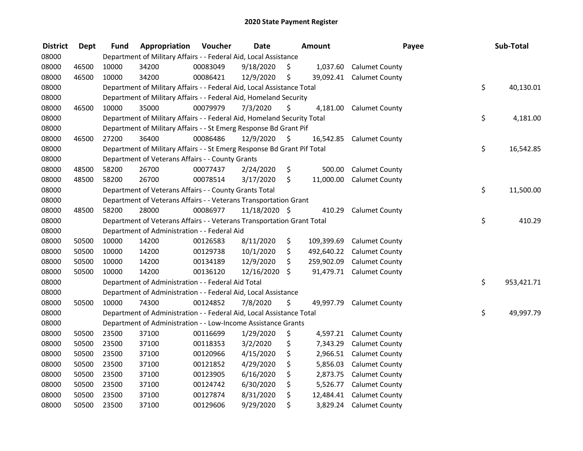| <b>District</b> | <b>Dept</b> | <b>Fund</b> | Appropriation                                                           | Voucher  | <b>Date</b>   |         | Amount     | Payee                     | Sub-Total        |
|-----------------|-------------|-------------|-------------------------------------------------------------------------|----------|---------------|---------|------------|---------------------------|------------------|
| 08000           |             |             | Department of Military Affairs - - Federal Aid, Local Assistance        |          |               |         |            |                           |                  |
| 08000           | 46500       | 10000       | 34200                                                                   | 00083049 | 9/18/2020     | \$.     | 1,037.60   | <b>Calumet County</b>     |                  |
| 08000           | 46500       | 10000       | 34200                                                                   | 00086421 | 12/9/2020     | \$      |            | 39,092.41 Calumet County  |                  |
| 08000           |             |             | Department of Military Affairs - - Federal Aid, Local Assistance Total  |          |               |         |            |                           | \$<br>40,130.01  |
| 08000           |             |             | Department of Military Affairs - - Federal Aid, Homeland Security       |          |               |         |            |                           |                  |
| 08000           | 46500       | 10000       | 35000                                                                   | 00079979 | 7/3/2020      | \$      | 4,181.00   | <b>Calumet County</b>     |                  |
| 08000           |             |             | Department of Military Affairs - - Federal Aid, Homeland Security Total |          |               |         |            |                           | \$<br>4,181.00   |
| 08000           |             |             | Department of Military Affairs - - St Emerg Response Bd Grant Pif       |          |               |         |            |                           |                  |
| 08000           | 46500       | 27200       | 36400                                                                   | 00086486 | 12/9/2020     | \$      | 16,542.85  | <b>Calumet County</b>     |                  |
| 08000           |             |             | Department of Military Affairs - - St Emerg Response Bd Grant Pif Total |          |               |         |            |                           | \$<br>16,542.85  |
| 08000           |             |             | Department of Veterans Affairs - - County Grants                        |          |               |         |            |                           |                  |
| 08000           | 48500       | 58200       | 26700                                                                   | 00077437 | 2/24/2020     | \$      | 500.00     | <b>Calumet County</b>     |                  |
| 08000           | 48500       | 58200       | 26700                                                                   | 00078514 | 3/17/2020     | \$      | 11,000.00  | <b>Calumet County</b>     |                  |
| 08000           |             |             | Department of Veterans Affairs - - County Grants Total                  |          |               |         |            |                           | \$<br>11,500.00  |
| 08000           |             |             | Department of Veterans Affairs - - Veterans Transportation Grant        |          |               |         |            |                           |                  |
| 08000           | 48500       | 58200       | 28000                                                                   | 00086977 | 11/18/2020 \$ |         | 410.29     | <b>Calumet County</b>     |                  |
| 08000           |             |             | Department of Veterans Affairs - - Veterans Transportation Grant Total  |          |               |         |            |                           | \$<br>410.29     |
| 08000           |             |             | Department of Administration - - Federal Aid                            |          |               |         |            |                           |                  |
| 08000           | 50500       | 10000       | 14200                                                                   | 00126583 | 8/11/2020     | \$      | 109,399.69 | <b>Calumet County</b>     |                  |
| 08000           | 50500       | 10000       | 14200                                                                   | 00129738 | 10/1/2020     | \$      |            | 492,640.22 Calumet County |                  |
| 08000           | 50500       | 10000       | 14200                                                                   | 00134189 | 12/9/2020     | \$      | 259,902.09 | <b>Calumet County</b>     |                  |
| 08000           | 50500       | 10000       | 14200                                                                   | 00136120 | 12/16/2020    | $\zeta$ |            | 91,479.71 Calumet County  |                  |
| 08000           |             |             | Department of Administration - - Federal Aid Total                      |          |               |         |            |                           | \$<br>953,421.71 |
| 08000           |             |             | Department of Administration - - Federal Aid, Local Assistance          |          |               |         |            |                           |                  |
| 08000           | 50500       | 10000       | 74300                                                                   | 00124852 | 7/8/2020      | \$      | 49,997.79  | <b>Calumet County</b>     |                  |
| 08000           |             |             | Department of Administration - - Federal Aid, Local Assistance Total    |          |               |         |            |                           | \$<br>49,997.79  |
| 08000           |             |             | Department of Administration - - Low-Income Assistance Grants           |          |               |         |            |                           |                  |
| 08000           | 50500       | 23500       | 37100                                                                   | 00116699 | 1/29/2020     | \$      | 4,597.21   | <b>Calumet County</b>     |                  |
| 08000           | 50500       | 23500       | 37100                                                                   | 00118353 | 3/2/2020      | \$      | 7,343.29   | <b>Calumet County</b>     |                  |
| 08000           | 50500       | 23500       | 37100                                                                   | 00120966 | 4/15/2020     | \$      | 2,966.51   | <b>Calumet County</b>     |                  |
| 08000           | 50500       | 23500       | 37100                                                                   | 00121852 | 4/29/2020     | \$      | 5,856.03   | <b>Calumet County</b>     |                  |
| 08000           | 50500       | 23500       | 37100                                                                   | 00123905 | 6/16/2020     | \$      | 2,873.75   | <b>Calumet County</b>     |                  |
| 08000           | 50500       | 23500       | 37100                                                                   | 00124742 | 6/30/2020     | \$      | 5,526.77   | <b>Calumet County</b>     |                  |
| 08000           | 50500       | 23500       | 37100                                                                   | 00127874 | 8/31/2020     | \$      | 12,484.41  | <b>Calumet County</b>     |                  |
| 08000           | 50500       | 23500       | 37100                                                                   | 00129606 | 9/29/2020     | \$      | 3,829.24   | <b>Calumet County</b>     |                  |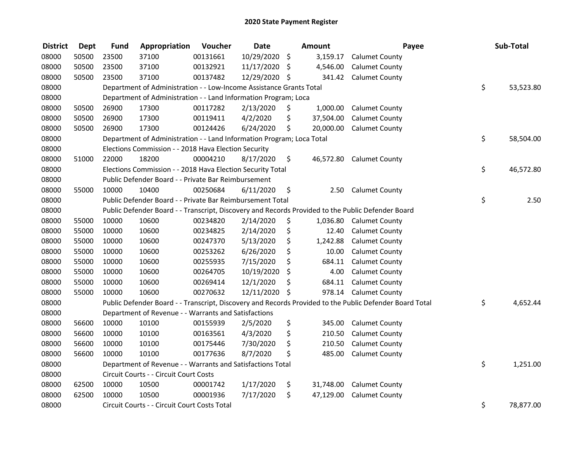| <b>District</b> | <b>Dept</b> | <b>Fund</b> | Appropriation                                                         | Voucher  | <b>Date</b>   | Amount          | Payee                                                                                                   | Sub-Total       |
|-----------------|-------------|-------------|-----------------------------------------------------------------------|----------|---------------|-----------------|---------------------------------------------------------------------------------------------------------|-----------------|
| 08000           | 50500       | 23500       | 37100                                                                 | 00131661 | 10/29/2020    | \$<br>3,159.17  | <b>Calumet County</b>                                                                                   |                 |
| 08000           | 50500       | 23500       | 37100                                                                 | 00132921 | 11/17/2020    | \$<br>4,546.00  | <b>Calumet County</b>                                                                                   |                 |
| 08000           | 50500       | 23500       | 37100                                                                 | 00137482 | 12/29/2020 \$ | 341.42          | <b>Calumet County</b>                                                                                   |                 |
| 08000           |             |             | Department of Administration - - Low-Income Assistance Grants Total   |          |               |                 |                                                                                                         | \$<br>53,523.80 |
| 08000           |             |             | Department of Administration - - Land Information Program; Loca       |          |               |                 |                                                                                                         |                 |
| 08000           | 50500       | 26900       | 17300                                                                 | 00117282 | 2/13/2020     | \$<br>1,000.00  | <b>Calumet County</b>                                                                                   |                 |
| 08000           | 50500       | 26900       | 17300                                                                 | 00119411 | 4/2/2020      | \$<br>37,504.00 | <b>Calumet County</b>                                                                                   |                 |
| 08000           | 50500       | 26900       | 17300                                                                 | 00124426 | 6/24/2020     | \$<br>20,000.00 | <b>Calumet County</b>                                                                                   |                 |
| 08000           |             |             | Department of Administration - - Land Information Program; Loca Total |          |               |                 |                                                                                                         | \$<br>58,504.00 |
| 08000           |             |             | Elections Commission - - 2018 Hava Election Security                  |          |               |                 |                                                                                                         |                 |
| 08000           | 51000       | 22000       | 18200                                                                 | 00004210 | 8/17/2020     | \$<br>46,572.80 | <b>Calumet County</b>                                                                                   |                 |
| 08000           |             |             | Elections Commission - - 2018 Hava Election Security Total            |          |               |                 |                                                                                                         | \$<br>46,572.80 |
| 08000           |             |             | Public Defender Board - - Private Bar Reimbursement                   |          |               |                 |                                                                                                         |                 |
| 08000           | 55000       | 10000       | 10400                                                                 | 00250684 | 6/11/2020     | \$<br>2.50      | <b>Calumet County</b>                                                                                   |                 |
| 08000           |             |             | Public Defender Board - - Private Bar Reimbursement Total             |          |               |                 |                                                                                                         | \$<br>2.50      |
| 08000           |             |             |                                                                       |          |               |                 | Public Defender Board - - Transcript, Discovery and Records Provided to the Public Defender Board       |                 |
| 08000           | 55000       | 10000       | 10600                                                                 | 00234820 | 2/14/2020     | \$<br>1,036.80  | <b>Calumet County</b>                                                                                   |                 |
| 08000           | 55000       | 10000       | 10600                                                                 | 00234825 | 2/14/2020     | \$<br>12.40     | <b>Calumet County</b>                                                                                   |                 |
| 08000           | 55000       | 10000       | 10600                                                                 | 00247370 | 5/13/2020     | \$<br>1,242.88  | <b>Calumet County</b>                                                                                   |                 |
| 08000           | 55000       | 10000       | 10600                                                                 | 00253262 | 6/26/2020     | \$<br>10.00     | <b>Calumet County</b>                                                                                   |                 |
| 08000           | 55000       | 10000       | 10600                                                                 | 00255935 | 7/15/2020     | \$<br>684.11    | <b>Calumet County</b>                                                                                   |                 |
| 08000           | 55000       | 10000       | 10600                                                                 | 00264705 | 10/19/2020    | \$<br>4.00      | <b>Calumet County</b>                                                                                   |                 |
| 08000           | 55000       | 10000       | 10600                                                                 | 00269414 | 12/1/2020     | \$<br>684.11    | <b>Calumet County</b>                                                                                   |                 |
| 08000           | 55000       | 10000       | 10600                                                                 | 00270632 | 12/11/2020    | \$<br>978.14    | <b>Calumet County</b>                                                                                   |                 |
| 08000           |             |             |                                                                       |          |               |                 | Public Defender Board - - Transcript, Discovery and Records Provided to the Public Defender Board Total | \$<br>4,652.44  |
| 08000           |             |             | Department of Revenue - - Warrants and Satisfactions                  |          |               |                 |                                                                                                         |                 |
| 08000           | 56600       | 10000       | 10100                                                                 | 00155939 | 2/5/2020      | \$<br>345.00    | <b>Calumet County</b>                                                                                   |                 |
| 08000           | 56600       | 10000       | 10100                                                                 | 00163561 | 4/3/2020      | \$<br>210.50    | <b>Calumet County</b>                                                                                   |                 |
| 08000           | 56600       | 10000       | 10100                                                                 | 00175446 | 7/30/2020     | \$<br>210.50    | <b>Calumet County</b>                                                                                   |                 |
| 08000           | 56600       | 10000       | 10100                                                                 | 00177636 | 8/7/2020      | \$<br>485.00    | <b>Calumet County</b>                                                                                   |                 |
| 08000           |             |             | Department of Revenue - - Warrants and Satisfactions Total            |          |               |                 |                                                                                                         | \$<br>1,251.00  |
| 08000           |             |             | Circuit Courts - - Circuit Court Costs                                |          |               |                 |                                                                                                         |                 |
| 08000           | 62500       | 10000       | 10500                                                                 | 00001742 | 1/17/2020     | \$<br>31,748.00 | <b>Calumet County</b>                                                                                   |                 |
| 08000           | 62500       | 10000       | 10500                                                                 | 00001936 | 7/17/2020     | \$<br>47,129.00 | <b>Calumet County</b>                                                                                   |                 |
| 08000           |             |             | Circuit Courts - - Circuit Court Costs Total                          |          |               |                 |                                                                                                         | \$<br>78,877.00 |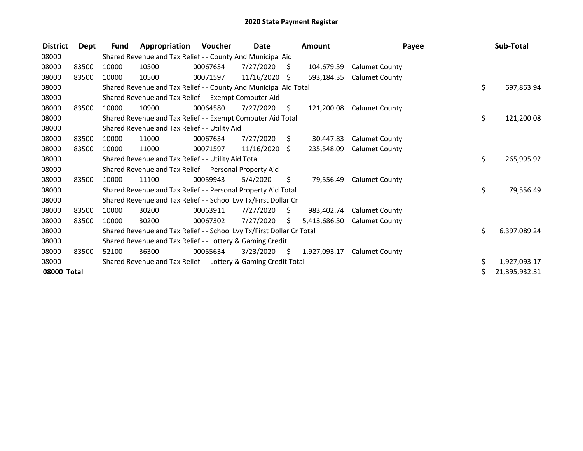| <b>District</b> | Dept  | <b>Fund</b> | Appropriation                                                         | Voucher  | Date       |     | <b>Amount</b> |                       | Payee | Sub-Total     |
|-----------------|-------|-------------|-----------------------------------------------------------------------|----------|------------|-----|---------------|-----------------------|-------|---------------|
| 08000           |       |             | Shared Revenue and Tax Relief - - County And Municipal Aid            |          |            |     |               |                       |       |               |
| 08000           | 83500 | 10000       | 10500                                                                 | 00067634 | 7/27/2020  | S   | 104,679.59    | <b>Calumet County</b> |       |               |
| 08000           | 83500 | 10000       | 10500                                                                 | 00071597 | 11/16/2020 | \$  | 593,184.35    | <b>Calumet County</b> |       |               |
| 08000           |       |             | Shared Revenue and Tax Relief - - County And Municipal Aid Total      |          |            |     |               |                       | \$    | 697,863.94    |
| 08000           |       |             | Shared Revenue and Tax Relief - - Exempt Computer Aid                 |          |            |     |               |                       |       |               |
| 08000           | 83500 | 10000       | 10900                                                                 | 00064580 | 7/27/2020  | S   | 121,200.08    | <b>Calumet County</b> |       |               |
| 08000           |       |             | Shared Revenue and Tax Relief - - Exempt Computer Aid Total           |          |            |     |               |                       | \$    | 121,200.08    |
| 08000           |       |             | Shared Revenue and Tax Relief - - Utility Aid                         |          |            |     |               |                       |       |               |
| 08000           | 83500 | 10000       | 11000                                                                 | 00067634 | 7/27/2020  | S   | 30,447.83     | <b>Calumet County</b> |       |               |
| 08000           | 83500 | 10000       | 11000                                                                 | 00071597 | 11/16/2020 | S.  | 235,548.09    | <b>Calumet County</b> |       |               |
| 08000           |       |             | Shared Revenue and Tax Relief - - Utility Aid Total                   |          |            |     |               |                       | \$    | 265,995.92    |
| 08000           |       |             | Shared Revenue and Tax Relief - - Personal Property Aid               |          |            |     |               |                       |       |               |
| 08000           | 83500 | 10000       | 11100                                                                 | 00059943 | 5/4/2020   | \$. | 79.556.49     | <b>Calumet County</b> |       |               |
| 08000           |       |             | Shared Revenue and Tax Relief - - Personal Property Aid Total         |          |            |     |               |                       | \$    | 79,556.49     |
| 08000           |       |             | Shared Revenue and Tax Relief - - School Lvy Tx/First Dollar Cr       |          |            |     |               |                       |       |               |
| 08000           | 83500 | 10000       | 30200                                                                 | 00063911 | 7/27/2020  | \$  | 983,402.74    | <b>Calumet County</b> |       |               |
| 08000           | 83500 | 10000       | 30200                                                                 | 00067302 | 7/27/2020  | S.  | 5,413,686.50  | <b>Calumet County</b> |       |               |
| 08000           |       |             | Shared Revenue and Tax Relief - - School Lvy Tx/First Dollar Cr Total |          |            |     |               |                       | \$    | 6,397,089.24  |
| 08000           |       |             | Shared Revenue and Tax Relief - - Lottery & Gaming Credit             |          |            |     |               |                       |       |               |
| 08000           | 83500 | 52100       | 36300                                                                 | 00055634 | 3/23/2020  | \$  | 1,927,093.17  | <b>Calumet County</b> |       |               |
| 08000           |       |             | Shared Revenue and Tax Relief - - Lottery & Gaming Credit Total       |          |            |     |               |                       | \$    | 1,927,093.17  |
| 08000 Total     |       |             |                                                                       |          |            |     |               |                       |       | 21,395,932.31 |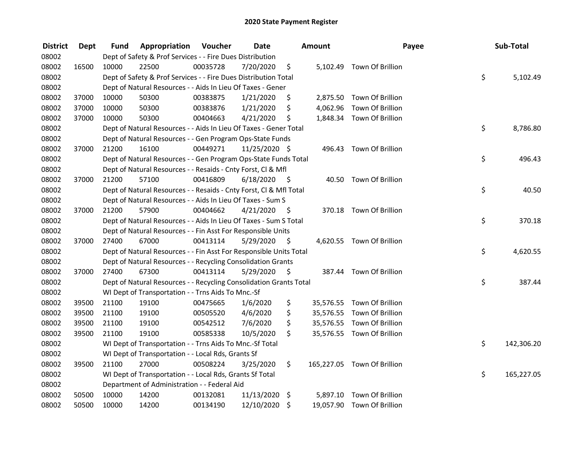| <b>District</b> | <b>Dept</b> | Fund  | Appropriation                                                      | Voucher  | <b>Date</b>   |      | <b>Amount</b> |                             | Payee | Sub-Total  |
|-----------------|-------------|-------|--------------------------------------------------------------------|----------|---------------|------|---------------|-----------------------------|-------|------------|
| 08002           |             |       | Dept of Safety & Prof Services - - Fire Dues Distribution          |          |               |      |               |                             |       |            |
| 08002           | 16500       | 10000 | 22500                                                              | 00035728 | 7/20/2020     | \$   |               | 5,102.49 Town Of Brillion   |       |            |
| 08002           |             |       | Dept of Safety & Prof Services - - Fire Dues Distribution Total    |          |               |      |               |                             | \$    | 5,102.49   |
| 08002           |             |       | Dept of Natural Resources - - Aids In Lieu Of Taxes - Gener        |          |               |      |               |                             |       |            |
| 08002           | 37000       | 10000 | 50300                                                              | 00383875 | 1/21/2020     | \$   |               | 2,875.50 Town Of Brillion   |       |            |
| 08002           | 37000       | 10000 | 50300                                                              | 00383876 | 1/21/2020     | \$   |               | 4,062.96 Town Of Brillion   |       |            |
| 08002           | 37000       | 10000 | 50300                                                              | 00404663 | 4/21/2020     | \$   |               | 1,848.34 Town Of Brillion   |       |            |
| 08002           |             |       | Dept of Natural Resources - - Aids In Lieu Of Taxes - Gener Total  |          |               |      |               |                             | \$    | 8,786.80   |
| 08002           |             |       | Dept of Natural Resources - - Gen Program Ops-State Funds          |          |               |      |               |                             |       |            |
| 08002           | 37000       | 21200 | 16100                                                              | 00449271 | 11/25/2020 \$ |      |               | 496.43 Town Of Brillion     |       |            |
| 08002           |             |       | Dept of Natural Resources - - Gen Program Ops-State Funds Total    |          |               |      |               |                             | \$    | 496.43     |
| 08002           |             |       | Dept of Natural Resources - - Resaids - Cnty Forst, Cl & Mfl       |          |               |      |               |                             |       |            |
| 08002           | 37000       | 21200 | 57100                                                              | 00416809 | 6/18/2020     | - \$ |               | 40.50 Town Of Brillion      |       |            |
| 08002           |             |       | Dept of Natural Resources - - Resaids - Cnty Forst, Cl & Mfl Total |          |               |      |               |                             | \$    | 40.50      |
| 08002           |             |       | Dept of Natural Resources - - Aids In Lieu Of Taxes - Sum S        |          |               |      |               |                             |       |            |
| 08002           | 37000       | 21200 | 57900                                                              | 00404662 | 4/21/2020     | - \$ |               | 370.18 Town Of Brillion     |       |            |
| 08002           |             |       | Dept of Natural Resources - - Aids In Lieu Of Taxes - Sum S Total  |          |               |      |               |                             | \$    | 370.18     |
| 08002           |             |       | Dept of Natural Resources - - Fin Asst For Responsible Units       |          |               |      |               |                             |       |            |
| 08002           | 37000       | 27400 | 67000                                                              | 00413114 | 5/29/2020     | - \$ |               | 4,620.55 Town Of Brillion   |       |            |
| 08002           |             |       | Dept of Natural Resources - - Fin Asst For Responsible Units Total |          |               |      |               |                             | \$    | 4,620.55   |
| 08002           |             |       | Dept of Natural Resources - - Recycling Consolidation Grants       |          |               |      |               |                             |       |            |
| 08002           | 37000       | 27400 | 67300                                                              | 00413114 | 5/29/2020     | - \$ |               | 387.44 Town Of Brillion     |       |            |
| 08002           |             |       | Dept of Natural Resources - - Recycling Consolidation Grants Total |          |               |      |               |                             | \$    | 387.44     |
| 08002           |             |       | WI Dept of Transportation - - Trns Aids To Mnc.-Sf                 |          |               |      |               |                             |       |            |
| 08002           | 39500       | 21100 | 19100                                                              | 00475665 | 1/6/2020      | \$   |               | 35,576.55 Town Of Brillion  |       |            |
| 08002           | 39500       | 21100 | 19100                                                              | 00505520 | 4/6/2020      | \$   |               | 35,576.55 Town Of Brillion  |       |            |
| 08002           | 39500       | 21100 | 19100                                                              | 00542512 | 7/6/2020      | \$   |               | 35,576.55 Town Of Brillion  |       |            |
| 08002           | 39500       | 21100 | 19100                                                              | 00585338 | 10/5/2020     | \$   |               | 35,576.55 Town Of Brillion  |       |            |
| 08002           |             |       | WI Dept of Transportation - - Trns Aids To Mnc.-Sf Total           |          |               |      |               |                             | \$    | 142,306.20 |
| 08002           |             |       | WI Dept of Transportation - - Local Rds, Grants Sf                 |          |               |      |               |                             |       |            |
| 08002           | 39500       | 21100 | 27000                                                              | 00508224 | 3/25/2020     | \$   |               | 165,227.05 Town Of Brillion |       |            |
| 08002           |             |       | WI Dept of Transportation - - Local Rds, Grants Sf Total           |          |               |      |               |                             | \$    | 165,227.05 |
| 08002           |             |       | Department of Administration - - Federal Aid                       |          |               |      |               |                             |       |            |
| 08002           | 50500       | 10000 | 14200                                                              | 00132081 | 11/13/2020    | \$   | 5,897.10      | Town Of Brillion            |       |            |
| 08002           | 50500       | 10000 | 14200                                                              | 00134190 | 12/10/2020    | \$   |               | 19,057.90 Town Of Brillion  |       |            |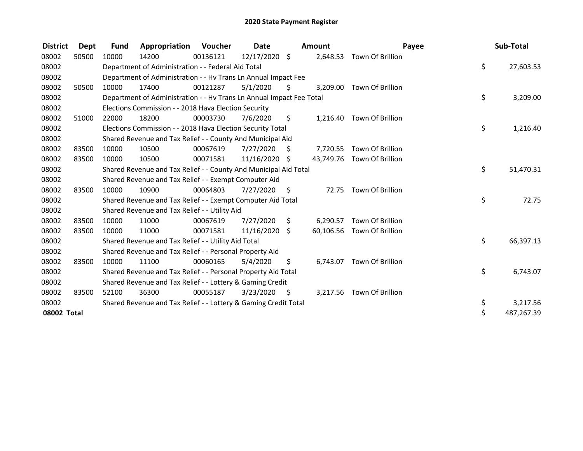| <b>District</b> | Dept  | <b>Fund</b> | Appropriation                                                        | <b>Voucher</b> | Date       |      | <b>Amount</b> |                            | Payee | Sub-Total  |
|-----------------|-------|-------------|----------------------------------------------------------------------|----------------|------------|------|---------------|----------------------------|-------|------------|
| 08002           | 50500 | 10000       | 14200                                                                | 00136121       | 12/17/2020 | \$   | 2,648.53      | Town Of Brillion           |       |            |
| 08002           |       |             | Department of Administration - - Federal Aid Total                   |                |            |      |               |                            | \$    | 27,603.53  |
| 08002           |       |             | Department of Administration - - Hv Trans Ln Annual Impact Fee       |                |            |      |               |                            |       |            |
| 08002           | 50500 | 10000       | 17400                                                                | 00121287       | 5/1/2020   | S    | 3,209.00      | Town Of Brillion           |       |            |
| 08002           |       |             | Department of Administration - - Hv Trans Ln Annual Impact Fee Total |                |            |      |               |                            | \$    | 3,209.00   |
| 08002           |       |             | Elections Commission - - 2018 Hava Election Security                 |                |            |      |               |                            |       |            |
| 08002           | 51000 | 22000       | 18200                                                                | 00003730       | 7/6/2020   | \$   | 1,216.40      | Town Of Brillion           |       |            |
| 08002           |       |             | Elections Commission - - 2018 Hava Election Security Total           |                |            |      |               |                            | \$    | 1,216.40   |
| 08002           |       |             | Shared Revenue and Tax Relief - - County And Municipal Aid           |                |            |      |               |                            |       |            |
| 08002           | 83500 | 10000       | 10500                                                                | 00067619       | 7/27/2020  | S    |               | 7,720.55 Town Of Brillion  |       |            |
| 08002           | 83500 | 10000       | 10500                                                                | 00071581       | 11/16/2020 | \$   |               | 43,749.76 Town Of Brillion |       |            |
| 08002           |       |             | Shared Revenue and Tax Relief - - County And Municipal Aid Total     |                |            |      |               |                            | \$    | 51,470.31  |
| 08002           |       |             | Shared Revenue and Tax Relief - - Exempt Computer Aid                |                |            |      |               |                            |       |            |
| 08002           | 83500 | 10000       | 10900                                                                | 00064803       | 7/27/2020  | \$   | 72.75         | Town Of Brillion           |       |            |
| 08002           |       |             | Shared Revenue and Tax Relief - - Exempt Computer Aid Total          |                |            |      |               |                            | \$    | 72.75      |
| 08002           |       |             | Shared Revenue and Tax Relief - - Utility Aid                        |                |            |      |               |                            |       |            |
| 08002           | 83500 | 10000       | 11000                                                                | 00067619       | 7/27/2020  | \$   | 6,290.57      | Town Of Brillion           |       |            |
| 08002           | 83500 | 10000       | 11000                                                                | 00071581       | 11/16/2020 | Ŝ.   |               | 60,106.56 Town Of Brillion |       |            |
| 08002           |       |             | Shared Revenue and Tax Relief - - Utility Aid Total                  |                |            |      |               |                            | \$    | 66,397.13  |
| 08002           |       |             | Shared Revenue and Tax Relief - - Personal Property Aid              |                |            |      |               |                            |       |            |
| 08002           | 83500 | 10000       | 11100                                                                | 00060165       | 5/4/2020   | \$   | 6,743.07      | Town Of Brillion           |       |            |
| 08002           |       |             | Shared Revenue and Tax Relief - - Personal Property Aid Total        |                |            |      |               |                            | \$    | 6,743.07   |
| 08002           |       |             | Shared Revenue and Tax Relief - - Lottery & Gaming Credit            |                |            |      |               |                            |       |            |
| 08002           | 83500 | 52100       | 36300                                                                | 00055187       | 3/23/2020  | - \$ | 3,217.56      | Town Of Brillion           |       |            |
| 08002           |       |             | Shared Revenue and Tax Relief - - Lottery & Gaming Credit Total      |                |            |      |               |                            | \$    | 3,217.56   |
| 08002 Total     |       |             |                                                                      |                |            |      |               |                            | \$    | 487,267.39 |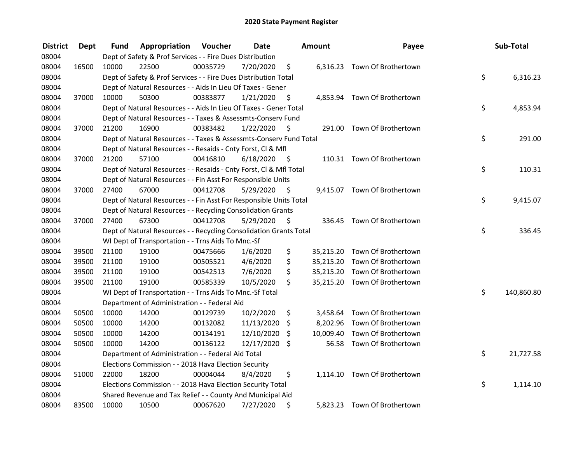| <b>District</b> | Dept  | Fund  | Appropriation                                                      | Voucher  | <b>Date</b> |      | Amount   | Payee                         | Sub-Total        |
|-----------------|-------|-------|--------------------------------------------------------------------|----------|-------------|------|----------|-------------------------------|------------------|
| 08004           |       |       | Dept of Safety & Prof Services - - Fire Dues Distribution          |          |             |      |          |                               |                  |
| 08004           | 16500 | 10000 | 22500                                                              | 00035729 | 7/20/2020   | \$   |          | 6,316.23 Town Of Brothertown  |                  |
| 08004           |       |       | Dept of Safety & Prof Services - - Fire Dues Distribution Total    |          |             |      |          |                               | \$<br>6,316.23   |
| 08004           |       |       | Dept of Natural Resources - - Aids In Lieu Of Taxes - Gener        |          |             |      |          |                               |                  |
| 08004           | 37000 | 10000 | 50300                                                              | 00383877 | 1/21/2020   | \$   |          | 4,853.94 Town Of Brothertown  |                  |
| 08004           |       |       | Dept of Natural Resources - - Aids In Lieu Of Taxes - Gener Total  |          |             |      |          |                               | \$<br>4,853.94   |
| 08004           |       |       | Dept of Natural Resources - - Taxes & Assessmts-Conserv Fund       |          |             |      |          |                               |                  |
| 08004           | 37000 | 21200 | 16900                                                              | 00383482 | 1/22/2020   | - \$ |          | 291.00 Town Of Brothertown    |                  |
| 08004           |       |       | Dept of Natural Resources - - Taxes & Assessmts-Conserv Fund Total |          |             |      |          |                               | \$<br>291.00     |
| 08004           |       |       | Dept of Natural Resources - - Resaids - Cnty Forst, Cl & Mfl       |          |             |      |          |                               |                  |
| 08004           | 37000 | 21200 | 57100                                                              | 00416810 | 6/18/2020   | - \$ |          | 110.31 Town Of Brothertown    |                  |
| 08004           |       |       | Dept of Natural Resources - - Resaids - Cnty Forst, Cl & Mfl Total |          |             |      |          |                               | \$<br>110.31     |
| 08004           |       |       | Dept of Natural Resources - - Fin Asst For Responsible Units       |          |             |      |          |                               |                  |
| 08004           | 37000 | 27400 | 67000                                                              | 00412708 | 5/29/2020   | \$.  |          | 9,415.07 Town Of Brothertown  |                  |
| 08004           |       |       | Dept of Natural Resources - - Fin Asst For Responsible Units Total |          |             |      |          |                               | \$<br>9,415.07   |
| 08004           |       |       | Dept of Natural Resources - - Recycling Consolidation Grants       |          |             |      |          |                               |                  |
| 08004           | 37000 | 27400 | 67300                                                              | 00412708 | 5/29/2020   | \$   | 336.45   | Town Of Brothertown           |                  |
| 08004           |       |       | Dept of Natural Resources - - Recycling Consolidation Grants Total |          |             |      |          |                               | \$<br>336.45     |
| 08004           |       |       | WI Dept of Transportation - - Trns Aids To Mnc.-Sf                 |          |             |      |          |                               |                  |
| 08004           | 39500 | 21100 | 19100                                                              | 00475666 | 1/6/2020    | \$   |          | 35,215.20 Town Of Brothertown |                  |
| 08004           | 39500 | 21100 | 19100                                                              | 00505521 | 4/6/2020    | \$   |          | 35,215.20 Town Of Brothertown |                  |
| 08004           | 39500 | 21100 | 19100                                                              | 00542513 | 7/6/2020    | \$   |          | 35,215.20 Town Of Brothertown |                  |
| 08004           | 39500 | 21100 | 19100                                                              | 00585339 | 10/5/2020   | \$   |          | 35,215.20 Town Of Brothertown |                  |
| 08004           |       |       | WI Dept of Transportation - - Trns Aids To Mnc.-Sf Total           |          |             |      |          |                               | \$<br>140,860.80 |
| 08004           |       |       | Department of Administration - - Federal Aid                       |          |             |      |          |                               |                  |
| 08004           | 50500 | 10000 | 14200                                                              | 00129739 | 10/2/2020   | \$   |          | 3,458.64 Town Of Brothertown  |                  |
| 08004           | 50500 | 10000 | 14200                                                              | 00132082 | 11/13/2020  | \$   | 8,202.96 | Town Of Brothertown           |                  |
| 08004           | 50500 | 10000 | 14200                                                              | 00134191 | 12/10/2020  | \$   |          | 10,009.40 Town Of Brothertown |                  |
| 08004           | 50500 | 10000 | 14200                                                              | 00136122 | 12/17/2020  | \$   | 56.58    | Town Of Brothertown           |                  |
| 08004           |       |       | Department of Administration - - Federal Aid Total                 |          |             |      |          |                               | \$<br>21,727.58  |
| 08004           |       |       | Elections Commission - - 2018 Hava Election Security               |          |             |      |          |                               |                  |
| 08004           | 51000 | 22000 | 18200                                                              | 00004044 | 8/4/2020    | \$   |          | 1,114.10 Town Of Brothertown  |                  |
| 08004           |       |       | Elections Commission - - 2018 Hava Election Security Total         |          |             |      |          |                               | \$<br>1,114.10   |
| 08004           |       |       | Shared Revenue and Tax Relief - - County And Municipal Aid         |          |             |      |          |                               |                  |
| 08004           | 83500 | 10000 | 10500                                                              | 00067620 | 7/27/2020   | \$   |          | 5,823.23 Town Of Brothertown  |                  |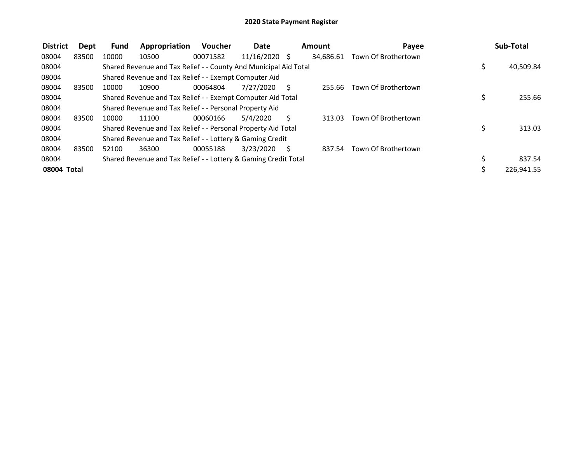| <b>District</b> | Dept  | Fund  | Appropriation                                                    | <b>Voucher</b> | <b>Date</b>     |              | Amount    | Payee               |     | Sub-Total  |
|-----------------|-------|-------|------------------------------------------------------------------|----------------|-----------------|--------------|-----------|---------------------|-----|------------|
| 08004           | 83500 | 10000 | 10500                                                            | 00071582       | $11/16/2020$ \$ |              | 34,686.61 | Town Of Brothertown |     |            |
| 08004           |       |       | Shared Revenue and Tax Relief - - County And Municipal Aid Total |                |                 |              |           |                     | \$, | 40,509.84  |
| 08004           |       |       | Shared Revenue and Tax Relief - - Exempt Computer Aid            |                |                 |              |           |                     |     |            |
| 08004           | 83500 | 10000 | 10900                                                            | 00064804       | 7/27/2020       | <sup>S</sup> | 255.66    | Town Of Brothertown |     |            |
| 08004           |       |       | Shared Revenue and Tax Relief - - Exempt Computer Aid Total      |                |                 |              |           |                     | Ś   | 255.66     |
| 08004           |       |       | Shared Revenue and Tax Relief - - Personal Property Aid          |                |                 |              |           |                     |     |            |
| 08004           | 83500 | 10000 | 11100                                                            | 00060166       | 5/4/2020        | S            | 313.03    | Town Of Brothertown |     |            |
| 08004           |       |       | Shared Revenue and Tax Relief - - Personal Property Aid Total    |                |                 |              |           |                     | \$  | 313.03     |
| 08004           |       |       | Shared Revenue and Tax Relief - - Lottery & Gaming Credit        |                |                 |              |           |                     |     |            |
| 08004           | 83500 | 52100 | 36300                                                            | 00055188       | 3/23/2020       | S            | 837.54    | Town Of Brothertown |     |            |
| 08004           |       |       | Shared Revenue and Tax Relief - - Lottery & Gaming Credit Total  |                |                 |              |           |                     |     | 837.54     |
| 08004 Total     |       |       |                                                                  |                |                 |              |           |                     |     | 226,941.55 |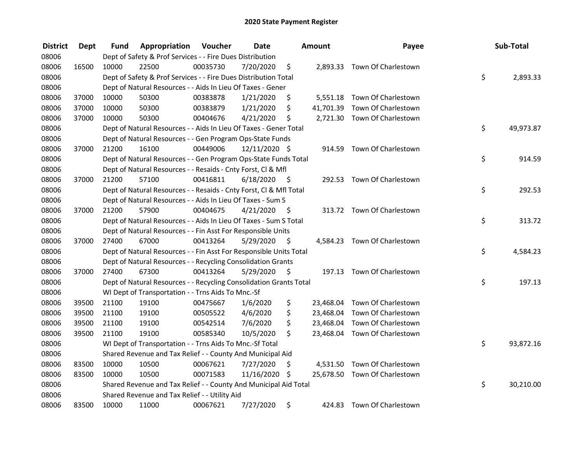| <b>District</b> | <b>Dept</b> | Fund  | Appropriation                                                      | Voucher  | <b>Date</b>   |      | <b>Amount</b> | Payee                         | Sub-Total       |
|-----------------|-------------|-------|--------------------------------------------------------------------|----------|---------------|------|---------------|-------------------------------|-----------------|
| 08006           |             |       | Dept of Safety & Prof Services - - Fire Dues Distribution          |          |               |      |               |                               |                 |
| 08006           | 16500       | 10000 | 22500                                                              | 00035730 | 7/20/2020     | \$   |               | 2,893.33 Town Of Charlestown  |                 |
| 08006           |             |       | Dept of Safety & Prof Services - - Fire Dues Distribution Total    |          |               |      |               |                               | \$<br>2,893.33  |
| 08006           |             |       | Dept of Natural Resources - - Aids In Lieu Of Taxes - Gener        |          |               |      |               |                               |                 |
| 08006           | 37000       | 10000 | 50300                                                              | 00383878 | 1/21/2020     | \$   |               | 5,551.18 Town Of Charlestown  |                 |
| 08006           | 37000       | 10000 | 50300                                                              | 00383879 | 1/21/2020     | \$   | 41,701.39     | Town Of Charlestown           |                 |
| 08006           | 37000       | 10000 | 50300                                                              | 00404676 | 4/21/2020     | \$   |               | 2,721.30 Town Of Charlestown  |                 |
| 08006           |             |       | Dept of Natural Resources - - Aids In Lieu Of Taxes - Gener Total  |          |               |      |               |                               | \$<br>49,973.87 |
| 08006           |             |       | Dept of Natural Resources - - Gen Program Ops-State Funds          |          |               |      |               |                               |                 |
| 08006           | 37000       | 21200 | 16100                                                              | 00449006 | 12/11/2020 \$ |      |               | 914.59 Town Of Charlestown    |                 |
| 08006           |             |       | Dept of Natural Resources - - Gen Program Ops-State Funds Total    |          |               |      |               |                               | \$<br>914.59    |
| 08006           |             |       | Dept of Natural Resources - - Resaids - Cnty Forst, CI & Mfl       |          |               |      |               |                               |                 |
| 08006           | 37000       | 21200 | 57100                                                              | 00416811 | 6/18/2020     | - \$ |               | 292.53 Town Of Charlestown    |                 |
| 08006           |             |       | Dept of Natural Resources - - Resaids - Cnty Forst, Cl & Mfl Total |          |               |      |               |                               | \$<br>292.53    |
| 08006           |             |       | Dept of Natural Resources - - Aids In Lieu Of Taxes - Sum S        |          |               |      |               |                               |                 |
| 08006           | 37000       | 21200 | 57900                                                              | 00404675 | 4/21/2020     | - \$ |               | 313.72 Town Of Charlestown    |                 |
| 08006           |             |       | Dept of Natural Resources - - Aids In Lieu Of Taxes - Sum S Total  |          |               |      |               |                               | \$<br>313.72    |
| 08006           |             |       | Dept of Natural Resources - - Fin Asst For Responsible Units       |          |               |      |               |                               |                 |
| 08006           | 37000       | 27400 | 67000                                                              | 00413264 | 5/29/2020     | - \$ |               | 4,584.23 Town Of Charlestown  |                 |
| 08006           |             |       | Dept of Natural Resources - - Fin Asst For Responsible Units Total |          |               |      |               |                               | \$<br>4,584.23  |
| 08006           |             |       | Dept of Natural Resources - - Recycling Consolidation Grants       |          |               |      |               |                               |                 |
| 08006           | 37000       | 27400 | 67300                                                              | 00413264 | 5/29/2020     | \$   |               | 197.13 Town Of Charlestown    |                 |
| 08006           |             |       | Dept of Natural Resources - - Recycling Consolidation Grants Total |          |               |      |               |                               | \$<br>197.13    |
| 08006           |             |       | WI Dept of Transportation - - Trns Aids To Mnc.-Sf                 |          |               |      |               |                               |                 |
| 08006           | 39500       | 21100 | 19100                                                              | 00475667 | 1/6/2020      | \$   |               | 23,468.04 Town Of Charlestown |                 |
| 08006           | 39500       | 21100 | 19100                                                              | 00505522 | 4/6/2020      | \$   |               | 23,468.04 Town Of Charlestown |                 |
| 08006           | 39500       | 21100 | 19100                                                              | 00542514 | 7/6/2020      | \$   |               | 23,468.04 Town Of Charlestown |                 |
| 08006           | 39500       | 21100 | 19100                                                              | 00585340 | 10/5/2020     | \$   |               | 23,468.04 Town Of Charlestown |                 |
| 08006           |             |       | WI Dept of Transportation - - Trns Aids To Mnc.-Sf Total           |          |               |      |               |                               | \$<br>93,872.16 |
| 08006           |             |       | Shared Revenue and Tax Relief - - County And Municipal Aid         |          |               |      |               |                               |                 |
| 08006           | 83500       | 10000 | 10500                                                              | 00067621 | 7/27/2020     | \$   |               | 4,531.50 Town Of Charlestown  |                 |
| 08006           | 83500       | 10000 | 10500                                                              | 00071583 | 11/16/2020 \$ |      |               | 25,678.50 Town Of Charlestown |                 |
| 08006           |             |       | Shared Revenue and Tax Relief - - County And Municipal Aid Total   |          |               |      |               |                               | \$<br>30,210.00 |
| 08006           |             |       | Shared Revenue and Tax Relief - - Utility Aid                      |          |               |      |               |                               |                 |
| 08006           | 83500       | 10000 | 11000                                                              | 00067621 | 7/27/2020     | \$   | 424.83        | Town Of Charlestown           |                 |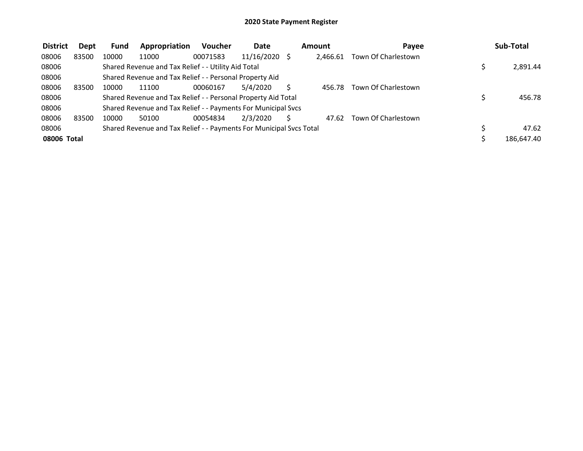| <b>District</b> | Dept  | Fund  | Appropriation                                                       | <b>Voucher</b> | Date            | <b>Amount</b> | Payee               | Sub-Total  |
|-----------------|-------|-------|---------------------------------------------------------------------|----------------|-----------------|---------------|---------------------|------------|
| 08006           | 83500 | 10000 | 11000                                                               | 00071583       | $11/16/2020$ \$ | 2.466.61      | Town Of Charlestown |            |
| 08006           |       |       | Shared Revenue and Tax Relief - - Utility Aid Total                 |                |                 |               |                     | 2,891.44   |
| 08006           |       |       | Shared Revenue and Tax Relief - - Personal Property Aid             |                |                 |               |                     |            |
| 08006           | 83500 | 10000 | 11100                                                               | 00060167       | 5/4/2020        | 456.78        | Town Of Charlestown |            |
| 08006           |       |       | Shared Revenue and Tax Relief - - Personal Property Aid Total       |                |                 |               |                     | 456.78     |
| 08006           |       |       | Shared Revenue and Tax Relief - - Payments For Municipal Svcs       |                |                 |               |                     |            |
| 08006           | 83500 | 10000 | 50100                                                               | 00054834       | 2/3/2020        | 47.62         | Town Of Charlestown |            |
| 08006           |       |       | Shared Revenue and Tax Relief - - Payments For Municipal Svcs Total |                |                 |               |                     | 47.62      |
| 08006 Total     |       |       |                                                                     |                |                 |               |                     | 186,647.40 |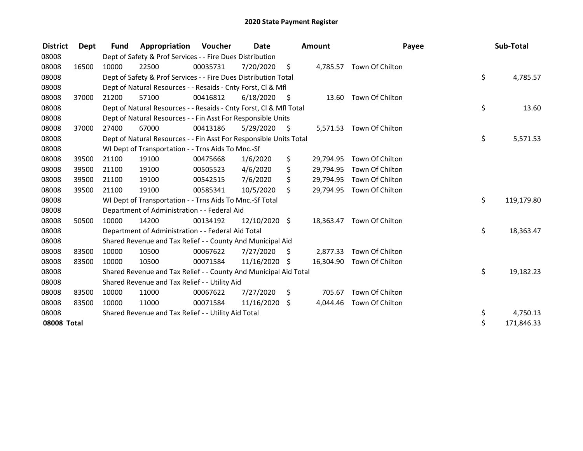| <b>District</b> | Dept  | <b>Fund</b> | Appropriation                                                      | Voucher  | Date          |      | <b>Amount</b> | Payee                     | Sub-Total        |
|-----------------|-------|-------------|--------------------------------------------------------------------|----------|---------------|------|---------------|---------------------------|------------------|
| 08008           |       |             | Dept of Safety & Prof Services - - Fire Dues Distribution          |          |               |      |               |                           |                  |
| 08008           | 16500 | 10000       | 22500                                                              | 00035731 | 7/20/2020     | - \$ |               | 4,785.57 Town Of Chilton  |                  |
| 08008           |       |             | Dept of Safety & Prof Services - - Fire Dues Distribution Total    |          |               |      |               |                           | \$<br>4,785.57   |
| 08008           |       |             | Dept of Natural Resources - - Resaids - Cnty Forst, CI & Mfl       |          |               |      |               |                           |                  |
| 08008           | 37000 | 21200       | 57100                                                              | 00416812 | 6/18/2020     | - \$ |               | 13.60 Town Of Chilton     |                  |
| 08008           |       |             | Dept of Natural Resources - - Resaids - Cnty Forst, Cl & Mfl Total |          |               |      |               |                           | \$<br>13.60      |
| 08008           |       |             | Dept of Natural Resources - - Fin Asst For Responsible Units       |          |               |      |               |                           |                  |
| 08008           | 37000 | 27400       | 67000                                                              | 00413186 | 5/29/2020     | - \$ |               | 5,571.53 Town Of Chilton  |                  |
| 08008           |       |             | Dept of Natural Resources - - Fin Asst For Responsible Units Total |          |               |      |               |                           | \$<br>5,571.53   |
| 08008           |       |             | WI Dept of Transportation - - Trns Aids To Mnc.-Sf                 |          |               |      |               |                           |                  |
| 08008           | 39500 | 21100       | 19100                                                              | 00475668 | 1/6/2020      | \$   | 29,794.95     | Town Of Chilton           |                  |
| 08008           | 39500 | 21100       | 19100                                                              | 00505523 | 4/6/2020      | \$   | 29,794.95     | Town Of Chilton           |                  |
| 08008           | 39500 | 21100       | 19100                                                              | 00542515 | 7/6/2020      | \$   | 29,794.95     | Town Of Chilton           |                  |
| 08008           | 39500 | 21100       | 19100                                                              | 00585341 | 10/5/2020     | \$   |               | 29,794.95 Town Of Chilton |                  |
| 08008           |       |             | WI Dept of Transportation - - Trns Aids To Mnc.-Sf Total           |          |               |      |               |                           | \$<br>119,179.80 |
| 08008           |       |             | Department of Administration - - Federal Aid                       |          |               |      |               |                           |                  |
| 08008           | 50500 | 10000       | 14200                                                              | 00134192 | 12/10/2020 \$ |      |               | 18,363.47 Town Of Chilton |                  |
| 08008           |       |             | Department of Administration - - Federal Aid Total                 |          |               |      |               |                           | \$<br>18,363.47  |
| 08008           |       |             | Shared Revenue and Tax Relief - - County And Municipal Aid         |          |               |      |               |                           |                  |
| 08008           | 83500 | 10000       | 10500                                                              | 00067622 | 7/27/2020     | \$   | 2,877.33      | Town Of Chilton           |                  |
| 08008           | 83500 | 10000       | 10500                                                              | 00071584 | 11/16/2020 \$ |      | 16,304.90     | Town Of Chilton           |                  |
| 08008           |       |             | Shared Revenue and Tax Relief - - County And Municipal Aid Total   |          |               |      |               |                           | \$<br>19,182.23  |
| 08008           |       |             | Shared Revenue and Tax Relief - - Utility Aid                      |          |               |      |               |                           |                  |
| 08008           | 83500 | 10000       | 11000                                                              | 00067622 | 7/27/2020     | \$   | 705.67        | Town Of Chilton           |                  |
| 08008           | 83500 | 10000       | 11000                                                              | 00071584 | 11/16/2020    | \$   | 4,044.46      | Town Of Chilton           |                  |
| 08008           |       |             | Shared Revenue and Tax Relief - - Utility Aid Total                |          |               |      |               |                           | \$<br>4,750.13   |
| 08008 Total     |       |             |                                                                    |          |               |      |               |                           | \$<br>171,846.33 |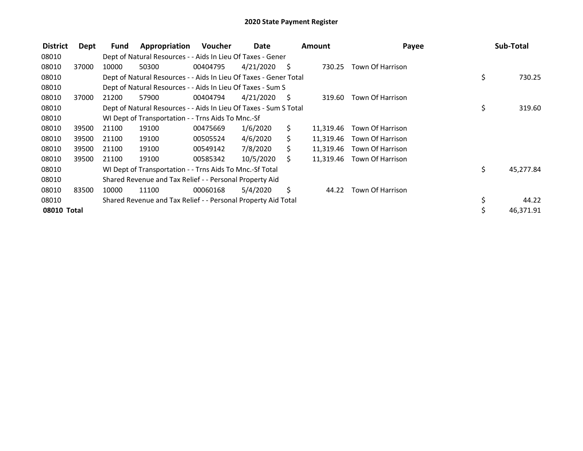| <b>District</b> | Dept  | Fund  | Appropriation                                                     | <b>Voucher</b> | Date      |     | <b>Amount</b> | Payee                      |     | Sub-Total |
|-----------------|-------|-------|-------------------------------------------------------------------|----------------|-----------|-----|---------------|----------------------------|-----|-----------|
| 08010           |       |       | Dept of Natural Resources - - Aids In Lieu Of Taxes - Gener       |                |           |     |               |                            |     |           |
| 08010           | 37000 | 10000 | 50300                                                             | 00404795       | 4/21/2020 | - S | 730.25        | Town Of Harrison           |     |           |
| 08010           |       |       | Dept of Natural Resources - - Aids In Lieu Of Taxes - Gener Total |                |           |     |               |                            | \$  | 730.25    |
| 08010           |       |       | Dept of Natural Resources - - Aids In Lieu Of Taxes - Sum S       |                |           |     |               |                            |     |           |
| 08010           | 37000 | 21200 | 57900                                                             | 00404794       | 4/21/2020 | - S | 319.60        | Town Of Harrison           |     |           |
| 08010           |       |       | Dept of Natural Resources - - Aids In Lieu Of Taxes - Sum S Total |                |           |     |               |                            | \$  | 319.60    |
| 08010           |       |       | WI Dept of Transportation - - Trns Aids To Mnc.-Sf                |                |           |     |               |                            |     |           |
| 08010           | 39500 | 21100 | 19100                                                             | 00475669       | 1/6/2020  | S.  | 11,319.46     | Town Of Harrison           |     |           |
| 08010           | 39500 | 21100 | 19100                                                             | 00505524       | 4/6/2020  | S.  | 11,319.46     | Town Of Harrison           |     |           |
| 08010           | 39500 | 21100 | 19100                                                             | 00549142       | 7/8/2020  | S.  | 11,319.46     | Town Of Harrison           |     |           |
| 08010           | 39500 | 21100 | 19100                                                             | 00585342       | 10/5/2020 | S.  |               | 11,319.46 Town Of Harrison |     |           |
| 08010           |       |       | WI Dept of Transportation - - Trns Aids To Mnc.-Sf Total          |                |           |     |               |                            | \$. | 45,277.84 |
| 08010           |       |       | Shared Revenue and Tax Relief - - Personal Property Aid           |                |           |     |               |                            |     |           |
| 08010           | 83500 | 10000 | 11100                                                             | 00060168       | 5/4/2020  | \$  | 44.22         | Town Of Harrison           |     |           |
| 08010           |       |       | Shared Revenue and Tax Relief - - Personal Property Aid Total     |                |           |     |               |                            | \$  | 44.22     |
| 08010 Total     |       |       |                                                                   |                |           |     |               |                            |     | 46,371.91 |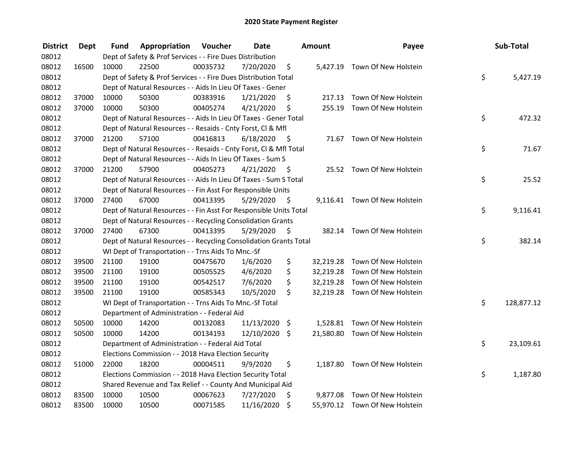| <b>District</b> | <b>Dept</b> | Fund  | Appropriation                                                      | Voucher  | Date       |         | <b>Amount</b> | Payee                          | Sub-Total        |
|-----------------|-------------|-------|--------------------------------------------------------------------|----------|------------|---------|---------------|--------------------------------|------------------|
| 08012           |             |       | Dept of Safety & Prof Services - - Fire Dues Distribution          |          |            |         |               |                                |                  |
| 08012           | 16500       | 10000 | 22500                                                              | 00035732 | 7/20/2020  | \$      |               | 5,427.19 Town Of New Holstein  |                  |
| 08012           |             |       | Dept of Safety & Prof Services - - Fire Dues Distribution Total    |          |            |         |               |                                | \$<br>5,427.19   |
| 08012           |             |       | Dept of Natural Resources - - Aids In Lieu Of Taxes - Gener        |          |            |         |               |                                |                  |
| 08012           | 37000       | 10000 | 50300                                                              | 00383916 | 1/21/2020  | \$      | 217.13        | Town Of New Holstein           |                  |
| 08012           | 37000       | 10000 | 50300                                                              | 00405274 | 4/21/2020  | \$      | 255.19        | Town Of New Holstein           |                  |
| 08012           |             |       | Dept of Natural Resources - - Aids In Lieu Of Taxes - Gener Total  |          |            |         |               |                                | \$<br>472.32     |
| 08012           |             |       | Dept of Natural Resources - - Resaids - Cnty Forst, Cl & Mfl       |          |            |         |               |                                |                  |
| 08012           | 37000       | 21200 | 57100                                                              | 00416813 | 6/18/2020  | - \$    |               | 71.67 Town Of New Holstein     |                  |
| 08012           |             |       | Dept of Natural Resources - - Resaids - Cnty Forst, Cl & Mfl Total |          |            |         |               |                                | \$<br>71.67      |
| 08012           |             |       | Dept of Natural Resources - - Aids In Lieu Of Taxes - Sum S        |          |            |         |               |                                |                  |
| 08012           | 37000       | 21200 | 57900                                                              | 00405273 | 4/21/2020  | - \$    |               | 25.52 Town Of New Holstein     |                  |
| 08012           |             |       | Dept of Natural Resources - - Aids In Lieu Of Taxes - Sum S Total  |          |            |         |               |                                | \$<br>25.52      |
| 08012           |             |       | Dept of Natural Resources - - Fin Asst For Responsible Units       |          |            |         |               |                                |                  |
| 08012           | 37000       | 27400 | 67000                                                              | 00413395 | 5/29/2020  | -\$     |               | 9,116.41 Town Of New Holstein  |                  |
| 08012           |             |       | Dept of Natural Resources - - Fin Asst For Responsible Units Total |          |            |         |               |                                | \$<br>9,116.41   |
| 08012           |             |       | Dept of Natural Resources - - Recycling Consolidation Grants       |          |            |         |               |                                |                  |
| 08012           | 37000       | 27400 | 67300                                                              | 00413395 | 5/29/2020  | \$      | 382.14        | Town Of New Holstein           |                  |
| 08012           |             |       | Dept of Natural Resources - - Recycling Consolidation Grants Total |          |            |         |               |                                | \$<br>382.14     |
| 08012           |             |       | WI Dept of Transportation - - Trns Aids To Mnc.-Sf                 |          |            |         |               |                                |                  |
| 08012           | 39500       | 21100 | 19100                                                              | 00475670 | 1/6/2020   | \$      |               | 32,219.28 Town Of New Holstein |                  |
| 08012           | 39500       | 21100 | 19100                                                              | 00505525 | 4/6/2020   | \$      |               | 32,219.28 Town Of New Holstein |                  |
| 08012           | 39500       | 21100 | 19100                                                              | 00542517 | 7/6/2020   | \$      |               | 32,219.28 Town Of New Holstein |                  |
| 08012           | 39500       | 21100 | 19100                                                              | 00585343 | 10/5/2020  | \$      |               | 32,219.28 Town Of New Holstein |                  |
| 08012           |             |       | WI Dept of Transportation - - Trns Aids To Mnc.-Sf Total           |          |            |         |               |                                | \$<br>128,877.12 |
| 08012           |             |       | Department of Administration - - Federal Aid                       |          |            |         |               |                                |                  |
| 08012           | 50500       | 10000 | 14200                                                              | 00132083 | 11/13/2020 | $\zeta$ |               | 1,528.81 Town Of New Holstein  |                  |
| 08012           | 50500       | 10000 | 14200                                                              | 00134193 | 12/10/2020 | \$      |               | 21,580.80 Town Of New Holstein |                  |
| 08012           |             |       | Department of Administration - - Federal Aid Total                 |          |            |         |               |                                | \$<br>23,109.61  |
| 08012           |             |       | Elections Commission - - 2018 Hava Election Security               |          |            |         |               |                                |                  |
| 08012           | 51000       | 22000 | 18200                                                              | 00004511 | 9/9/2020   | \$      |               | 1,187.80 Town Of New Holstein  |                  |
| 08012           |             |       | Elections Commission - - 2018 Hava Election Security Total         |          |            |         |               |                                | \$<br>1,187.80   |
| 08012           |             |       | Shared Revenue and Tax Relief - - County And Municipal Aid         |          |            |         |               |                                |                  |
| 08012           | 83500       | 10000 | 10500                                                              | 00067623 | 7/27/2020  | \$      | 9,877.08      | Town Of New Holstein           |                  |
| 08012           | 83500       | 10000 | 10500                                                              | 00071585 | 11/16/2020 | \$      |               | 55,970.12 Town Of New Holstein |                  |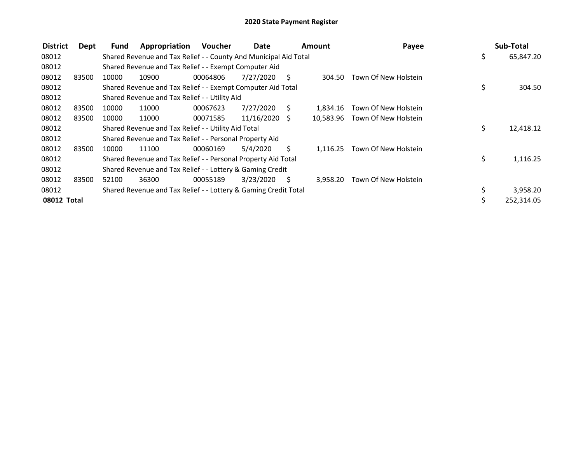| <b>District</b> | Dept  | Fund  | Appropriation                                                    | Voucher  | Date          |                     | Amount   | Payee                          |    | Sub-Total  |
|-----------------|-------|-------|------------------------------------------------------------------|----------|---------------|---------------------|----------|--------------------------------|----|------------|
| 08012           |       |       | Shared Revenue and Tax Relief - - County And Municipal Aid Total |          |               |                     |          |                                | \$ | 65,847.20  |
| 08012           |       |       | Shared Revenue and Tax Relief - - Exempt Computer Aid            |          |               |                     |          |                                |    |            |
| 08012           | 83500 | 10000 | 10900                                                            | 00064806 | 7/27/2020     | $\ddot{\mathsf{s}}$ | 304.50   | Town Of New Holstein           |    |            |
| 08012           |       |       | Shared Revenue and Tax Relief - - Exempt Computer Aid Total      |          |               |                     |          |                                | \$ | 304.50     |
| 08012           |       |       | Shared Revenue and Tax Relief - - Utility Aid                    |          |               |                     |          |                                |    |            |
| 08012           | 83500 | 10000 | 11000                                                            | 00067623 | 7/27/2020     | S.                  | 1.834.16 | Town Of New Holstein           |    |            |
| 08012           | 83500 | 10000 | 11000                                                            | 00071585 | 11/16/2020 \$ |                     |          | 10.583.96 Town Of New Holstein |    |            |
| 08012           |       |       | Shared Revenue and Tax Relief - - Utility Aid Total              |          |               |                     |          |                                | \$ | 12,418.12  |
| 08012           |       |       | Shared Revenue and Tax Relief - - Personal Property Aid          |          |               |                     |          |                                |    |            |
| 08012           | 83500 | 10000 | 11100                                                            | 00060169 | 5/4/2020      | Ś.                  | 1,116.25 | Town Of New Holstein           |    |            |
| 08012           |       |       | Shared Revenue and Tax Relief - - Personal Property Aid Total    |          |               |                     |          |                                | \$ | 1,116.25   |
| 08012           |       |       | Shared Revenue and Tax Relief - - Lottery & Gaming Credit        |          |               |                     |          |                                |    |            |
| 08012           | 83500 | 52100 | 36300                                                            | 00055189 | 3/23/2020     | S.                  | 3.958.20 | Town Of New Holstein           |    |            |
| 08012           |       |       | Shared Revenue and Tax Relief - - Lottery & Gaming Credit Total  |          |               |                     |          |                                | \$ | 3,958.20   |
| 08012 Total     |       |       |                                                                  |          |               |                     |          |                                | Ś  | 252,314.05 |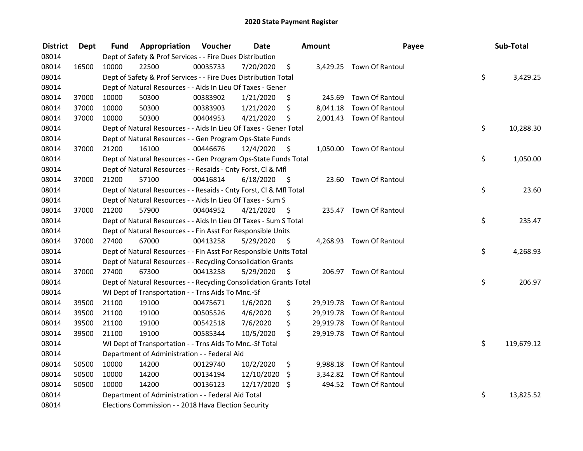| <b>District</b> | <b>Dept</b> | Fund  | Appropriation                                                      | Voucher  | <b>Date</b>   |      | <b>Amount</b> | Payee                     | Sub-Total        |
|-----------------|-------------|-------|--------------------------------------------------------------------|----------|---------------|------|---------------|---------------------------|------------------|
| 08014           |             |       | Dept of Safety & Prof Services - - Fire Dues Distribution          |          |               |      |               |                           |                  |
| 08014           | 16500       | 10000 | 22500                                                              | 00035733 | 7/20/2020     | \$   |               | 3,429.25 Town Of Rantoul  |                  |
| 08014           |             |       | Dept of Safety & Prof Services - - Fire Dues Distribution Total    |          |               |      |               |                           | \$<br>3,429.25   |
| 08014           |             |       | Dept of Natural Resources - - Aids In Lieu Of Taxes - Gener        |          |               |      |               |                           |                  |
| 08014           | 37000       | 10000 | 50300                                                              | 00383902 | 1/21/2020     | \$   | 245.69        | Town Of Rantoul           |                  |
| 08014           | 37000       | 10000 | 50300                                                              | 00383903 | 1/21/2020     | \$   |               | 8,041.18 Town Of Rantoul  |                  |
| 08014           | 37000       | 10000 | 50300                                                              | 00404953 | 4/21/2020     | \$   |               | 2,001.43 Town Of Rantoul  |                  |
| 08014           |             |       | Dept of Natural Resources - - Aids In Lieu Of Taxes - Gener Total  |          |               |      |               |                           | \$<br>10,288.30  |
| 08014           |             |       | Dept of Natural Resources - - Gen Program Ops-State Funds          |          |               |      |               |                           |                  |
| 08014           | 37000       | 21200 | 16100                                                              | 00446676 | 12/4/2020     | - \$ |               | 1,050.00 Town Of Rantoul  |                  |
| 08014           |             |       | Dept of Natural Resources - - Gen Program Ops-State Funds Total    |          |               |      |               |                           | \$<br>1,050.00   |
| 08014           |             |       | Dept of Natural Resources - - Resaids - Cnty Forst, CI & Mfl       |          |               |      |               |                           |                  |
| 08014           | 37000       | 21200 | 57100                                                              | 00416814 | 6/18/2020     | - \$ |               | 23.60 Town Of Rantoul     |                  |
| 08014           |             |       | Dept of Natural Resources - - Resaids - Cnty Forst, Cl & Mfl Total |          |               |      |               |                           | \$<br>23.60      |
| 08014           |             |       | Dept of Natural Resources - - Aids In Lieu Of Taxes - Sum S        |          |               |      |               |                           |                  |
| 08014           | 37000       | 21200 | 57900                                                              | 00404952 | 4/21/2020     | - \$ |               | 235.47 Town Of Rantoul    |                  |
| 08014           |             |       | Dept of Natural Resources - - Aids In Lieu Of Taxes - Sum S Total  |          |               |      |               |                           | \$<br>235.47     |
| 08014           |             |       | Dept of Natural Resources - - Fin Asst For Responsible Units       |          |               |      |               |                           |                  |
| 08014           | 37000       | 27400 | 67000                                                              | 00413258 | 5/29/2020     | - \$ |               | 4,268.93 Town Of Rantoul  |                  |
| 08014           |             |       | Dept of Natural Resources - - Fin Asst For Responsible Units Total |          |               |      |               |                           | \$<br>4,268.93   |
| 08014           |             |       | Dept of Natural Resources - - Recycling Consolidation Grants       |          |               |      |               |                           |                  |
| 08014           | 37000       | 27400 | 67300                                                              | 00413258 | 5/29/2020     | - \$ |               | 206.97 Town Of Rantoul    |                  |
| 08014           |             |       | Dept of Natural Resources - - Recycling Consolidation Grants Total |          |               |      |               |                           | \$<br>206.97     |
| 08014           |             |       | WI Dept of Transportation - - Trns Aids To Mnc.-Sf                 |          |               |      |               |                           |                  |
| 08014           | 39500       | 21100 | 19100                                                              | 00475671 | 1/6/2020      | \$   |               | 29,919.78 Town Of Rantoul |                  |
| 08014           | 39500       | 21100 | 19100                                                              | 00505526 | 4/6/2020      | \$   |               | 29,919.78 Town Of Rantoul |                  |
| 08014           | 39500       | 21100 | 19100                                                              | 00542518 | 7/6/2020      | \$   |               | 29,919.78 Town Of Rantoul |                  |
| 08014           | 39500       | 21100 | 19100                                                              | 00585344 | 10/5/2020     | \$   |               | 29,919.78 Town Of Rantoul |                  |
| 08014           |             |       | WI Dept of Transportation - - Trns Aids To Mnc.-Sf Total           |          |               |      |               |                           | \$<br>119,679.12 |
| 08014           |             |       | Department of Administration - - Federal Aid                       |          |               |      |               |                           |                  |
| 08014           | 50500       | 10000 | 14200                                                              | 00129740 | 10/2/2020     | \$   |               | 9,988.18 Town Of Rantoul  |                  |
| 08014           | 50500       | 10000 | 14200                                                              | 00134194 | 12/10/2020    | \$   |               | 3,342.82 Town Of Rantoul  |                  |
| 08014           | 50500       | 10000 | 14200                                                              | 00136123 | 12/17/2020 \$ |      |               | 494.52 Town Of Rantoul    |                  |
| 08014           |             |       | Department of Administration - - Federal Aid Total                 |          |               |      |               |                           | \$<br>13,825.52  |
| 08014           |             |       | Elections Commission - - 2018 Hava Election Security               |          |               |      |               |                           |                  |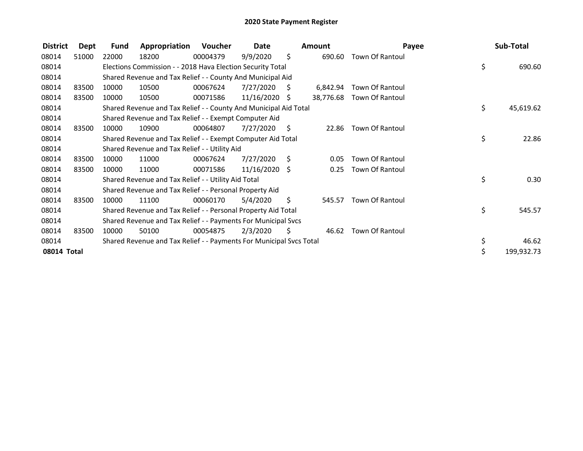| <b>District</b> | <b>Dept</b> | Fund  | Appropriation                                                       | Voucher  | Date            |     | <b>Amount</b> |                        | Payee | Sub-Total  |
|-----------------|-------------|-------|---------------------------------------------------------------------|----------|-----------------|-----|---------------|------------------------|-------|------------|
| 08014           | 51000       | 22000 | 18200                                                               | 00004379 | 9/9/2020        | \$  | 690.60        | <b>Town Of Rantoul</b> |       |            |
| 08014           |             |       | Elections Commission - - 2018 Hava Election Security Total          |          |                 |     |               |                        | \$    | 690.60     |
| 08014           |             |       | Shared Revenue and Tax Relief - - County And Municipal Aid          |          |                 |     |               |                        |       |            |
| 08014           | 83500       | 10000 | 10500                                                               | 00067624 | 7/27/2020       | - S | 6,842.94      | <b>Town Of Rantoul</b> |       |            |
| 08014           | 83500       | 10000 | 10500                                                               | 00071586 | $11/16/2020$ \$ |     | 38,776.68     | <b>Town Of Rantoul</b> |       |            |
| 08014           |             |       | Shared Revenue and Tax Relief - - County And Municipal Aid Total    |          |                 |     |               |                        | \$    | 45,619.62  |
| 08014           |             |       | Shared Revenue and Tax Relief - - Exempt Computer Aid               |          |                 |     |               |                        |       |            |
| 08014           | 83500       | 10000 | 10900                                                               | 00064807 | 7/27/2020       | - S | 22.86         | <b>Town Of Rantoul</b> |       |            |
| 08014           |             |       | Shared Revenue and Tax Relief - - Exempt Computer Aid Total         |          |                 |     |               |                        | \$    | 22.86      |
| 08014           |             |       | Shared Revenue and Tax Relief - - Utility Aid                       |          |                 |     |               |                        |       |            |
| 08014           | 83500       | 10000 | 11000                                                               | 00067624 | 7/27/2020       | S.  | 0.05          | Town Of Rantoul        |       |            |
| 08014           | 83500       | 10000 | 11000                                                               | 00071586 | $11/16/2020$ \$ |     | 0.25          | <b>Town Of Rantoul</b> |       |            |
| 08014           |             |       | Shared Revenue and Tax Relief - - Utility Aid Total                 |          |                 |     |               |                        | \$    | 0.30       |
| 08014           |             |       | Shared Revenue and Tax Relief - - Personal Property Aid             |          |                 |     |               |                        |       |            |
| 08014           | 83500       | 10000 | 11100                                                               | 00060170 | 5/4/2020        | \$  | 545.57        | <b>Town Of Rantoul</b> |       |            |
| 08014           |             |       | Shared Revenue and Tax Relief - - Personal Property Aid Total       |          |                 |     |               |                        | \$    | 545.57     |
| 08014           |             |       | Shared Revenue and Tax Relief - - Payments For Municipal Svcs       |          |                 |     |               |                        |       |            |
| 08014           | 83500       | 10000 | 50100                                                               | 00054875 | 2/3/2020        | S   | 46.62         | <b>Town Of Rantoul</b> |       |            |
| 08014           |             |       | Shared Revenue and Tax Relief - - Payments For Municipal Svcs Total |          |                 |     |               |                        | \$    | 46.62      |
| 08014 Total     |             |       |                                                                     |          |                 |     |               |                        |       | 199,932.73 |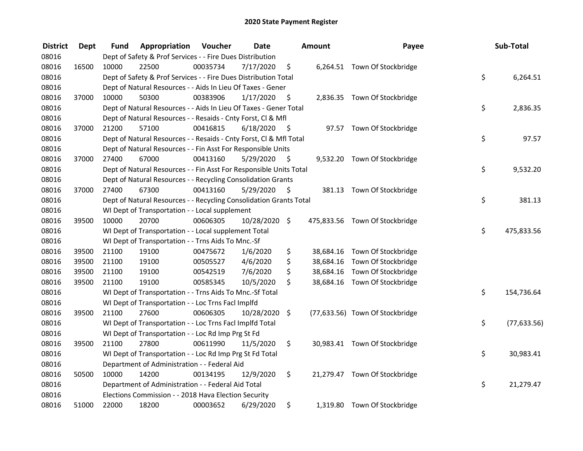| <b>District</b> | <b>Dept</b> | Fund  | Appropriation                                                      | <b>Voucher</b> | <b>Date</b>   |                     | <b>Amount</b> | Payee                           | Sub-Total          |
|-----------------|-------------|-------|--------------------------------------------------------------------|----------------|---------------|---------------------|---------------|---------------------------------|--------------------|
| 08016           |             |       | Dept of Safety & Prof Services - - Fire Dues Distribution          |                |               |                     |               |                                 |                    |
| 08016           | 16500       | 10000 | 22500                                                              | 00035734       | 7/17/2020     | \$                  |               | 6,264.51 Town Of Stockbridge    |                    |
| 08016           |             |       | Dept of Safety & Prof Services - - Fire Dues Distribution Total    |                |               |                     |               |                                 | \$<br>6,264.51     |
| 08016           |             |       | Dept of Natural Resources - - Aids In Lieu Of Taxes - Gener        |                |               |                     |               |                                 |                    |
| 08016           | 37000       | 10000 | 50300                                                              | 00383906       | 1/17/2020     | -\$                 |               | 2,836.35 Town Of Stockbridge    |                    |
| 08016           |             |       | Dept of Natural Resources - - Aids In Lieu Of Taxes - Gener Total  |                |               |                     |               |                                 | \$<br>2,836.35     |
| 08016           |             |       | Dept of Natural Resources - - Resaids - Cnty Forst, Cl & Mfl       |                |               |                     |               |                                 |                    |
| 08016           | 37000       | 21200 | 57100                                                              | 00416815       | 6/18/2020     | $\ddot{\mathsf{s}}$ |               | 97.57 Town Of Stockbridge       |                    |
| 08016           |             |       | Dept of Natural Resources - - Resaids - Cnty Forst, Cl & Mfl Total |                |               |                     |               |                                 | \$<br>97.57        |
| 08016           |             |       | Dept of Natural Resources - - Fin Asst For Responsible Units       |                |               |                     |               |                                 |                    |
| 08016           | 37000       | 27400 | 67000                                                              | 00413160       | 5/29/2020     | - \$                |               | 9,532.20 Town Of Stockbridge    |                    |
| 08016           |             |       | Dept of Natural Resources - - Fin Asst For Responsible Units Total |                |               |                     |               |                                 | \$<br>9,532.20     |
| 08016           |             |       | Dept of Natural Resources - - Recycling Consolidation Grants       |                |               |                     |               |                                 |                    |
| 08016           | 37000       | 27400 | 67300                                                              | 00413160       | 5/29/2020     | \$.                 |               | 381.13 Town Of Stockbridge      |                    |
| 08016           |             |       | Dept of Natural Resources - - Recycling Consolidation Grants Total |                |               |                     |               |                                 | \$<br>381.13       |
| 08016           |             |       | WI Dept of Transportation - - Local supplement                     |                |               |                     |               |                                 |                    |
| 08016           | 39500       | 10000 | 20700                                                              | 00606305       | 10/28/2020 \$ |                     |               | 475,833.56 Town Of Stockbridge  |                    |
| 08016           |             |       | WI Dept of Transportation - - Local supplement Total               |                |               |                     |               |                                 | \$<br>475,833.56   |
| 08016           |             |       | WI Dept of Transportation - - Trns Aids To Mnc.-Sf                 |                |               |                     |               |                                 |                    |
| 08016           | 39500       | 21100 | 19100                                                              | 00475672       | 1/6/2020      | \$                  |               | 38,684.16 Town Of Stockbridge   |                    |
| 08016           | 39500       | 21100 | 19100                                                              | 00505527       | 4/6/2020      | \$                  |               | 38,684.16 Town Of Stockbridge   |                    |
| 08016           | 39500       | 21100 | 19100                                                              | 00542519       | 7/6/2020      | \$                  |               | 38,684.16 Town Of Stockbridge   |                    |
| 08016           | 39500       | 21100 | 19100                                                              | 00585345       | 10/5/2020     | \$                  |               | 38,684.16 Town Of Stockbridge   |                    |
| 08016           |             |       | WI Dept of Transportation - - Trns Aids To Mnc.-Sf Total           |                |               |                     |               |                                 | \$<br>154,736.64   |
| 08016           |             |       | WI Dept of Transportation - - Loc Trns Facl Implfd                 |                |               |                     |               |                                 |                    |
| 08016           | 39500       | 21100 | 27600                                                              | 00606305       | 10/28/2020 \$ |                     |               | (77,633.56) Town Of Stockbridge |                    |
| 08016           |             |       | WI Dept of Transportation - - Loc Trns Facl Implfd Total           |                |               |                     |               |                                 | \$<br>(77, 633.56) |
| 08016           |             |       | WI Dept of Transportation - - Loc Rd Imp Prg St Fd                 |                |               |                     |               |                                 |                    |
| 08016           | 39500       | 21100 | 27800                                                              | 00611990       | 11/5/2020     | \$                  |               | 30,983.41 Town Of Stockbridge   |                    |
| 08016           |             |       | WI Dept of Transportation - - Loc Rd Imp Prg St Fd Total           |                |               |                     |               |                                 | \$<br>30,983.41    |
| 08016           |             |       | Department of Administration - - Federal Aid                       |                |               |                     |               |                                 |                    |
| 08016           | 50500       | 10000 | 14200                                                              | 00134195       | 12/9/2020     | \$                  |               | 21,279.47 Town Of Stockbridge   |                    |
| 08016           |             |       | Department of Administration - - Federal Aid Total                 |                |               |                     |               |                                 | \$<br>21,279.47    |
| 08016           |             |       | Elections Commission - - 2018 Hava Election Security               |                |               |                     |               |                                 |                    |
| 08016           | 51000       | 22000 | 18200                                                              | 00003652       | 6/29/2020     | \$                  |               | 1,319.80 Town Of Stockbridge    |                    |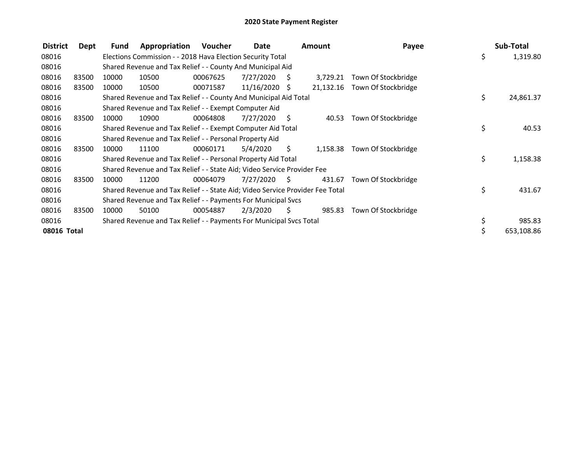| <b>District</b> | Dept  | <b>Fund</b> | Appropriation                                                                 | Voucher  | Date            |                | <b>Amount</b> | Payee               | Sub-Total       |
|-----------------|-------|-------------|-------------------------------------------------------------------------------|----------|-----------------|----------------|---------------|---------------------|-----------------|
| 08016           |       |             | Elections Commission - - 2018 Hava Election Security Total                    |          |                 |                |               |                     | \$<br>1,319.80  |
| 08016           |       |             | Shared Revenue and Tax Relief - - County And Municipal Aid                    |          |                 |                |               |                     |                 |
| 08016           | 83500 | 10000       | 10500                                                                         | 00067625 | 7/27/2020       | - S            | 3,729.21      | Town Of Stockbridge |                 |
| 08016           | 83500 | 10000       | 10500                                                                         | 00071587 | $11/16/2020$ \$ |                | 21,132.16     | Town Of Stockbridge |                 |
| 08016           |       |             | Shared Revenue and Tax Relief - - County And Municipal Aid Total              |          |                 |                |               |                     | \$<br>24,861.37 |
| 08016           |       |             | Shared Revenue and Tax Relief - - Exempt Computer Aid                         |          |                 |                |               |                     |                 |
| 08016           | 83500 | 10000       | 10900                                                                         | 00064808 | 7/27/2020       | $\ddot{\zeta}$ | 40.53         | Town Of Stockbridge |                 |
| 08016           |       |             | Shared Revenue and Tax Relief - - Exempt Computer Aid Total                   |          |                 |                |               |                     | \$<br>40.53     |
| 08016           |       |             | Shared Revenue and Tax Relief - - Personal Property Aid                       |          |                 |                |               |                     |                 |
| 08016           | 83500 | 10000       | 11100                                                                         | 00060171 | 5/4/2020        | S.             | 1,158.38      | Town Of Stockbridge |                 |
| 08016           |       |             | Shared Revenue and Tax Relief - - Personal Property Aid Total                 |          |                 |                |               |                     | \$<br>1,158.38  |
| 08016           |       |             | Shared Revenue and Tax Relief - - State Aid; Video Service Provider Fee       |          |                 |                |               |                     |                 |
| 08016           | 83500 | 10000       | 11200                                                                         | 00064079 | 7/27/2020       | - \$           | 431.67        | Town Of Stockbridge |                 |
| 08016           |       |             | Shared Revenue and Tax Relief - - State Aid; Video Service Provider Fee Total |          |                 |                |               |                     | \$<br>431.67    |
| 08016           |       |             | Shared Revenue and Tax Relief - - Payments For Municipal Svcs                 |          |                 |                |               |                     |                 |
| 08016           | 83500 | 10000       | 50100                                                                         | 00054887 | 2/3/2020        | S.             | 985.83        | Town Of Stockbridge |                 |
| 08016           |       |             | Shared Revenue and Tax Relief - - Payments For Municipal Svcs Total           |          |                 |                |               |                     | \$<br>985.83    |
| 08016 Total     |       |             |                                                                               |          |                 |                |               |                     | 653,108.86      |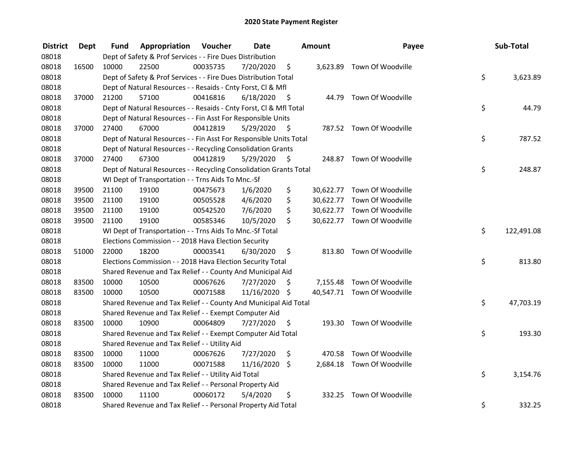| <b>District</b> | <b>Dept</b> | Fund  | Appropriation                                                      | Voucher  | <b>Date</b>   |      | Amount | Payee                       | Sub-Total        |
|-----------------|-------------|-------|--------------------------------------------------------------------|----------|---------------|------|--------|-----------------------------|------------------|
| 08018           |             |       | Dept of Safety & Prof Services - - Fire Dues Distribution          |          |               |      |        |                             |                  |
| 08018           | 16500       | 10000 | 22500                                                              | 00035735 | 7/20/2020     | \$   |        | 3,623.89 Town Of Woodville  |                  |
| 08018           |             |       | Dept of Safety & Prof Services - - Fire Dues Distribution Total    |          |               |      |        |                             | \$<br>3,623.89   |
| 08018           |             |       | Dept of Natural Resources - - Resaids - Cnty Forst, Cl & Mfl       |          |               |      |        |                             |                  |
| 08018           | 37000       | 21200 | 57100                                                              | 00416816 | 6/18/2020     | - \$ |        | 44.79 Town Of Woodville     |                  |
| 08018           |             |       | Dept of Natural Resources - - Resaids - Cnty Forst, Cl & Mfl Total |          |               |      |        |                             | \$<br>44.79      |
| 08018           |             |       | Dept of Natural Resources - - Fin Asst For Responsible Units       |          |               |      |        |                             |                  |
| 08018           | 37000       | 27400 | 67000                                                              | 00412819 | 5/29/2020     | - \$ |        | 787.52 Town Of Woodville    |                  |
| 08018           |             |       | Dept of Natural Resources - - Fin Asst For Responsible Units Total |          |               |      |        |                             | \$<br>787.52     |
| 08018           |             |       | Dept of Natural Resources - - Recycling Consolidation Grants       |          |               |      |        |                             |                  |
| 08018           | 37000       | 27400 | 67300                                                              | 00412819 | 5/29/2020     | S.   |        | 248.87 Town Of Woodville    |                  |
| 08018           |             |       | Dept of Natural Resources - - Recycling Consolidation Grants Total |          |               |      |        |                             | \$<br>248.87     |
| 08018           |             |       | WI Dept of Transportation - - Trns Aids To Mnc.-Sf                 |          |               |      |        |                             |                  |
| 08018           | 39500       | 21100 | 19100                                                              | 00475673 | 1/6/2020      | \$   |        | 30,622.77 Town Of Woodville |                  |
| 08018           | 39500       | 21100 | 19100                                                              | 00505528 | 4/6/2020      | \$   |        | 30,622.77 Town Of Woodville |                  |
| 08018           | 39500       | 21100 | 19100                                                              | 00542520 | 7/6/2020      | \$   |        | 30,622.77 Town Of Woodville |                  |
| 08018           | 39500       | 21100 | 19100                                                              | 00585346 | 10/5/2020     | \$   |        | 30,622.77 Town Of Woodville |                  |
| 08018           |             |       | WI Dept of Transportation - - Trns Aids To Mnc.-Sf Total           |          |               |      |        |                             | \$<br>122,491.08 |
| 08018           |             |       | Elections Commission - - 2018 Hava Election Security               |          |               |      |        |                             |                  |
| 08018           | 51000       | 22000 | 18200                                                              | 00003541 | 6/30/2020     | \$   |        | 813.80 Town Of Woodville    |                  |
| 08018           |             |       | Elections Commission - - 2018 Hava Election Security Total         |          |               |      |        |                             | \$<br>813.80     |
| 08018           |             |       | Shared Revenue and Tax Relief - - County And Municipal Aid         |          |               |      |        |                             |                  |
| 08018           | 83500       | 10000 | 10500                                                              | 00067626 | 7/27/2020     | S    |        | 7,155.48 Town Of Woodville  |                  |
| 08018           | 83500       | 10000 | 10500                                                              | 00071588 | 11/16/2020 \$ |      |        | 40,547.71 Town Of Woodville |                  |
| 08018           |             |       | Shared Revenue and Tax Relief - - County And Municipal Aid Total   |          |               |      |        |                             | \$<br>47,703.19  |
| 08018           |             |       | Shared Revenue and Tax Relief - - Exempt Computer Aid              |          |               |      |        |                             |                  |
| 08018           | 83500       | 10000 | 10900                                                              | 00064809 | 7/27/2020     | \$   |        | 193.30 Town Of Woodville    |                  |
| 08018           |             |       | Shared Revenue and Tax Relief - - Exempt Computer Aid Total        |          |               |      |        |                             | \$<br>193.30     |
| 08018           |             |       | Shared Revenue and Tax Relief - - Utility Aid                      |          |               |      |        |                             |                  |
| 08018           | 83500       | 10000 | 11000                                                              | 00067626 | 7/27/2020     | \$   |        | 470.58 Town Of Woodville    |                  |
| 08018           | 83500       | 10000 | 11000                                                              | 00071588 | 11/16/2020    | \$   |        | 2,684.18 Town Of Woodville  |                  |
| 08018           |             |       | Shared Revenue and Tax Relief - - Utility Aid Total                |          |               |      |        |                             | \$<br>3,154.76   |
| 08018           |             |       | Shared Revenue and Tax Relief - - Personal Property Aid            |          |               |      |        |                             |                  |
| 08018           | 83500       | 10000 | 11100                                                              | 00060172 | 5/4/2020      | \$   | 332.25 | Town Of Woodville           |                  |
| 08018           |             |       | Shared Revenue and Tax Relief - - Personal Property Aid Total      |          |               |      |        |                             | \$<br>332.25     |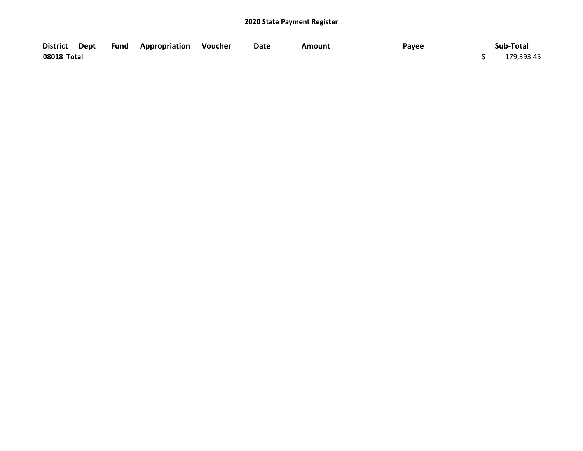|             |  | District Dept Fund Appropriation Voucher | Date | Amount | Payee | Sub-Total  |
|-------------|--|------------------------------------------|------|--------|-------|------------|
| 08018 Total |  |                                          |      |        |       | 179,393.45 |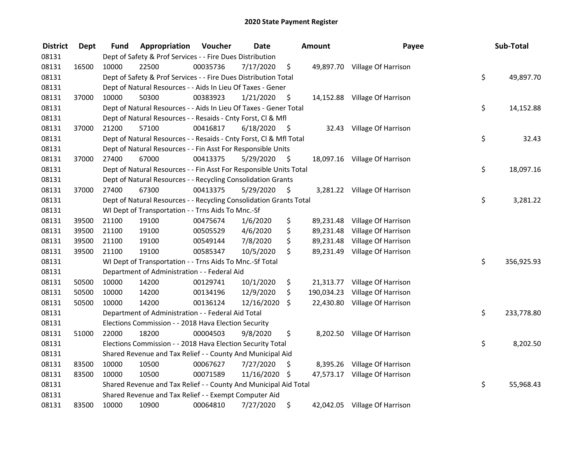| <b>District</b> | <b>Dept</b> | Fund  | Appropriation                                                      | Voucher  | <b>Date</b> |      | <b>Amount</b> | Payee                         | Sub-Total        |
|-----------------|-------------|-------|--------------------------------------------------------------------|----------|-------------|------|---------------|-------------------------------|------------------|
| 08131           |             |       | Dept of Safety & Prof Services - - Fire Dues Distribution          |          |             |      |               |                               |                  |
| 08131           | 16500       | 10000 | 22500                                                              | 00035736 | 7/17/2020   | \$   |               | 49,897.70 Village Of Harrison |                  |
| 08131           |             |       | Dept of Safety & Prof Services - - Fire Dues Distribution Total    |          |             |      |               |                               | \$<br>49,897.70  |
| 08131           |             |       | Dept of Natural Resources - - Aids In Lieu Of Taxes - Gener        |          |             |      |               |                               |                  |
| 08131           | 37000       | 10000 | 50300                                                              | 00383923 | 1/21/2020   | \$   |               | 14,152.88 Village Of Harrison |                  |
| 08131           |             |       | Dept of Natural Resources - - Aids In Lieu Of Taxes - Gener Total  |          |             |      |               |                               | \$<br>14,152.88  |
| 08131           |             |       | Dept of Natural Resources - - Resaids - Cnty Forst, Cl & Mfl       |          |             |      |               |                               |                  |
| 08131           | 37000       | 21200 | 57100                                                              | 00416817 | 6/18/2020   | - \$ |               | 32.43 Village Of Harrison     |                  |
| 08131           |             |       | Dept of Natural Resources - - Resaids - Cnty Forst, Cl & Mfl Total |          |             |      |               |                               | \$<br>32.43      |
| 08131           |             |       | Dept of Natural Resources - - Fin Asst For Responsible Units       |          |             |      |               |                               |                  |
| 08131           | 37000       | 27400 | 67000                                                              | 00413375 | 5/29/2020   | \$   |               | 18,097.16 Village Of Harrison |                  |
| 08131           |             |       | Dept of Natural Resources - - Fin Asst For Responsible Units Total |          |             |      |               |                               | \$<br>18,097.16  |
| 08131           |             |       | Dept of Natural Resources - - Recycling Consolidation Grants       |          |             |      |               |                               |                  |
| 08131           | 37000       | 27400 | 67300                                                              | 00413375 | 5/29/2020   | \$.  |               | 3,281.22 Village Of Harrison  |                  |
| 08131           |             |       | Dept of Natural Resources - - Recycling Consolidation Grants Total |          |             |      |               |                               | \$<br>3,281.22   |
| 08131           |             |       | WI Dept of Transportation - - Trns Aids To Mnc.-Sf                 |          |             |      |               |                               |                  |
| 08131           | 39500       | 21100 | 19100                                                              | 00475674 | 1/6/2020    | \$   | 89,231.48     | Village Of Harrison           |                  |
| 08131           | 39500       | 21100 | 19100                                                              | 00505529 | 4/6/2020    | \$   | 89,231.48     | Village Of Harrison           |                  |
| 08131           | 39500       | 21100 | 19100                                                              | 00549144 | 7/8/2020    | \$   | 89,231.48     | Village Of Harrison           |                  |
| 08131           | 39500       | 21100 | 19100                                                              | 00585347 | 10/5/2020   | \$   | 89,231.49     | Village Of Harrison           |                  |
| 08131           |             |       | WI Dept of Transportation - - Trns Aids To Mnc.-Sf Total           |          |             |      |               |                               | \$<br>356,925.93 |
| 08131           |             |       | Department of Administration - - Federal Aid                       |          |             |      |               |                               |                  |
| 08131           | 50500       | 10000 | 14200                                                              | 00129741 | 10/1/2020   | \$   |               | 21,313.77 Village Of Harrison |                  |
| 08131           | 50500       | 10000 | 14200                                                              | 00134196 | 12/9/2020   | \$   | 190,034.23    | Village Of Harrison           |                  |
| 08131           | 50500       | 10000 | 14200                                                              | 00136124 | 12/16/2020  | \$   | 22,430.80     | Village Of Harrison           |                  |
| 08131           |             |       | Department of Administration - - Federal Aid Total                 |          |             |      |               |                               | \$<br>233,778.80 |
| 08131           |             |       | Elections Commission - - 2018 Hava Election Security               |          |             |      |               |                               |                  |
| 08131           | 51000       | 22000 | 18200                                                              | 00004503 | 9/8/2020    | \$   |               | 8,202.50 Village Of Harrison  |                  |
| 08131           |             |       | Elections Commission - - 2018 Hava Election Security Total         |          |             |      |               |                               | \$<br>8,202.50   |
| 08131           |             |       | Shared Revenue and Tax Relief - - County And Municipal Aid         |          |             |      |               |                               |                  |
| 08131           | 83500       | 10000 | 10500                                                              | 00067627 | 7/27/2020   | \$   |               | 8,395.26 Village Of Harrison  |                  |
| 08131           | 83500       | 10000 | 10500                                                              | 00071589 | 11/16/2020  | - \$ |               | 47,573.17 Village Of Harrison |                  |
| 08131           |             |       | Shared Revenue and Tax Relief - - County And Municipal Aid Total   |          |             |      |               |                               | \$<br>55,968.43  |
| 08131           |             |       | Shared Revenue and Tax Relief - - Exempt Computer Aid              |          |             |      |               |                               |                  |
| 08131           | 83500       | 10000 | 10900                                                              | 00064810 | 7/27/2020   | \$   |               | 42,042.05 Village Of Harrison |                  |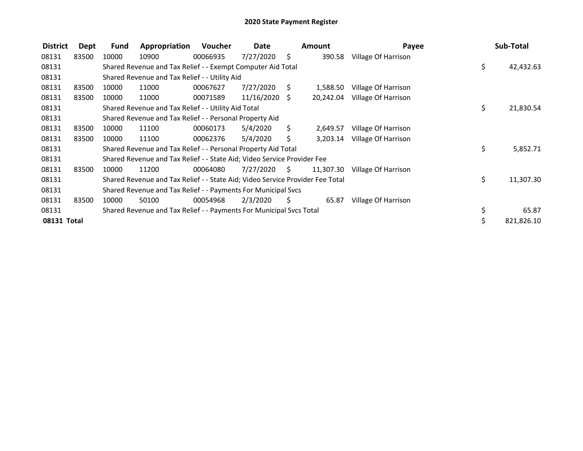| <b>District</b> | Dept  | <b>Fund</b> | Appropriation                                                                 | Voucher  | Date            |      | <b>Amount</b> | Payee               | Sub-Total       |
|-----------------|-------|-------------|-------------------------------------------------------------------------------|----------|-----------------|------|---------------|---------------------|-----------------|
| 08131           | 83500 | 10000       | 10900                                                                         | 00066935 | 7/27/2020       | - \$ | 390.58        | Village Of Harrison |                 |
| 08131           |       |             | Shared Revenue and Tax Relief - - Exempt Computer Aid Total                   |          |                 |      |               |                     | \$<br>42,432.63 |
| 08131           |       |             | Shared Revenue and Tax Relief - - Utility Aid                                 |          |                 |      |               |                     |                 |
| 08131           | 83500 | 10000       | 11000                                                                         | 00067627 | 7/27/2020       | S    | 1,588.50      | Village Of Harrison |                 |
| 08131           | 83500 | 10000       | 11000                                                                         | 00071589 | $11/16/2020$ \$ |      | 20,242.04     | Village Of Harrison |                 |
| 08131           |       |             | Shared Revenue and Tax Relief - - Utility Aid Total                           |          |                 |      |               |                     | \$<br>21,830.54 |
| 08131           |       |             | Shared Revenue and Tax Relief - - Personal Property Aid                       |          |                 |      |               |                     |                 |
| 08131           | 83500 | 10000       | 11100                                                                         | 00060173 | 5/4/2020        | \$.  | 2,649.57      | Village Of Harrison |                 |
| 08131           | 83500 | 10000       | 11100                                                                         | 00062376 | 5/4/2020        | Ś.   | 3,203.14      | Village Of Harrison |                 |
| 08131           |       |             | Shared Revenue and Tax Relief - - Personal Property Aid Total                 |          |                 |      |               |                     | \$<br>5,852.71  |
| 08131           |       |             | Shared Revenue and Tax Relief - - State Aid; Video Service Provider Fee       |          |                 |      |               |                     |                 |
| 08131           | 83500 | 10000       | 11200                                                                         | 00064080 | 7/27/2020       | - \$ | 11,307.30     | Village Of Harrison |                 |
| 08131           |       |             | Shared Revenue and Tax Relief - - State Aid; Video Service Provider Fee Total |          |                 |      |               |                     | \$<br>11,307.30 |
| 08131           |       |             | Shared Revenue and Tax Relief - - Payments For Municipal Svcs                 |          |                 |      |               |                     |                 |
| 08131           | 83500 | 10000       | 50100                                                                         | 00054968 | 2/3/2020        | S.   | 65.87         | Village Of Harrison |                 |
| 08131           |       |             | Shared Revenue and Tax Relief - - Payments For Municipal Svcs Total           |          |                 |      |               |                     | 65.87           |
| 08131 Total     |       |             |                                                                               |          |                 |      |               |                     | 821,826.10      |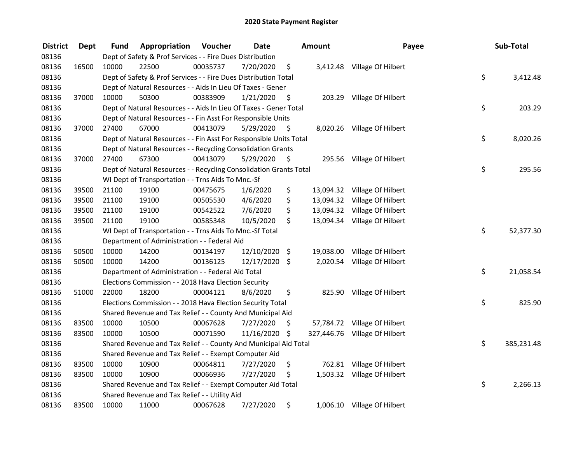| <b>District</b> | <b>Dept</b> | Fund  | Appropriation                                                      | Voucher  | <b>Date</b>   |      | Amount | Payee                         | Sub-Total        |
|-----------------|-------------|-------|--------------------------------------------------------------------|----------|---------------|------|--------|-------------------------------|------------------|
| 08136           |             |       | Dept of Safety & Prof Services - - Fire Dues Distribution          |          |               |      |        |                               |                  |
| 08136           | 16500       | 10000 | 22500                                                              | 00035737 | 7/20/2020     | \$   |        | 3,412.48 Village Of Hilbert   |                  |
| 08136           |             |       | Dept of Safety & Prof Services - - Fire Dues Distribution Total    |          |               |      |        |                               | \$<br>3,412.48   |
| 08136           |             |       | Dept of Natural Resources - - Aids In Lieu Of Taxes - Gener        |          |               |      |        |                               |                  |
| 08136           | 37000       | 10000 | 50300                                                              | 00383909 | 1/21/2020     | \$   |        | 203.29 Village Of Hilbert     |                  |
| 08136           |             |       | Dept of Natural Resources - - Aids In Lieu Of Taxes - Gener Total  |          |               |      |        |                               | \$<br>203.29     |
| 08136           |             |       | Dept of Natural Resources - - Fin Asst For Responsible Units       |          |               |      |        |                               |                  |
| 08136           | 37000       | 27400 | 67000                                                              | 00413079 | 5/29/2020     | - \$ |        | 8,020.26 Village Of Hilbert   |                  |
| 08136           |             |       | Dept of Natural Resources - - Fin Asst For Responsible Units Total |          |               |      |        |                               | \$<br>8,020.26   |
| 08136           |             |       | Dept of Natural Resources - - Recycling Consolidation Grants       |          |               |      |        |                               |                  |
| 08136           | 37000       | 27400 | 67300                                                              | 00413079 | 5/29/2020     | \$   |        | 295.56 Village Of Hilbert     |                  |
| 08136           |             |       | Dept of Natural Resources - - Recycling Consolidation Grants Total |          |               |      |        |                               | \$<br>295.56     |
| 08136           |             |       | WI Dept of Transportation - - Trns Aids To Mnc.-Sf                 |          |               |      |        |                               |                  |
| 08136           | 39500       | 21100 | 19100                                                              | 00475675 | 1/6/2020      | \$   |        | 13,094.32 Village Of Hilbert  |                  |
| 08136           | 39500       | 21100 | 19100                                                              | 00505530 | 4/6/2020      | \$   |        | 13,094.32 Village Of Hilbert  |                  |
| 08136           | 39500       | 21100 | 19100                                                              | 00542522 | 7/6/2020      | \$   |        | 13,094.32 Village Of Hilbert  |                  |
| 08136           | 39500       | 21100 | 19100                                                              | 00585348 | 10/5/2020     | \$   |        | 13,094.34 Village Of Hilbert  |                  |
| 08136           |             |       | WI Dept of Transportation - - Trns Aids To Mnc.-Sf Total           |          |               |      |        |                               | \$<br>52,377.30  |
| 08136           |             |       | Department of Administration - - Federal Aid                       |          |               |      |        |                               |                  |
| 08136           | 50500       | 10000 | 14200                                                              | 00134197 | 12/10/2020    | \$   |        | 19,038.00 Village Of Hilbert  |                  |
| 08136           | 50500       | 10000 | 14200                                                              | 00136125 | 12/17/2020 \$ |      |        | 2,020.54 Village Of Hilbert   |                  |
| 08136           |             |       | Department of Administration - - Federal Aid Total                 |          |               |      |        |                               | \$<br>21,058.54  |
| 08136           |             |       | Elections Commission - - 2018 Hava Election Security               |          |               |      |        |                               |                  |
| 08136           | 51000       | 22000 | 18200                                                              | 00004121 | 8/6/2020      | \$   |        | 825.90 Village Of Hilbert     |                  |
| 08136           |             |       | Elections Commission - - 2018 Hava Election Security Total         |          |               |      |        |                               | \$<br>825.90     |
| 08136           |             |       | Shared Revenue and Tax Relief - - County And Municipal Aid         |          |               |      |        |                               |                  |
| 08136           | 83500       | 10000 | 10500                                                              | 00067628 | 7/27/2020     | \$   |        | 57,784.72 Village Of Hilbert  |                  |
| 08136           | 83500       | 10000 | 10500                                                              | 00071590 | 11/16/2020 \$ |      |        | 327,446.76 Village Of Hilbert |                  |
| 08136           |             |       | Shared Revenue and Tax Relief - - County And Municipal Aid Total   |          |               |      |        |                               | \$<br>385,231.48 |
| 08136           |             |       | Shared Revenue and Tax Relief - - Exempt Computer Aid              |          |               |      |        |                               |                  |
| 08136           | 83500       | 10000 | 10900                                                              | 00064811 | 7/27/2020     | \$   |        | 762.81 Village Of Hilbert     |                  |
| 08136           | 83500       | 10000 | 10900                                                              | 00066936 | 7/27/2020     | \$   |        | 1,503.32 Village Of Hilbert   |                  |
| 08136           |             |       | Shared Revenue and Tax Relief - - Exempt Computer Aid Total        |          |               |      |        |                               | \$<br>2,266.13   |
| 08136           |             |       | Shared Revenue and Tax Relief - - Utility Aid                      |          |               |      |        |                               |                  |
| 08136           | 83500       | 10000 | 11000                                                              | 00067628 | 7/27/2020     | \$   |        | 1,006.10 Village Of Hilbert   |                  |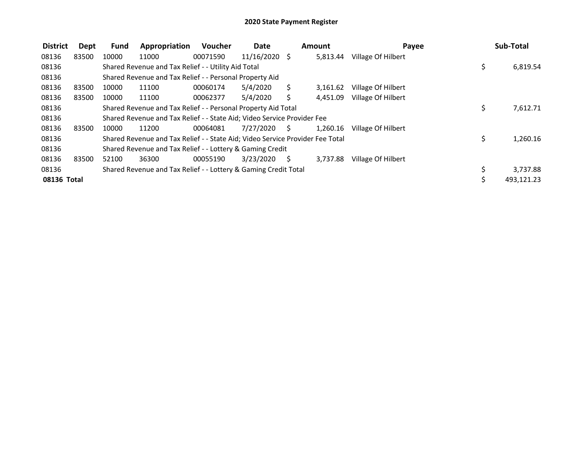| <b>District</b> | Dept  | <b>Fund</b> | Appropriation                                                                 | Voucher  | Date            |    | <b>Amount</b> | Payee              | Sub-Total      |
|-----------------|-------|-------------|-------------------------------------------------------------------------------|----------|-----------------|----|---------------|--------------------|----------------|
| 08136           | 83500 | 10000       | 11000                                                                         | 00071590 | $11/16/2020$ \$ |    | 5,813.44      | Village Of Hilbert |                |
| 08136           |       |             | Shared Revenue and Tax Relief - - Utility Aid Total                           |          |                 |    |               |                    | \$<br>6,819.54 |
| 08136           |       |             | Shared Revenue and Tax Relief - - Personal Property Aid                       |          |                 |    |               |                    |                |
| 08136           | 83500 | 10000       | 11100                                                                         | 00060174 | 5/4/2020        | S  | 3,161.62      | Village Of Hilbert |                |
| 08136           | 83500 | 10000       | 11100                                                                         | 00062377 | 5/4/2020        |    | 4,451.09      | Village Of Hilbert |                |
| 08136           |       |             | Shared Revenue and Tax Relief - - Personal Property Aid Total                 |          |                 |    |               |                    | \$<br>7,612.71 |
| 08136           |       |             | Shared Revenue and Tax Relief - - State Aid; Video Service Provider Fee       |          |                 |    |               |                    |                |
| 08136           | 83500 | 10000       | 11200                                                                         | 00064081 | 7/27/2020       | S. | 1,260.16      | Village Of Hilbert |                |
| 08136           |       |             | Shared Revenue and Tax Relief - - State Aid; Video Service Provider Fee Total |          |                 |    |               |                    | \$<br>1,260.16 |
| 08136           |       |             | Shared Revenue and Tax Relief - - Lottery & Gaming Credit                     |          |                 |    |               |                    |                |
| 08136           | 83500 | 52100       | 36300                                                                         | 00055190 | 3/23/2020       | S. | 3,737.88      | Village Of Hilbert |                |
| 08136           |       |             | Shared Revenue and Tax Relief - - Lottery & Gaming Credit Total               |          |                 |    |               |                    | 3,737.88       |
| 08136 Total     |       |             |                                                                               |          |                 |    |               |                    | 493,121.23     |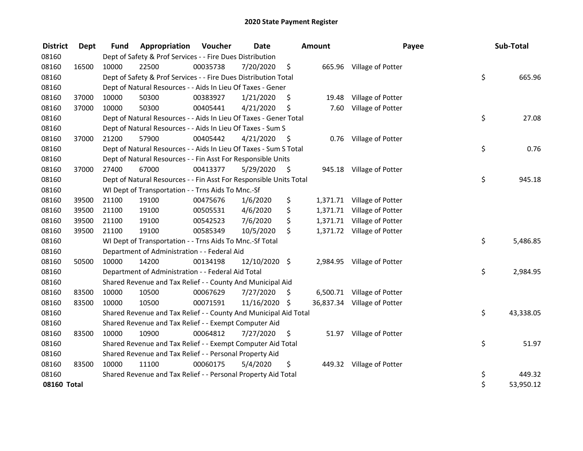| <b>District</b> | Dept  | <b>Fund</b> | Appropriation                                                      | Voucher  | <b>Date</b>   |      | <b>Amount</b> | Payee                       | Sub-Total       |
|-----------------|-------|-------------|--------------------------------------------------------------------|----------|---------------|------|---------------|-----------------------------|-----------------|
| 08160           |       |             | Dept of Safety & Prof Services - - Fire Dues Distribution          |          |               |      |               |                             |                 |
| 08160           | 16500 | 10000       | 22500                                                              | 00035738 | 7/20/2020     | \$   |               | 665.96 Village of Potter    |                 |
| 08160           |       |             | Dept of Safety & Prof Services - - Fire Dues Distribution Total    |          |               |      |               |                             | \$<br>665.96    |
| 08160           |       |             | Dept of Natural Resources - - Aids In Lieu Of Taxes - Gener        |          |               |      |               |                             |                 |
| 08160           | 37000 | 10000       | 50300                                                              | 00383927 | 1/21/2020     | \$.  | 19.48         | Village of Potter           |                 |
| 08160           | 37000 | 10000       | 50300                                                              | 00405441 | 4/21/2020     | \$   | 7.60          | Village of Potter           |                 |
| 08160           |       |             | Dept of Natural Resources - - Aids In Lieu Of Taxes - Gener Total  |          |               |      |               |                             | \$<br>27.08     |
| 08160           |       |             | Dept of Natural Resources - - Aids In Lieu Of Taxes - Sum S        |          |               |      |               |                             |                 |
| 08160           | 37000 | 21200       | 57900                                                              | 00405442 | 4/21/2020     | - \$ |               | 0.76 Village of Potter      |                 |
| 08160           |       |             | Dept of Natural Resources - - Aids In Lieu Of Taxes - Sum S Total  |          |               |      |               |                             | \$<br>0.76      |
| 08160           |       |             | Dept of Natural Resources - - Fin Asst For Responsible Units       |          |               |      |               |                             |                 |
| 08160           | 37000 | 27400       | 67000                                                              | 00413377 | 5/29/2020     | - \$ |               | 945.18 Village of Potter    |                 |
| 08160           |       |             | Dept of Natural Resources - - Fin Asst For Responsible Units Total |          |               |      |               |                             | \$<br>945.18    |
| 08160           |       |             | WI Dept of Transportation - - Trns Aids To Mnc.-Sf                 |          |               |      |               |                             |                 |
| 08160           | 39500 | 21100       | 19100                                                              | 00475676 | 1/6/2020      | \$   |               | 1,371.71 Village of Potter  |                 |
| 08160           | 39500 | 21100       | 19100                                                              | 00505531 | 4/6/2020      | \$   | 1,371.71      | Village of Potter           |                 |
| 08160           | 39500 | 21100       | 19100                                                              | 00542523 | 7/6/2020      | \$   | 1,371.71      | Village of Potter           |                 |
| 08160           | 39500 | 21100       | 19100                                                              | 00585349 | 10/5/2020     | \$   |               | 1,371.72 Village of Potter  |                 |
| 08160           |       |             | WI Dept of Transportation - - Trns Aids To Mnc.-Sf Total           |          |               |      |               |                             | \$<br>5,486.85  |
| 08160           |       |             | Department of Administration - - Federal Aid                       |          |               |      |               |                             |                 |
| 08160           | 50500 | 10000       | 14200                                                              | 00134198 | 12/10/2020 \$ |      |               | 2,984.95 Village of Potter  |                 |
| 08160           |       |             | Department of Administration - - Federal Aid Total                 |          |               |      |               |                             | \$<br>2,984.95  |
| 08160           |       |             | Shared Revenue and Tax Relief - - County And Municipal Aid         |          |               |      |               |                             |                 |
| 08160           | 83500 | 10000       | 10500                                                              | 00067629 | 7/27/2020     | \$   |               | 6,500.71 Village of Potter  |                 |
| 08160           | 83500 | 10000       | 10500                                                              | 00071591 | 11/16/2020    | \$   |               | 36,837.34 Village of Potter |                 |
| 08160           |       |             | Shared Revenue and Tax Relief - - County And Municipal Aid Total   |          |               |      |               |                             | \$<br>43,338.05 |
| 08160           |       |             | Shared Revenue and Tax Relief - - Exempt Computer Aid              |          |               |      |               |                             |                 |
| 08160           | 83500 | 10000       | 10900                                                              | 00064812 | 7/27/2020     | \$   |               | 51.97 Village of Potter     |                 |
| 08160           |       |             | Shared Revenue and Tax Relief - - Exempt Computer Aid Total        |          |               |      |               |                             | \$<br>51.97     |
| 08160           |       |             | Shared Revenue and Tax Relief - - Personal Property Aid            |          |               |      |               |                             |                 |
| 08160           | 83500 | 10000       | 11100                                                              | 00060175 | 5/4/2020      | \$   |               | 449.32 Village of Potter    |                 |
| 08160           |       |             | Shared Revenue and Tax Relief - - Personal Property Aid Total      |          |               |      |               |                             | \$<br>449.32    |
| 08160 Total     |       |             |                                                                    |          |               |      |               |                             | \$<br>53,950.12 |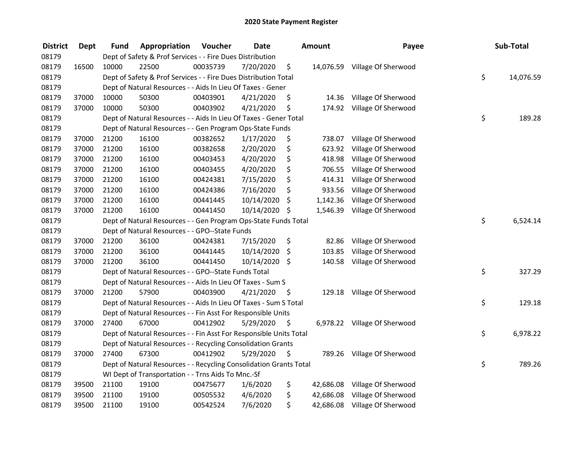| <b>District</b> | <b>Dept</b> | Fund  | Appropriation                                                      | Voucher  | <b>Date</b>   |      | <b>Amount</b> | Payee                         | Sub-Total       |
|-----------------|-------------|-------|--------------------------------------------------------------------|----------|---------------|------|---------------|-------------------------------|-----------------|
| 08179           |             |       | Dept of Safety & Prof Services - - Fire Dues Distribution          |          |               |      |               |                               |                 |
| 08179           | 16500       | 10000 | 22500                                                              | 00035739 | 7/20/2020     | \$   |               | 14,076.59 Village Of Sherwood |                 |
| 08179           |             |       | Dept of Safety & Prof Services - - Fire Dues Distribution Total    |          |               |      |               |                               | \$<br>14,076.59 |
| 08179           |             |       | Dept of Natural Resources - - Aids In Lieu Of Taxes - Gener        |          |               |      |               |                               |                 |
| 08179           | 37000       | 10000 | 50300                                                              | 00403901 | 4/21/2020     | \$   | 14.36         | Village Of Sherwood           |                 |
| 08179           | 37000       | 10000 | 50300                                                              | 00403902 | 4/21/2020     | \$   | 174.92        | Village Of Sherwood           |                 |
| 08179           |             |       | Dept of Natural Resources - - Aids In Lieu Of Taxes - Gener Total  |          |               |      |               |                               | \$<br>189.28    |
| 08179           |             |       | Dept of Natural Resources - - Gen Program Ops-State Funds          |          |               |      |               |                               |                 |
| 08179           | 37000       | 21200 | 16100                                                              | 00382652 | 1/17/2020     | \$   | 738.07        | Village Of Sherwood           |                 |
| 08179           | 37000       | 21200 | 16100                                                              | 00382658 | 2/20/2020     | \$   | 623.92        | Village Of Sherwood           |                 |
| 08179           | 37000       | 21200 | 16100                                                              | 00403453 | 4/20/2020     | \$   | 418.98        | Village Of Sherwood           |                 |
| 08179           | 37000       | 21200 | 16100                                                              | 00403455 | 4/20/2020     | \$   | 706.55        | Village Of Sherwood           |                 |
| 08179           | 37000       | 21200 | 16100                                                              | 00424381 | 7/15/2020     | \$   | 414.31        | Village Of Sherwood           |                 |
| 08179           | 37000       | 21200 | 16100                                                              | 00424386 | 7/16/2020     | \$   | 933.56        | Village Of Sherwood           |                 |
| 08179           | 37000       | 21200 | 16100                                                              | 00441445 | 10/14/2020    | \$   | 1,142.36      | Village Of Sherwood           |                 |
| 08179           | 37000       | 21200 | 16100                                                              | 00441450 | 10/14/2020 \$ |      | 1,546.39      | Village Of Sherwood           |                 |
| 08179           |             |       | Dept of Natural Resources - - Gen Program Ops-State Funds Total    |          |               |      |               |                               | \$<br>6,524.14  |
| 08179           |             |       | Dept of Natural Resources - - GPO--State Funds                     |          |               |      |               |                               |                 |
| 08179           | 37000       | 21200 | 36100                                                              | 00424381 | 7/15/2020     | \$   | 82.86         | Village Of Sherwood           |                 |
| 08179           | 37000       | 21200 | 36100                                                              | 00441445 | 10/14/2020    | \$   | 103.85        | Village Of Sherwood           |                 |
| 08179           | 37000       | 21200 | 36100                                                              | 00441450 | 10/14/2020 \$ |      | 140.58        | Village Of Sherwood           |                 |
| 08179           |             |       | Dept of Natural Resources - - GPO--State Funds Total               |          |               |      |               |                               | \$<br>327.29    |
| 08179           |             |       | Dept of Natural Resources - - Aids In Lieu Of Taxes - Sum S        |          |               |      |               |                               |                 |
| 08179           | 37000       | 21200 | 57900                                                              | 00403900 | 4/21/2020     | - \$ |               | 129.18 Village Of Sherwood    |                 |
| 08179           |             |       | Dept of Natural Resources - - Aids In Lieu Of Taxes - Sum S Total  |          |               |      |               |                               | \$<br>129.18    |
| 08179           |             |       | Dept of Natural Resources - - Fin Asst For Responsible Units       |          |               |      |               |                               |                 |
| 08179           | 37000       | 27400 | 67000                                                              | 00412902 | 5/29/2020     | \$   |               | 6,978.22 Village Of Sherwood  |                 |
| 08179           |             |       | Dept of Natural Resources - - Fin Asst For Responsible Units Total |          |               |      |               |                               | \$<br>6,978.22  |
| 08179           |             |       | Dept of Natural Resources - - Recycling Consolidation Grants       |          |               |      |               |                               |                 |
| 08179           | 37000       | 27400 | 67300                                                              | 00412902 | 5/29/2020     | \$   |               | 789.26 Village Of Sherwood    |                 |
| 08179           |             |       | Dept of Natural Resources - - Recycling Consolidation Grants Total |          |               |      |               |                               | \$<br>789.26    |
| 08179           |             |       | WI Dept of Transportation - - Trns Aids To Mnc.-Sf                 |          |               |      |               |                               |                 |
| 08179           | 39500       | 21100 | 19100                                                              | 00475677 | 1/6/2020      | \$   | 42,686.08     | Village Of Sherwood           |                 |
| 08179           | 39500       | 21100 | 19100                                                              | 00505532 | 4/6/2020      | \$   | 42,686.08     | Village Of Sherwood           |                 |
| 08179           | 39500       | 21100 | 19100                                                              | 00542524 | 7/6/2020      | \$   | 42,686.08     | Village Of Sherwood           |                 |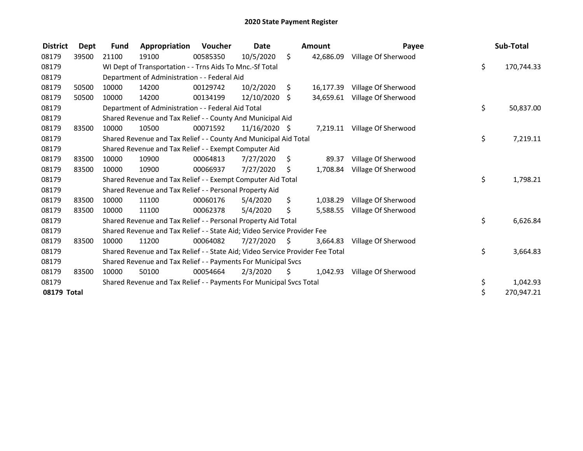| <b>District</b> | Dept  | <b>Fund</b> | Appropriation                                                                 | Voucher  | <b>Date</b>   |      | <b>Amount</b> | Payee                        | Sub-Total        |
|-----------------|-------|-------------|-------------------------------------------------------------------------------|----------|---------------|------|---------------|------------------------------|------------------|
| 08179           | 39500 | 21100       | 19100                                                                         | 00585350 | 10/5/2020     | \$.  | 42,686.09     | Village Of Sherwood          |                  |
| 08179           |       |             | WI Dept of Transportation - - Trns Aids To Mnc.-Sf Total                      |          |               |      |               |                              | \$<br>170,744.33 |
| 08179           |       |             | Department of Administration - - Federal Aid                                  |          |               |      |               |                              |                  |
| 08179           | 50500 | 10000       | 14200                                                                         | 00129742 | 10/2/2020     | \$   | 16,177.39     | Village Of Sherwood          |                  |
| 08179           | 50500 | 10000       | 14200                                                                         | 00134199 | 12/10/2020    | \$   | 34.659.61     | Village Of Sherwood          |                  |
| 08179           |       |             | Department of Administration - - Federal Aid Total                            |          |               |      |               |                              | \$<br>50,837.00  |
| 08179           |       |             | Shared Revenue and Tax Relief - - County And Municipal Aid                    |          |               |      |               |                              |                  |
| 08179           | 83500 | 10000       | 10500                                                                         | 00071592 | 11/16/2020 \$ |      |               | 7,219.11 Village Of Sherwood |                  |
| 08179           |       |             | Shared Revenue and Tax Relief - - County And Municipal Aid Total              |          |               |      |               |                              | \$<br>7,219.11   |
| 08179           |       |             | Shared Revenue and Tax Relief - - Exempt Computer Aid                         |          |               |      |               |                              |                  |
| 08179           | 83500 | 10000       | 10900                                                                         | 00064813 | 7/27/2020     | \$   | 89.37         | Village Of Sherwood          |                  |
| 08179           | 83500 | 10000       | 10900                                                                         | 00066937 | 7/27/2020     | \$   | 1,708.84      | Village Of Sherwood          |                  |
| 08179           |       |             | Shared Revenue and Tax Relief - - Exempt Computer Aid Total                   |          |               |      |               |                              | \$<br>1,798.21   |
| 08179           |       |             | Shared Revenue and Tax Relief - - Personal Property Aid                       |          |               |      |               |                              |                  |
| 08179           | 83500 | 10000       | 11100                                                                         | 00060176 | 5/4/2020      | \$   | 1,038.29      | Village Of Sherwood          |                  |
| 08179           | 83500 | 10000       | 11100                                                                         | 00062378 | 5/4/2020      | \$   | 5,588.55      | Village Of Sherwood          |                  |
| 08179           |       |             | Shared Revenue and Tax Relief - - Personal Property Aid Total                 |          |               |      |               |                              | \$<br>6,626.84   |
| 08179           |       |             | Shared Revenue and Tax Relief - - State Aid; Video Service Provider Fee       |          |               |      |               |                              |                  |
| 08179           | 83500 | 10000       | 11200                                                                         | 00064082 | 7/27/2020     | - \$ | 3,664.83      | Village Of Sherwood          |                  |
| 08179           |       |             | Shared Revenue and Tax Relief - - State Aid; Video Service Provider Fee Total |          |               |      |               |                              | \$<br>3,664.83   |
| 08179           |       |             | Shared Revenue and Tax Relief - - Payments For Municipal Svcs                 |          |               |      |               |                              |                  |
| 08179           | 83500 | 10000       | 50100                                                                         | 00054664 | 2/3/2020      | S    | 1,042.93      | Village Of Sherwood          |                  |
| 08179           |       |             | Shared Revenue and Tax Relief - - Payments For Municipal Svcs Total           |          |               |      |               |                              | \$<br>1,042.93   |
| 08179 Total     |       |             |                                                                               |          |               |      |               |                              | \$<br>270,947.21 |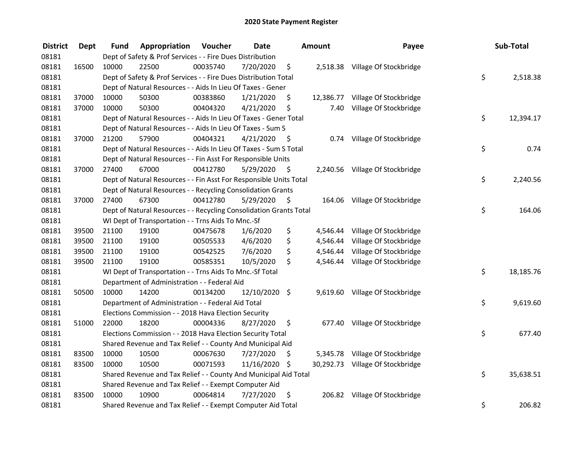| <b>District</b> | <b>Dept</b> | Fund  | Appropriation                                                      | Voucher  | <b>Date</b>   |      | Amount    | Payee                            | Sub-Total       |
|-----------------|-------------|-------|--------------------------------------------------------------------|----------|---------------|------|-----------|----------------------------------|-----------------|
| 08181           |             |       | Dept of Safety & Prof Services - - Fire Dues Distribution          |          |               |      |           |                                  |                 |
| 08181           | 16500       | 10000 | 22500                                                              | 00035740 | 7/20/2020     | \$   |           | 2,518.38 Village Of Stockbridge  |                 |
| 08181           |             |       | Dept of Safety & Prof Services - - Fire Dues Distribution Total    |          |               |      |           |                                  | \$<br>2,518.38  |
| 08181           |             |       | Dept of Natural Resources - - Aids In Lieu Of Taxes - Gener        |          |               |      |           |                                  |                 |
| 08181           | 37000       | 10000 | 50300                                                              | 00383860 | 1/21/2020     | \$   | 12,386.77 | Village Of Stockbridge           |                 |
| 08181           | 37000       | 10000 | 50300                                                              | 00404320 | 4/21/2020     | \$   | 7.40      | Village Of Stockbridge           |                 |
| 08181           |             |       | Dept of Natural Resources - - Aids In Lieu Of Taxes - Gener Total  |          |               |      |           |                                  | \$<br>12,394.17 |
| 08181           |             |       | Dept of Natural Resources - - Aids In Lieu Of Taxes - Sum S        |          |               |      |           |                                  |                 |
| 08181           | 37000       | 21200 | 57900                                                              | 00404321 | 4/21/2020     | - \$ |           | 0.74 Village Of Stockbridge      |                 |
| 08181           |             |       | Dept of Natural Resources - - Aids In Lieu Of Taxes - Sum S Total  |          |               |      |           |                                  | \$<br>0.74      |
| 08181           |             |       | Dept of Natural Resources - - Fin Asst For Responsible Units       |          |               |      |           |                                  |                 |
| 08181           | 37000       | 27400 | 67000                                                              | 00412780 | 5/29/2020     | -\$  |           | 2,240.56 Village Of Stockbridge  |                 |
| 08181           |             |       | Dept of Natural Resources - - Fin Asst For Responsible Units Total |          |               |      |           |                                  | \$<br>2,240.56  |
| 08181           |             |       | Dept of Natural Resources - - Recycling Consolidation Grants       |          |               |      |           |                                  |                 |
| 08181           | 37000       | 27400 | 67300                                                              | 00412780 | 5/29/2020     | \$   |           | 164.06 Village Of Stockbridge    |                 |
| 08181           |             |       | Dept of Natural Resources - - Recycling Consolidation Grants Total |          |               |      |           |                                  | \$<br>164.06    |
| 08181           |             |       | WI Dept of Transportation - - Trns Aids To Mnc.-Sf                 |          |               |      |           |                                  |                 |
| 08181           | 39500       | 21100 | 19100                                                              | 00475678 | 1/6/2020      | \$   | 4,546.44  | Village Of Stockbridge           |                 |
| 08181           | 39500       | 21100 | 19100                                                              | 00505533 | 4/6/2020      | \$   | 4,546.44  | Village Of Stockbridge           |                 |
| 08181           | 39500       | 21100 | 19100                                                              | 00542525 | 7/6/2020      | \$   |           | 4,546.44 Village Of Stockbridge  |                 |
| 08181           | 39500       | 21100 | 19100                                                              | 00585351 | 10/5/2020     | \$   |           | 4,546.44 Village Of Stockbridge  |                 |
| 08181           |             |       | WI Dept of Transportation - - Trns Aids To Mnc.-Sf Total           |          |               |      |           |                                  | \$<br>18,185.76 |
| 08181           |             |       | Department of Administration - - Federal Aid                       |          |               |      |           |                                  |                 |
| 08181           | 50500       | 10000 | 14200                                                              | 00134200 | 12/10/2020 \$ |      |           | 9,619.60 Village Of Stockbridge  |                 |
| 08181           |             |       | Department of Administration - - Federal Aid Total                 |          |               |      |           |                                  | \$<br>9,619.60  |
| 08181           |             |       | Elections Commission - - 2018 Hava Election Security               |          |               |      |           |                                  |                 |
| 08181           | 51000       | 22000 | 18200                                                              | 00004336 | 8/27/2020     | \$   |           | 677.40 Village Of Stockbridge    |                 |
| 08181           |             |       | Elections Commission - - 2018 Hava Election Security Total         |          |               |      |           |                                  | \$<br>677.40    |
| 08181           |             |       | Shared Revenue and Tax Relief - - County And Municipal Aid         |          |               |      |           |                                  |                 |
| 08181           | 83500       | 10000 | 10500                                                              | 00067630 | 7/27/2020     | \$   |           | 5,345.78 Village Of Stockbridge  |                 |
| 08181           | 83500       | 10000 | 10500                                                              | 00071593 | 11/16/2020 \$ |      |           | 30,292.73 Village Of Stockbridge |                 |
| 08181           |             |       | Shared Revenue and Tax Relief - - County And Municipal Aid Total   |          |               |      |           |                                  | \$<br>35,638.51 |
| 08181           |             |       | Shared Revenue and Tax Relief - - Exempt Computer Aid              |          |               |      |           |                                  |                 |
| 08181           | 83500       | 10000 | 10900                                                              | 00064814 | 7/27/2020     | \$   |           | 206.82 Village Of Stockbridge    |                 |
| 08181           |             |       | Shared Revenue and Tax Relief - - Exempt Computer Aid Total        |          |               |      |           |                                  | \$<br>206.82    |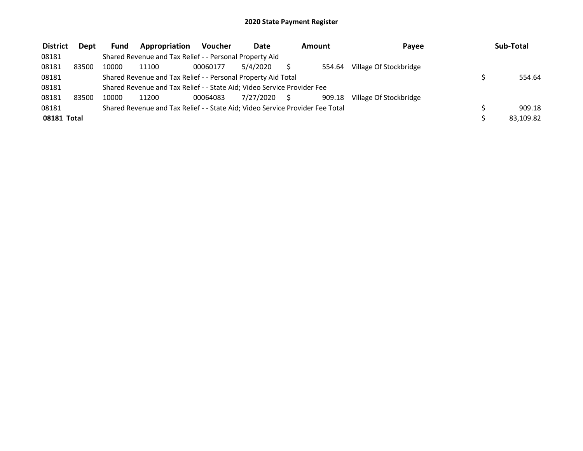| <b>District</b> | <b>Dept</b> | <b>Fund</b> | Appropriation                                                                 | Voucher  | Date      | Amount |        | Pavee                  | Sub-Total |
|-----------------|-------------|-------------|-------------------------------------------------------------------------------|----------|-----------|--------|--------|------------------------|-----------|
| 08181           |             |             | Shared Revenue and Tax Relief - - Personal Property Aid                       |          |           |        |        |                        |           |
| 08181           | 83500       | 10000       | 11100                                                                         | 00060177 | 5/4/2020  |        | 554.64 | Village Of Stockbridge |           |
| 08181           |             |             | Shared Revenue and Tax Relief - - Personal Property Aid Total                 |          |           |        |        |                        | 554.64    |
| 08181           |             |             | Shared Revenue and Tax Relief - - State Aid; Video Service Provider Fee       |          |           |        |        |                        |           |
| 08181           | 83500       | 10000       | 11200                                                                         | 00064083 | 7/27/2020 | S.     | 909.18 | Village Of Stockbridge |           |
| 08181           |             |             | Shared Revenue and Tax Relief - - State Aid; Video Service Provider Fee Total |          |           |        |        |                        | 909.18    |
| 08181 Total     |             |             |                                                                               |          |           |        |        |                        | 83,109.82 |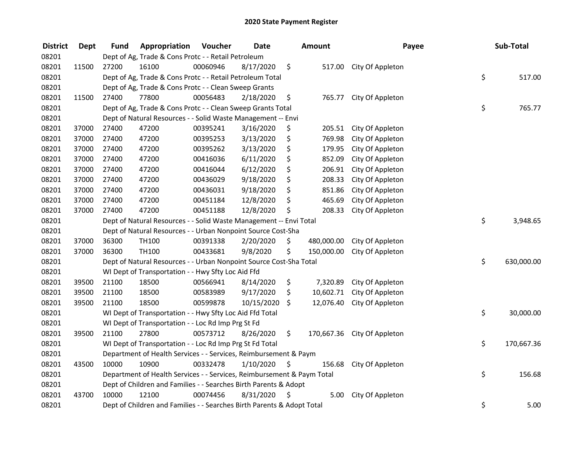| <b>District</b> | <b>Dept</b> | <b>Fund</b> | Appropriation                                                          | Voucher  | <b>Date</b> | Amount           | Payee                       | Sub-Total        |
|-----------------|-------------|-------------|------------------------------------------------------------------------|----------|-------------|------------------|-----------------------------|------------------|
| 08201           |             |             | Dept of Ag, Trade & Cons Protc - - Retail Petroleum                    |          |             |                  |                             |                  |
| 08201           | 11500       | 27200       | 16100                                                                  | 00060946 | 8/17/2020   | \$               | 517.00 City Of Appleton     |                  |
| 08201           |             |             | Dept of Ag, Trade & Cons Protc - - Retail Petroleum Total              |          |             |                  |                             | \$<br>517.00     |
| 08201           |             |             | Dept of Ag, Trade & Cons Protc - - Clean Sweep Grants                  |          |             |                  |                             |                  |
| 08201           | 11500       | 27400       | 77800                                                                  | 00056483 | 2/18/2020   | \$<br>765.77     | City Of Appleton            |                  |
| 08201           |             |             | Dept of Ag, Trade & Cons Protc - - Clean Sweep Grants Total            |          |             |                  |                             | \$<br>765.77     |
| 08201           |             |             | Dept of Natural Resources - - Solid Waste Management -- Envi           |          |             |                  |                             |                  |
| 08201           | 37000       | 27400       | 47200                                                                  | 00395241 | 3/16/2020   | \$<br>205.51     | City Of Appleton            |                  |
| 08201           | 37000       | 27400       | 47200                                                                  | 00395253 | 3/13/2020   | \$<br>769.98     | City Of Appleton            |                  |
| 08201           | 37000       | 27400       | 47200                                                                  | 00395262 | 3/13/2020   | \$<br>179.95     | City Of Appleton            |                  |
| 08201           | 37000       | 27400       | 47200                                                                  | 00416036 | 6/11/2020   | \$<br>852.09     | City Of Appleton            |                  |
| 08201           | 37000       | 27400       | 47200                                                                  | 00416044 | 6/12/2020   | \$<br>206.91     | City Of Appleton            |                  |
| 08201           | 37000       | 27400       | 47200                                                                  | 00436029 | 9/18/2020   | \$<br>208.33     | City Of Appleton            |                  |
| 08201           | 37000       | 27400       | 47200                                                                  | 00436031 | 9/18/2020   | \$<br>851.86     | City Of Appleton            |                  |
| 08201           | 37000       | 27400       | 47200                                                                  | 00451184 | 12/8/2020   | \$<br>465.69     | City Of Appleton            |                  |
| 08201           | 37000       | 27400       | 47200                                                                  | 00451188 | 12/8/2020   | \$<br>208.33     | City Of Appleton            |                  |
| 08201           |             |             | Dept of Natural Resources - - Solid Waste Management -- Envi Total     |          |             |                  |                             | \$<br>3,948.65   |
| 08201           |             |             | Dept of Natural Resources - - Urban Nonpoint Source Cost-Sha           |          |             |                  |                             |                  |
| 08201           | 37000       | 36300       | TH100                                                                  | 00391338 | 2/20/2020   | \$<br>480,000.00 | City Of Appleton            |                  |
| 08201           | 37000       | 36300       | TH100                                                                  | 00433681 | 9/8/2020    | \$<br>150,000.00 | City Of Appleton            |                  |
| 08201           |             |             | Dept of Natural Resources - - Urban Nonpoint Source Cost-Sha Total     |          |             |                  |                             | \$<br>630,000.00 |
| 08201           |             |             | WI Dept of Transportation - - Hwy Sfty Loc Aid Ffd                     |          |             |                  |                             |                  |
| 08201           | 39500       | 21100       | 18500                                                                  | 00566941 | 8/14/2020   | \$<br>7,320.89   | City Of Appleton            |                  |
| 08201           | 39500       | 21100       | 18500                                                                  | 00583989 | 9/17/2020   | \$               | 10,602.71 City Of Appleton  |                  |
| 08201           | 39500       | 21100       | 18500                                                                  | 00599878 | 10/15/2020  | \$<br>12,076.40  | City Of Appleton            |                  |
| 08201           |             |             | WI Dept of Transportation - - Hwy Sfty Loc Aid Ffd Total               |          |             |                  |                             | \$<br>30,000.00  |
| 08201           |             |             | WI Dept of Transportation - - Loc Rd Imp Prg St Fd                     |          |             |                  |                             |                  |
| 08201           | 39500       | 21100       | 27800                                                                  | 00573712 | 8/26/2020   | \$               | 170,667.36 City Of Appleton |                  |
| 08201           |             |             | WI Dept of Transportation - - Loc Rd Imp Prg St Fd Total               |          |             |                  |                             | \$<br>170,667.36 |
| 08201           |             |             | Department of Health Services - - Services, Reimbursement & Paym       |          |             |                  |                             |                  |
| 08201           | 43500       | 10000       | 10900                                                                  | 00332478 | 1/10/2020   | \$<br>156.68     | City Of Appleton            |                  |
| 08201           |             |             | Department of Health Services - - Services, Reimbursement & Paym Total |          |             |                  |                             | \$<br>156.68     |
| 08201           |             |             | Dept of Children and Families - - Searches Birth Parents & Adopt       |          |             |                  |                             |                  |
| 08201           | 43700       | 10000       | 12100                                                                  | 00074456 | 8/31/2020   | \$<br>5.00       | City Of Appleton            |                  |
| 08201           |             |             | Dept of Children and Families - - Searches Birth Parents & Adopt Total |          |             |                  |                             | \$<br>5.00       |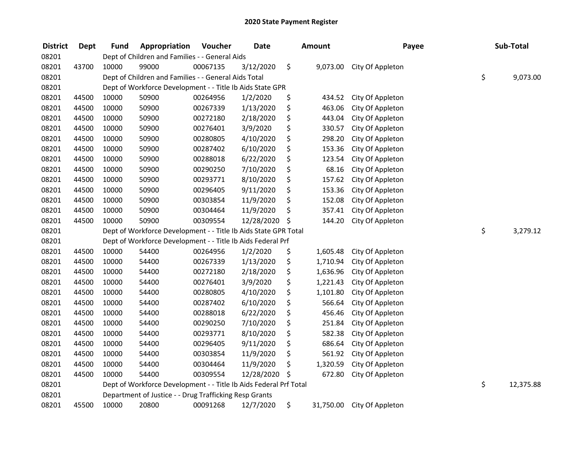| <b>District</b> | <b>Dept</b> | <b>Fund</b> | Appropriation                                                     | Voucher  | <b>Date</b> | <b>Amount</b>   | Payee            | Sub-Total       |
|-----------------|-------------|-------------|-------------------------------------------------------------------|----------|-------------|-----------------|------------------|-----------------|
| 08201           |             |             | Dept of Children and Families - - General Aids                    |          |             |                 |                  |                 |
| 08201           | 43700       | 10000       | 99000                                                             | 00067135 | 3/12/2020   | \$<br>9,073.00  | City Of Appleton |                 |
| 08201           |             |             | Dept of Children and Families - - General Aids Total              |          |             |                 |                  | \$<br>9,073.00  |
| 08201           |             |             | Dept of Workforce Development - - Title Ib Aids State GPR         |          |             |                 |                  |                 |
| 08201           | 44500       | 10000       | 50900                                                             | 00264956 | 1/2/2020    | \$<br>434.52    | City Of Appleton |                 |
| 08201           | 44500       | 10000       | 50900                                                             | 00267339 | 1/13/2020   | \$<br>463.06    | City Of Appleton |                 |
| 08201           | 44500       | 10000       | 50900                                                             | 00272180 | 2/18/2020   | \$<br>443.04    | City Of Appleton |                 |
| 08201           | 44500       | 10000       | 50900                                                             | 00276401 | 3/9/2020    | \$<br>330.57    | City Of Appleton |                 |
| 08201           | 44500       | 10000       | 50900                                                             | 00280805 | 4/10/2020   | \$<br>298.20    | City Of Appleton |                 |
| 08201           | 44500       | 10000       | 50900                                                             | 00287402 | 6/10/2020   | \$<br>153.36    | City Of Appleton |                 |
| 08201           | 44500       | 10000       | 50900                                                             | 00288018 | 6/22/2020   | \$<br>123.54    | City Of Appleton |                 |
| 08201           | 44500       | 10000       | 50900                                                             | 00290250 | 7/10/2020   | \$<br>68.16     | City Of Appleton |                 |
| 08201           | 44500       | 10000       | 50900                                                             | 00293771 | 8/10/2020   | \$<br>157.62    | City Of Appleton |                 |
| 08201           | 44500       | 10000       | 50900                                                             | 00296405 | 9/11/2020   | \$<br>153.36    | City Of Appleton |                 |
| 08201           | 44500       | 10000       | 50900                                                             | 00303854 | 11/9/2020   | \$<br>152.08    | City Of Appleton |                 |
| 08201           | 44500       | 10000       | 50900                                                             | 00304464 | 11/9/2020   | \$<br>357.41    | City Of Appleton |                 |
| 08201           | 44500       | 10000       | 50900                                                             | 00309554 | 12/28/2020  | \$<br>144.20    | City Of Appleton |                 |
| 08201           |             |             | Dept of Workforce Development - - Title Ib Aids State GPR Total   |          |             |                 |                  | \$<br>3,279.12  |
| 08201           |             |             | Dept of Workforce Development - - Title Ib Aids Federal Prf       |          |             |                 |                  |                 |
| 08201           | 44500       | 10000       | 54400                                                             | 00264956 | 1/2/2020    | \$<br>1,605.48  | City Of Appleton |                 |
| 08201           | 44500       | 10000       | 54400                                                             | 00267339 | 1/13/2020   | \$<br>1,710.94  | City Of Appleton |                 |
| 08201           | 44500       | 10000       | 54400                                                             | 00272180 | 2/18/2020   | \$<br>1,636.96  | City Of Appleton |                 |
| 08201           | 44500       | 10000       | 54400                                                             | 00276401 | 3/9/2020    | \$<br>1,221.43  | City Of Appleton |                 |
| 08201           | 44500       | 10000       | 54400                                                             | 00280805 | 4/10/2020   | \$<br>1,101.80  | City Of Appleton |                 |
| 08201           | 44500       | 10000       | 54400                                                             | 00287402 | 6/10/2020   | \$<br>566.64    | City Of Appleton |                 |
| 08201           | 44500       | 10000       | 54400                                                             | 00288018 | 6/22/2020   | \$<br>456.46    | City Of Appleton |                 |
| 08201           | 44500       | 10000       | 54400                                                             | 00290250 | 7/10/2020   | \$<br>251.84    | City Of Appleton |                 |
| 08201           | 44500       | 10000       | 54400                                                             | 00293771 | 8/10/2020   | \$<br>582.38    | City Of Appleton |                 |
| 08201           | 44500       | 10000       | 54400                                                             | 00296405 | 9/11/2020   | \$<br>686.64    | City Of Appleton |                 |
| 08201           | 44500       | 10000       | 54400                                                             | 00303854 | 11/9/2020   | \$<br>561.92    | City Of Appleton |                 |
| 08201           | 44500       | 10000       | 54400                                                             | 00304464 | 11/9/2020   | \$<br>1,320.59  | City Of Appleton |                 |
| 08201           | 44500       | 10000       | 54400                                                             | 00309554 | 12/28/2020  | \$<br>672.80    | City Of Appleton |                 |
| 08201           |             |             | Dept of Workforce Development - - Title Ib Aids Federal Prf Total |          |             |                 |                  | \$<br>12,375.88 |
| 08201           |             |             | Department of Justice - - Drug Trafficking Resp Grants            |          |             |                 |                  |                 |
| 08201           | 45500       | 10000       | 20800                                                             | 00091268 | 12/7/2020   | \$<br>31,750.00 | City Of Appleton |                 |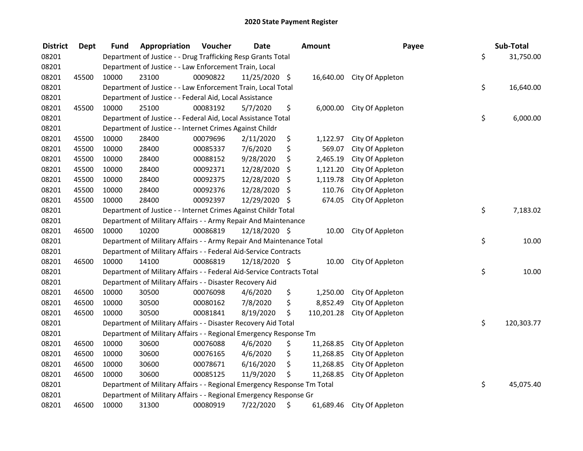| <b>District</b> | <b>Dept</b> | Fund  | Appropriation                                                           | Voucher  | <b>Date</b>   |     | <b>Amount</b> | Payee                      | Sub-Total        |
|-----------------|-------------|-------|-------------------------------------------------------------------------|----------|---------------|-----|---------------|----------------------------|------------------|
| 08201           |             |       | Department of Justice - - Drug Trafficking Resp Grants Total            |          |               |     |               |                            | \$<br>31,750.00  |
| 08201           |             |       | Department of Justice - - Law Enforcement Train, Local                  |          |               |     |               |                            |                  |
| 08201           | 45500       | 10000 | 23100                                                                   | 00090822 | 11/25/2020 \$ |     |               | 16,640.00 City Of Appleton |                  |
| 08201           |             |       | Department of Justice - - Law Enforcement Train, Local Total            |          |               |     |               |                            | \$<br>16,640.00  |
| 08201           |             |       | Department of Justice - - Federal Aid, Local Assistance                 |          |               |     |               |                            |                  |
| 08201           | 45500       | 10000 | 25100                                                                   | 00083192 | 5/7/2020      | \$  | 6,000.00      | City Of Appleton           |                  |
| 08201           |             |       | Department of Justice - - Federal Aid, Local Assistance Total           |          |               |     |               |                            | \$<br>6,000.00   |
| 08201           |             |       | Department of Justice - - Internet Crimes Against Childr                |          |               |     |               |                            |                  |
| 08201           | 45500       | 10000 | 28400                                                                   | 00079696 | 2/11/2020     | \$  | 1,122.97      | City Of Appleton           |                  |
| 08201           | 45500       | 10000 | 28400                                                                   | 00085337 | 7/6/2020      | \$  | 569.07        | City Of Appleton           |                  |
| 08201           | 45500       | 10000 | 28400                                                                   | 00088152 | 9/28/2020     | \$  | 2,465.19      | City Of Appleton           |                  |
| 08201           | 45500       | 10000 | 28400                                                                   | 00092371 | 12/28/2020    | \$  | 1,121.20      | City Of Appleton           |                  |
| 08201           | 45500       | 10000 | 28400                                                                   | 00092375 | 12/28/2020    | \$. | 1,119.78      | City Of Appleton           |                  |
| 08201           | 45500       | 10000 | 28400                                                                   | 00092376 | 12/28/2020    | \$. | 110.76        | City Of Appleton           |                  |
| 08201           | 45500       | 10000 | 28400                                                                   | 00092397 | 12/29/2020    | -\$ | 674.05        | City Of Appleton           |                  |
| 08201           |             |       | Department of Justice - - Internet Crimes Against Childr Total          |          |               |     |               |                            | \$<br>7,183.02   |
| 08201           |             |       | Department of Military Affairs - - Army Repair And Maintenance          |          |               |     |               |                            |                  |
| 08201           | 46500       | 10000 | 10200                                                                   | 00086819 | 12/18/2020 \$ |     | 10.00         | City Of Appleton           |                  |
| 08201           |             |       | Department of Military Affairs - - Army Repair And Maintenance Total    |          |               |     |               |                            | \$<br>10.00      |
| 08201           |             |       | Department of Military Affairs - - Federal Aid-Service Contracts        |          |               |     |               |                            |                  |
| 08201           | 46500       | 10000 | 14100                                                                   | 00086819 | 12/18/2020 \$ |     | 10.00         | City Of Appleton           |                  |
| 08201           |             |       | Department of Military Affairs - - Federal Aid-Service Contracts Total  |          |               |     |               |                            | \$<br>10.00      |
| 08201           |             |       | Department of Military Affairs - - Disaster Recovery Aid                |          |               |     |               |                            |                  |
| 08201           | 46500       | 10000 | 30500                                                                   | 00076098 | 4/6/2020      | \$  | 1,250.00      | City Of Appleton           |                  |
| 08201           | 46500       | 10000 | 30500                                                                   | 00080162 | 7/8/2020      | \$  | 8,852.49      | City Of Appleton           |                  |
| 08201           | 46500       | 10000 | 30500                                                                   | 00081841 | 8/19/2020     | \$  | 110,201.28    | City Of Appleton           |                  |
| 08201           |             |       | Department of Military Affairs - - Disaster Recovery Aid Total          |          |               |     |               |                            | \$<br>120,303.77 |
| 08201           |             |       | Department of Military Affairs - - Regional Emergency Response Tm       |          |               |     |               |                            |                  |
| 08201           | 46500       | 10000 | 30600                                                                   | 00076088 | 4/6/2020      | \$  | 11,268.85     | City Of Appleton           |                  |
| 08201           | 46500       | 10000 | 30600                                                                   | 00076165 | 4/6/2020      | \$  | 11,268.85     | City Of Appleton           |                  |
| 08201           | 46500       | 10000 | 30600                                                                   | 00078671 | 6/16/2020     | \$  | 11,268.85     | City Of Appleton           |                  |
| 08201           | 46500       | 10000 | 30600                                                                   | 00085125 | 11/9/2020     | \$  | 11,268.85     | City Of Appleton           |                  |
| 08201           |             |       | Department of Military Affairs - - Regional Emergency Response Tm Total |          |               |     |               |                            | \$<br>45,075.40  |
| 08201           |             |       | Department of Military Affairs - - Regional Emergency Response Gr       |          |               |     |               |                            |                  |
| 08201           | 46500       | 10000 | 31300                                                                   | 00080919 | 7/22/2020     | \$  | 61,689.46     | City Of Appleton           |                  |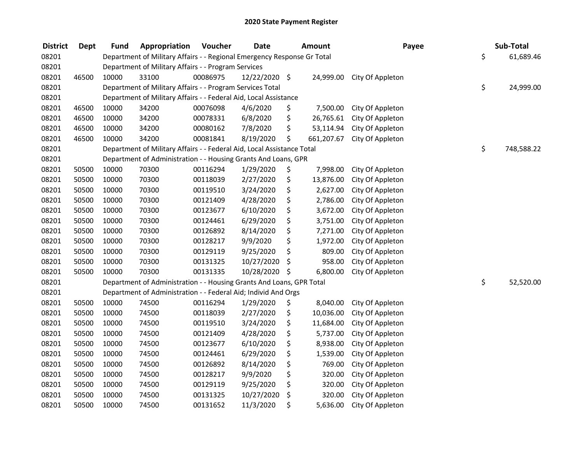| <b>District</b> | <b>Dept</b> | <b>Fund</b> | Appropriation                                                           | Voucher  | <b>Date</b>   |     | <b>Amount</b> | Payee            | Sub-Total        |
|-----------------|-------------|-------------|-------------------------------------------------------------------------|----------|---------------|-----|---------------|------------------|------------------|
| 08201           |             |             | Department of Military Affairs - - Regional Emergency Response Gr Total |          |               |     |               |                  | \$<br>61,689.46  |
| 08201           |             |             | Department of Military Affairs - - Program Services                     |          |               |     |               |                  |                  |
| 08201           | 46500       | 10000       | 33100                                                                   | 00086975 | 12/22/2020 \$ |     | 24,999.00     | City Of Appleton |                  |
| 08201           |             |             | Department of Military Affairs - - Program Services Total               |          |               |     |               |                  | \$<br>24,999.00  |
| 08201           |             |             | Department of Military Affairs - - Federal Aid, Local Assistance        |          |               |     |               |                  |                  |
| 08201           | 46500       | 10000       | 34200                                                                   | 00076098 | 4/6/2020      | \$  | 7,500.00      | City Of Appleton |                  |
| 08201           | 46500       | 10000       | 34200                                                                   | 00078331 | 6/8/2020      | \$  | 26,765.61     | City Of Appleton |                  |
| 08201           | 46500       | 10000       | 34200                                                                   | 00080162 | 7/8/2020      | \$  | 53,114.94     | City Of Appleton |                  |
| 08201           | 46500       | 10000       | 34200                                                                   | 00081841 | 8/19/2020     | \$  | 661,207.67    | City Of Appleton |                  |
| 08201           |             |             | Department of Military Affairs - - Federal Aid, Local Assistance Total  |          |               |     |               |                  | \$<br>748,588.22 |
| 08201           |             |             | Department of Administration - - Housing Grants And Loans, GPR          |          |               |     |               |                  |                  |
| 08201           | 50500       | 10000       | 70300                                                                   | 00116294 | 1/29/2020     | \$  | 7,998.00      | City Of Appleton |                  |
| 08201           | 50500       | 10000       | 70300                                                                   | 00118039 | 2/27/2020     | \$  | 13,876.00     | City Of Appleton |                  |
| 08201           | 50500       | 10000       | 70300                                                                   | 00119510 | 3/24/2020     | \$  | 2,627.00      | City Of Appleton |                  |
| 08201           | 50500       | 10000       | 70300                                                                   | 00121409 | 4/28/2020     | \$  | 2,786.00      | City Of Appleton |                  |
| 08201           | 50500       | 10000       | 70300                                                                   | 00123677 | 6/10/2020     | \$  | 3,672.00      | City Of Appleton |                  |
| 08201           | 50500       | 10000       | 70300                                                                   | 00124461 | 6/29/2020     | \$  | 3,751.00      | City Of Appleton |                  |
| 08201           | 50500       | 10000       | 70300                                                                   | 00126892 | 8/14/2020     | \$  | 7,271.00      | City Of Appleton |                  |
| 08201           | 50500       | 10000       | 70300                                                                   | 00128217 | 9/9/2020      | \$  | 1,972.00      | City Of Appleton |                  |
| 08201           | 50500       | 10000       | 70300                                                                   | 00129119 | 9/25/2020     | \$  | 809.00        | City Of Appleton |                  |
| 08201           | 50500       | 10000       | 70300                                                                   | 00131325 | 10/27/2020    | \$  | 958.00        | City Of Appleton |                  |
| 08201           | 50500       | 10000       | 70300                                                                   | 00131335 | 10/28/2020    | -\$ | 6,800.00      | City Of Appleton |                  |
| 08201           |             |             | Department of Administration - - Housing Grants And Loans, GPR Total    |          |               |     |               |                  | \$<br>52,520.00  |
| 08201           |             |             | Department of Administration - - Federal Aid; Individ And Orgs          |          |               |     |               |                  |                  |
| 08201           | 50500       | 10000       | 74500                                                                   | 00116294 | 1/29/2020     | \$  | 8,040.00      | City Of Appleton |                  |
| 08201           | 50500       | 10000       | 74500                                                                   | 00118039 | 2/27/2020     | \$  | 10,036.00     | City Of Appleton |                  |
| 08201           | 50500       | 10000       | 74500                                                                   | 00119510 | 3/24/2020     | \$  | 11,684.00     | City Of Appleton |                  |
| 08201           | 50500       | 10000       | 74500                                                                   | 00121409 | 4/28/2020     | \$  | 5,737.00      | City Of Appleton |                  |
| 08201           | 50500       | 10000       | 74500                                                                   | 00123677 | 6/10/2020     | \$  | 8,938.00      | City Of Appleton |                  |
| 08201           | 50500       | 10000       | 74500                                                                   | 00124461 | 6/29/2020     | \$  | 1,539.00      | City Of Appleton |                  |
| 08201           | 50500       | 10000       | 74500                                                                   | 00126892 | 8/14/2020     | \$  | 769.00        | City Of Appleton |                  |
| 08201           | 50500       | 10000       | 74500                                                                   | 00128217 | 9/9/2020      | \$  | 320.00        | City Of Appleton |                  |
| 08201           | 50500       | 10000       | 74500                                                                   | 00129119 | 9/25/2020     | \$  | 320.00        | City Of Appleton |                  |
| 08201           | 50500       | 10000       | 74500                                                                   | 00131325 | 10/27/2020    | \$  | 320.00        | City Of Appleton |                  |
| 08201           | 50500       | 10000       | 74500                                                                   | 00131652 | 11/3/2020     | \$  | 5,636.00      | City Of Appleton |                  |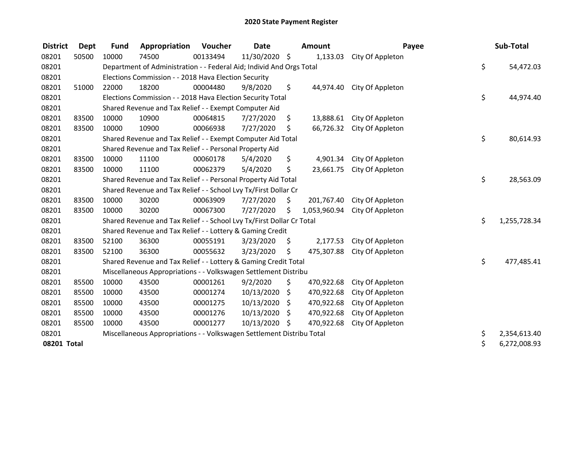| <b>District</b> | <b>Dept</b> | <b>Fund</b> | Appropriation                                                         | Voucher  | <b>Date</b>   |     | <b>Amount</b> | Payee            | Sub-Total          |
|-----------------|-------------|-------------|-----------------------------------------------------------------------|----------|---------------|-----|---------------|------------------|--------------------|
| 08201           | 50500       | 10000       | 74500                                                                 | 00133494 | 11/30/2020 \$ |     | 1,133.03      | City Of Appleton |                    |
| 08201           |             |             | Department of Administration - - Federal Aid; Individ And Orgs Total  |          |               |     |               |                  | \$<br>54,472.03    |
| 08201           |             |             | Elections Commission - - 2018 Hava Election Security                  |          |               |     |               |                  |                    |
| 08201           | 51000       | 22000       | 18200                                                                 | 00004480 | 9/8/2020      | \$  | 44,974.40     | City Of Appleton |                    |
| 08201           |             |             | Elections Commission - - 2018 Hava Election Security Total            |          |               |     |               |                  | \$<br>44,974.40    |
| 08201           |             |             | Shared Revenue and Tax Relief - - Exempt Computer Aid                 |          |               |     |               |                  |                    |
| 08201           | 83500       | 10000       | 10900                                                                 | 00064815 | 7/27/2020     | \$. | 13,888.61     | City Of Appleton |                    |
| 08201           | 83500       | 10000       | 10900                                                                 | 00066938 | 7/27/2020     | \$  | 66,726.32     | City Of Appleton |                    |
| 08201           |             |             | Shared Revenue and Tax Relief - - Exempt Computer Aid Total           |          |               |     |               |                  | \$<br>80,614.93    |
| 08201           |             |             | Shared Revenue and Tax Relief - - Personal Property Aid               |          |               |     |               |                  |                    |
| 08201           | 83500       | 10000       | 11100                                                                 | 00060178 | 5/4/2020      | \$  | 4,901.34      | City Of Appleton |                    |
| 08201           | 83500       | 10000       | 11100                                                                 | 00062379 | 5/4/2020      | \$  | 23,661.75     | City Of Appleton |                    |
| 08201           |             |             | Shared Revenue and Tax Relief - - Personal Property Aid Total         |          |               |     |               |                  | \$<br>28,563.09    |
| 08201           |             |             | Shared Revenue and Tax Relief - - School Lvy Tx/First Dollar Cr       |          |               |     |               |                  |                    |
| 08201           | 83500       | 10000       | 30200                                                                 | 00063909 | 7/27/2020     | \$  | 201,767.40    | City Of Appleton |                    |
| 08201           | 83500       | 10000       | 30200                                                                 | 00067300 | 7/27/2020     | \$  | 1,053,960.94  | City Of Appleton |                    |
| 08201           |             |             | Shared Revenue and Tax Relief - - School Lvy Tx/First Dollar Cr Total |          |               |     |               |                  | \$<br>1,255,728.34 |
| 08201           |             |             | Shared Revenue and Tax Relief - - Lottery & Gaming Credit             |          |               |     |               |                  |                    |
| 08201           | 83500       | 52100       | 36300                                                                 | 00055191 | 3/23/2020     | \$  | 2,177.53      | City Of Appleton |                    |
| 08201           | 83500       | 52100       | 36300                                                                 | 00055632 | 3/23/2020     | \$  | 475,307.88    | City Of Appleton |                    |
| 08201           |             |             | Shared Revenue and Tax Relief - - Lottery & Gaming Credit Total       |          |               |     |               |                  | \$<br>477,485.41   |
| 08201           |             |             | Miscellaneous Appropriations - - Volkswagen Settlement Distribu       |          |               |     |               |                  |                    |
| 08201           | 85500       | 10000       | 43500                                                                 | 00001261 | 9/2/2020      | \$  | 470,922.68    | City Of Appleton |                    |
| 08201           | 85500       | 10000       | 43500                                                                 | 00001274 | 10/13/2020    | \$  | 470,922.68    | City Of Appleton |                    |
| 08201           | 85500       | 10000       | 43500                                                                 | 00001275 | 10/13/2020    | \$. | 470,922.68    | City Of Appleton |                    |
| 08201           | 85500       | 10000       | 43500                                                                 | 00001276 | 10/13/2020    | S   | 470,922.68    | City Of Appleton |                    |
| 08201           | 85500       | 10000       | 43500                                                                 | 00001277 | 10/13/2020 \$ |     | 470,922.68    | City Of Appleton |                    |
| 08201           |             |             | Miscellaneous Appropriations - - Volkswagen Settlement Distribu Total |          |               |     |               |                  | \$<br>2,354,613.40 |
| 08201 Total     |             |             |                                                                       |          |               |     |               |                  | \$<br>6,272,008.93 |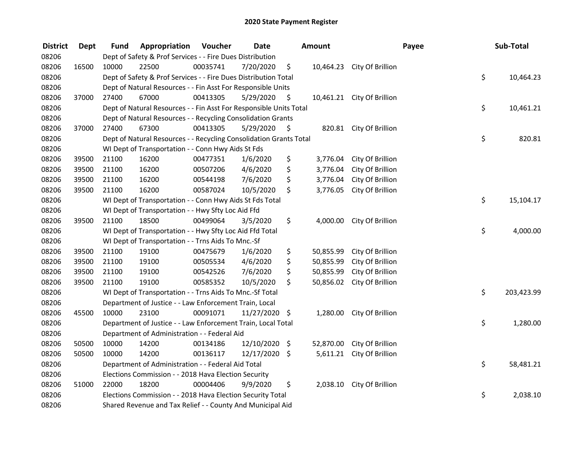| <b>District</b> | <b>Dept</b> | <b>Fund</b> | Appropriation                                                      | Voucher  | <b>Date</b>   |      | <b>Amount</b> |                            | Payee | Sub-Total  |
|-----------------|-------------|-------------|--------------------------------------------------------------------|----------|---------------|------|---------------|----------------------------|-------|------------|
| 08206           |             |             | Dept of Safety & Prof Services - - Fire Dues Distribution          |          |               |      |               |                            |       |            |
| 08206           | 16500       | 10000       | 22500                                                              | 00035741 | 7/20/2020     | \$   |               | 10,464.23 City Of Brillion |       |            |
| 08206           |             |             | Dept of Safety & Prof Services - - Fire Dues Distribution Total    |          |               |      |               |                            | \$    | 10,464.23  |
| 08206           |             |             | Dept of Natural Resources - - Fin Asst For Responsible Units       |          |               |      |               |                            |       |            |
| 08206           | 37000       | 27400       | 67000                                                              | 00413305 | 5/29/2020     | \$   |               | 10,461.21 City Of Brillion |       |            |
| 08206           |             |             | Dept of Natural Resources - - Fin Asst For Responsible Units Total |          |               |      |               |                            | \$    | 10,461.21  |
| 08206           |             |             | Dept of Natural Resources - - Recycling Consolidation Grants       |          |               |      |               |                            |       |            |
| 08206           | 37000       | 27400       | 67300                                                              | 00413305 | 5/29/2020     | - \$ |               | 820.81 City Of Brillion    |       |            |
| 08206           |             |             | Dept of Natural Resources - - Recycling Consolidation Grants Total |          |               |      |               |                            | \$    | 820.81     |
| 08206           |             |             | WI Dept of Transportation - - Conn Hwy Aids St Fds                 |          |               |      |               |                            |       |            |
| 08206           | 39500       | 21100       | 16200                                                              | 00477351 | 1/6/2020      | \$   | 3,776.04      | City Of Brillion           |       |            |
| 08206           | 39500       | 21100       | 16200                                                              | 00507206 | 4/6/2020      | \$   | 3,776.04      | City Of Brillion           |       |            |
| 08206           | 39500       | 21100       | 16200                                                              | 00544198 | 7/6/2020      | \$   | 3,776.04      | City Of Brillion           |       |            |
| 08206           | 39500       | 21100       | 16200                                                              | 00587024 | 10/5/2020     | \$   | 3,776.05      | City Of Brillion           |       |            |
| 08206           |             |             | WI Dept of Transportation - - Conn Hwy Aids St Fds Total           |          |               |      |               |                            | \$    | 15,104.17  |
| 08206           |             |             | WI Dept of Transportation - - Hwy Sfty Loc Aid Ffd                 |          |               |      |               |                            |       |            |
| 08206           | 39500       | 21100       | 18500                                                              | 00499064 | 3/5/2020      | \$   | 4,000.00      | City Of Brillion           |       |            |
| 08206           |             |             | WI Dept of Transportation - - Hwy Sfty Loc Aid Ffd Total           |          |               |      |               |                            | \$    | 4,000.00   |
| 08206           |             |             | WI Dept of Transportation - - Trns Aids To Mnc.-Sf                 |          |               |      |               |                            |       |            |
| 08206           | 39500       | 21100       | 19100                                                              | 00475679 | 1/6/2020      | \$   | 50,855.99     | City Of Brillion           |       |            |
| 08206           | 39500       | 21100       | 19100                                                              | 00505534 | 4/6/2020      | \$   | 50,855.99     | City Of Brillion           |       |            |
| 08206           | 39500       | 21100       | 19100                                                              | 00542526 | 7/6/2020      | \$   | 50,855.99     | City Of Brillion           |       |            |
| 08206           | 39500       | 21100       | 19100                                                              | 00585352 | 10/5/2020     | \$   | 50,856.02     | City Of Brillion           |       |            |
| 08206           |             |             | WI Dept of Transportation - - Trns Aids To Mnc.-Sf Total           |          |               |      |               |                            | \$    | 203,423.99 |
| 08206           |             |             | Department of Justice - - Law Enforcement Train, Local             |          |               |      |               |                            |       |            |
| 08206           | 45500       | 10000       | 23100                                                              | 00091071 | 11/27/2020 \$ |      | 1,280.00      | City Of Brillion           |       |            |
| 08206           |             |             | Department of Justice - - Law Enforcement Train, Local Total       |          |               |      |               |                            | \$    | 1,280.00   |
| 08206           |             |             | Department of Administration - - Federal Aid                       |          |               |      |               |                            |       |            |
| 08206           | 50500       | 10000       | 14200                                                              | 00134186 | 12/10/2020    | \$   | 52,870.00     | City Of Brillion           |       |            |
| 08206           | 50500       | 10000       | 14200                                                              | 00136117 | 12/17/2020 \$ |      | 5,611.21      | City Of Brillion           |       |            |
| 08206           |             |             | Department of Administration - - Federal Aid Total                 |          |               |      |               |                            | \$    | 58,481.21  |
| 08206           |             |             | Elections Commission - - 2018 Hava Election Security               |          |               |      |               |                            |       |            |
| 08206           | 51000       | 22000       | 18200                                                              | 00004406 | 9/9/2020      | \$   | 2,038.10      | City Of Brillion           |       |            |
| 08206           |             |             | Elections Commission - - 2018 Hava Election Security Total         |          |               |      |               |                            | \$    | 2,038.10   |
| 08206           |             |             | Shared Revenue and Tax Relief - - County And Municipal Aid         |          |               |      |               |                            |       |            |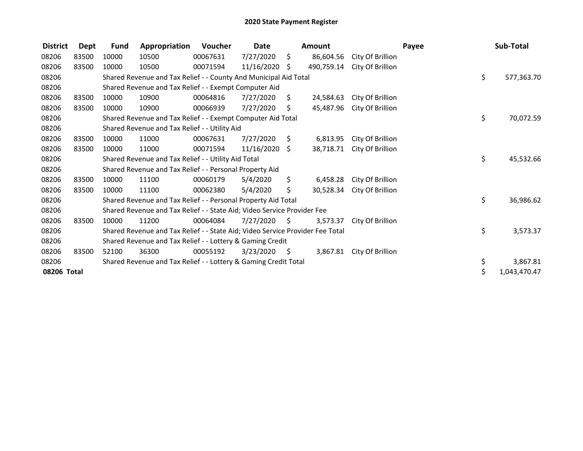| <b>District</b> | Dept  | <b>Fund</b> | Appropriation                                                                 | Voucher  | Date       |      | Amount     |                  | Payee | Sub-Total          |
|-----------------|-------|-------------|-------------------------------------------------------------------------------|----------|------------|------|------------|------------------|-------|--------------------|
| 08206           | 83500 | 10000       | 10500                                                                         | 00067631 | 7/27/2020  | \$   | 86,604.56  | City Of Brillion |       |                    |
| 08206           | 83500 | 10000       | 10500                                                                         | 00071594 | 11/16/2020 | \$   | 490,759.14 | City Of Brillion |       |                    |
| 08206           |       |             | Shared Revenue and Tax Relief - - County And Municipal Aid Total              |          |            |      |            |                  |       | \$<br>577,363.70   |
| 08206           |       |             | Shared Revenue and Tax Relief - - Exempt Computer Aid                         |          |            |      |            |                  |       |                    |
| 08206           | 83500 | 10000       | 10900                                                                         | 00064816 | 7/27/2020  | \$   | 24,584.63  | City Of Brillion |       |                    |
| 08206           | 83500 | 10000       | 10900                                                                         | 00066939 | 7/27/2020  | \$   | 45,487.96  | City Of Brillion |       |                    |
| 08206           |       |             | Shared Revenue and Tax Relief - - Exempt Computer Aid Total                   |          |            |      |            |                  |       | \$<br>70,072.59    |
| 08206           |       |             | Shared Revenue and Tax Relief - - Utility Aid                                 |          |            |      |            |                  |       |                    |
| 08206           | 83500 | 10000       | 11000                                                                         | 00067631 | 7/27/2020  | \$   | 6,813.95   | City Of Brillion |       |                    |
| 08206           | 83500 | 10000       | 11000                                                                         | 00071594 | 11/16/2020 | S.   | 38,718.71  | City Of Brillion |       |                    |
| 08206           |       |             | Shared Revenue and Tax Relief - - Utility Aid Total                           |          |            |      |            |                  |       | \$<br>45,532.66    |
| 08206           |       |             | Shared Revenue and Tax Relief - - Personal Property Aid                       |          |            |      |            |                  |       |                    |
| 08206           | 83500 | 10000       | 11100                                                                         | 00060179 | 5/4/2020   | \$.  | 6,458.28   | City Of Brillion |       |                    |
| 08206           | 83500 | 10000       | 11100                                                                         | 00062380 | 5/4/2020   | \$   | 30,528.34  | City Of Brillion |       |                    |
| 08206           |       |             | Shared Revenue and Tax Relief - - Personal Property Aid Total                 |          |            |      |            |                  |       | \$<br>36,986.62    |
| 08206           |       |             | Shared Revenue and Tax Relief - - State Aid; Video Service Provider Fee       |          |            |      |            |                  |       |                    |
| 08206           | 83500 | 10000       | 11200                                                                         | 00064084 | 7/27/2020  | S.   | 3,573.37   | City Of Brillion |       |                    |
| 08206           |       |             | Shared Revenue and Tax Relief - - State Aid; Video Service Provider Fee Total |          |            |      |            |                  |       | \$<br>3,573.37     |
| 08206           |       |             | Shared Revenue and Tax Relief - - Lottery & Gaming Credit                     |          |            |      |            |                  |       |                    |
| 08206           | 83500 | 52100       | 36300                                                                         | 00055192 | 3/23/2020  | - \$ | 3,867.81   | City Of Brillion |       |                    |
| 08206           |       |             | Shared Revenue and Tax Relief - - Lottery & Gaming Credit Total               |          |            |      |            |                  |       | \$<br>3,867.81     |
| 08206 Total     |       |             |                                                                               |          |            |      |            |                  |       | \$<br>1,043,470.47 |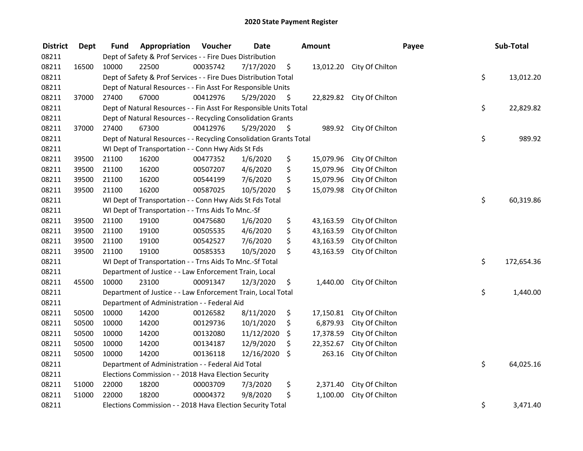| <b>District</b> | <b>Dept</b> | Fund  | Appropriation                                                      | Voucher  | <b>Date</b> |      | Amount    |                           | Payee | Sub-Total  |
|-----------------|-------------|-------|--------------------------------------------------------------------|----------|-------------|------|-----------|---------------------------|-------|------------|
| 08211           |             |       | Dept of Safety & Prof Services - - Fire Dues Distribution          |          |             |      |           |                           |       |            |
| 08211           | 16500       | 10000 | 22500                                                              | 00035742 | 7/17/2020   | \$   |           | 13,012.20 City Of Chilton |       |            |
| 08211           |             |       | Dept of Safety & Prof Services - - Fire Dues Distribution Total    |          |             |      |           |                           | \$    | 13,012.20  |
| 08211           |             |       | Dept of Natural Resources - - Fin Asst For Responsible Units       |          |             |      |           |                           |       |            |
| 08211           | 37000       | 27400 | 67000                                                              | 00412976 | 5/29/2020   | \$   |           | 22,829.82 City Of Chilton |       |            |
| 08211           |             |       | Dept of Natural Resources - - Fin Asst For Responsible Units Total |          |             |      |           |                           | \$    | 22,829.82  |
| 08211           |             |       | Dept of Natural Resources - - Recycling Consolidation Grants       |          |             |      |           |                           |       |            |
| 08211           | 37000       | 27400 | 67300                                                              | 00412976 | 5/29/2020   | - \$ |           | 989.92 City Of Chilton    |       |            |
| 08211           |             |       | Dept of Natural Resources - - Recycling Consolidation Grants Total |          |             |      |           |                           | \$    | 989.92     |
| 08211           |             |       | WI Dept of Transportation - - Conn Hwy Aids St Fds                 |          |             |      |           |                           |       |            |
| 08211           | 39500       | 21100 | 16200                                                              | 00477352 | 1/6/2020    | \$   | 15,079.96 | City Of Chilton           |       |            |
| 08211           | 39500       | 21100 | 16200                                                              | 00507207 | 4/6/2020    | \$   | 15,079.96 | City Of Chilton           |       |            |
| 08211           | 39500       | 21100 | 16200                                                              | 00544199 | 7/6/2020    | \$   | 15,079.96 | City Of Chilton           |       |            |
| 08211           | 39500       | 21100 | 16200                                                              | 00587025 | 10/5/2020   | \$   | 15,079.98 | City Of Chilton           |       |            |
| 08211           |             |       | WI Dept of Transportation - - Conn Hwy Aids St Fds Total           |          |             |      |           |                           | \$    | 60,319.86  |
| 08211           |             |       | WI Dept of Transportation - - Trns Aids To Mnc.-Sf                 |          |             |      |           |                           |       |            |
| 08211           | 39500       | 21100 | 19100                                                              | 00475680 | 1/6/2020    | \$   | 43,163.59 | City Of Chilton           |       |            |
| 08211           | 39500       | 21100 | 19100                                                              | 00505535 | 4/6/2020    | \$   | 43,163.59 | City Of Chilton           |       |            |
| 08211           | 39500       | 21100 | 19100                                                              | 00542527 | 7/6/2020    | \$   | 43,163.59 | City Of Chilton           |       |            |
| 08211           | 39500       | 21100 | 19100                                                              | 00585353 | 10/5/2020   | \$   | 43,163.59 | City Of Chilton           |       |            |
| 08211           |             |       | WI Dept of Transportation - - Trns Aids To Mnc.-Sf Total           |          |             |      |           |                           | \$    | 172,654.36 |
| 08211           |             |       | Department of Justice - - Law Enforcement Train, Local             |          |             |      |           |                           |       |            |
| 08211           | 45500       | 10000 | 23100                                                              | 00091347 | 12/3/2020   | \$   | 1,440.00  | City Of Chilton           |       |            |
| 08211           |             |       | Department of Justice - - Law Enforcement Train, Local Total       |          |             |      |           |                           | \$    | 1,440.00   |
| 08211           |             |       | Department of Administration - - Federal Aid                       |          |             |      |           |                           |       |            |
| 08211           | 50500       | 10000 | 14200                                                              | 00126582 | 8/11/2020   | \$   | 17,150.81 | City Of Chilton           |       |            |
| 08211           | 50500       | 10000 | 14200                                                              | 00129736 | 10/1/2020   | \$   | 6,879.93  | City Of Chilton           |       |            |
| 08211           | 50500       | 10000 | 14200                                                              | 00132080 | 11/12/2020  | \$   | 17,378.59 | City Of Chilton           |       |            |
| 08211           | 50500       | 10000 | 14200                                                              | 00134187 | 12/9/2020   | \$   | 22,352.67 | City Of Chilton           |       |            |
| 08211           | 50500       | 10000 | 14200                                                              | 00136118 | 12/16/2020  | \$   | 263.16    | City Of Chilton           |       |            |
| 08211           |             |       | Department of Administration - - Federal Aid Total                 |          |             |      |           |                           | \$    | 64,025.16  |
| 08211           |             |       | Elections Commission - - 2018 Hava Election Security               |          |             |      |           |                           |       |            |
| 08211           | 51000       | 22000 | 18200                                                              | 00003709 | 7/3/2020    | \$   | 2,371.40  | City Of Chilton           |       |            |
| 08211           | 51000       | 22000 | 18200                                                              | 00004372 | 9/8/2020    | \$   | 1,100.00  | City Of Chilton           |       |            |
| 08211           |             |       | Elections Commission - - 2018 Hava Election Security Total         |          |             |      |           |                           | \$    | 3,471.40   |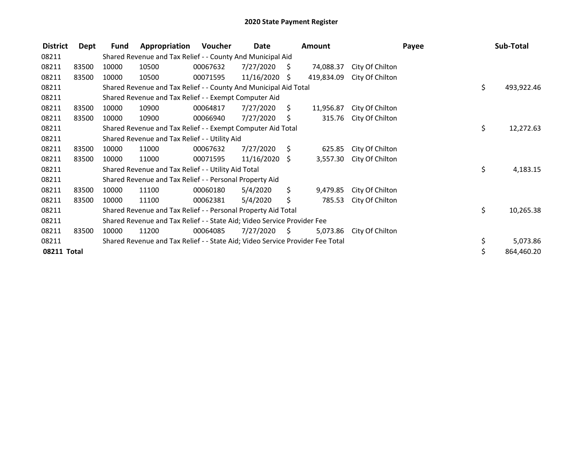| <b>District</b> | Dept  | Fund  | Appropriation                                                                 | Voucher  | Date            |      | <b>Amount</b> |                 | Payee | Sub-Total  |
|-----------------|-------|-------|-------------------------------------------------------------------------------|----------|-----------------|------|---------------|-----------------|-------|------------|
| 08211           |       |       | Shared Revenue and Tax Relief - - County And Municipal Aid                    |          |                 |      |               |                 |       |            |
| 08211           | 83500 | 10000 | 10500                                                                         | 00067632 | 7/27/2020       | Ŝ.   | 74,088.37     | City Of Chilton |       |            |
| 08211           | 83500 | 10000 | 10500                                                                         | 00071595 | 11/16/2020 \$   |      | 419,834.09    | City Of Chilton |       |            |
| 08211           |       |       | Shared Revenue and Tax Relief - - County And Municipal Aid Total              |          |                 |      |               |                 | \$    | 493,922.46 |
| 08211           |       |       | Shared Revenue and Tax Relief - - Exempt Computer Aid                         |          |                 |      |               |                 |       |            |
| 08211           | 83500 | 10000 | 10900                                                                         | 00064817 | 7/27/2020       | Ŝ.   | 11,956.87     | City Of Chilton |       |            |
| 08211           | 83500 | 10000 | 10900                                                                         | 00066940 | 7/27/2020       | \$   | 315.76        | City Of Chilton |       |            |
| 08211           |       |       | Shared Revenue and Tax Relief - - Exempt Computer Aid Total                   |          |                 |      |               |                 | \$    | 12,272.63  |
| 08211           |       |       | Shared Revenue and Tax Relief - - Utility Aid                                 |          |                 |      |               |                 |       |            |
| 08211           | 83500 | 10000 | 11000                                                                         | 00067632 | 7/27/2020       | S.   | 625.85        | City Of Chilton |       |            |
| 08211           | 83500 | 10000 | 11000                                                                         | 00071595 | $11/16/2020$ \$ |      | 3,557.30      | City Of Chilton |       |            |
| 08211           |       |       | Shared Revenue and Tax Relief - - Utility Aid Total                           |          |                 |      |               |                 | \$    | 4,183.15   |
| 08211           |       |       | Shared Revenue and Tax Relief - - Personal Property Aid                       |          |                 |      |               |                 |       |            |
| 08211           | 83500 | 10000 | 11100                                                                         | 00060180 | 5/4/2020        | Ŝ.   | 9,479.85      | City Of Chilton |       |            |
| 08211           | 83500 | 10000 | 11100                                                                         | 00062381 | 5/4/2020        | \$   | 785.53        | City Of Chilton |       |            |
| 08211           |       |       | Shared Revenue and Tax Relief - - Personal Property Aid Total                 |          |                 |      |               |                 | \$    | 10,265.38  |
| 08211           |       |       | Shared Revenue and Tax Relief - - State Aid; Video Service Provider Fee       |          |                 |      |               |                 |       |            |
| 08211           | 83500 | 10000 | 11200                                                                         | 00064085 | 7/27/2020       | - \$ | 5,073.86      | City Of Chilton |       |            |
| 08211           |       |       | Shared Revenue and Tax Relief - - State Aid; Video Service Provider Fee Total |          |                 |      |               |                 | \$    | 5,073.86   |
| 08211 Total     |       |       |                                                                               |          |                 |      |               |                 |       | 864,460.20 |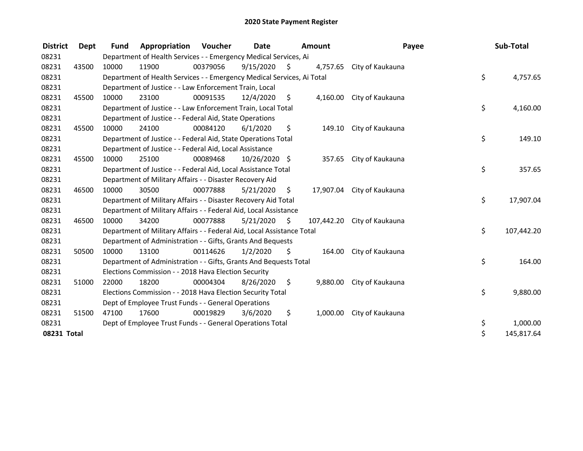| <b>District</b> | Dept  | <b>Fund</b> | Appropriation                                                          | <b>Voucher</b> | <b>Date</b>   |      | <b>Amount</b> | Payee            | Sub-Total        |
|-----------------|-------|-------------|------------------------------------------------------------------------|----------------|---------------|------|---------------|------------------|------------------|
| 08231           |       |             | Department of Health Services - - Emergency Medical Services, Ai       |                |               |      |               |                  |                  |
| 08231           | 43500 | 10000       | 11900                                                                  | 00379056       | 9/15/2020     | - \$ | 4,757.65      | City of Kaukauna |                  |
| 08231           |       |             | Department of Health Services - - Emergency Medical Services, Ai Total |                |               |      |               |                  | \$<br>4,757.65   |
| 08231           |       |             | Department of Justice - - Law Enforcement Train, Local                 |                |               |      |               |                  |                  |
| 08231           | 45500 | 10000       | 23100                                                                  | 00091535       | 12/4/2020     | \$   | 4.160.00      | City of Kaukauna |                  |
| 08231           |       |             | Department of Justice - - Law Enforcement Train, Local Total           |                |               |      |               |                  | \$<br>4,160.00   |
| 08231           |       |             | Department of Justice - - Federal Aid, State Operations                |                |               |      |               |                  |                  |
| 08231           | 45500 | 10000       | 24100                                                                  | 00084120       | 6/1/2020      | \$   | 149.10        | City of Kaukauna |                  |
| 08231           |       |             | Department of Justice - - Federal Aid, State Operations Total          |                |               |      |               |                  | \$<br>149.10     |
| 08231           |       |             | Department of Justice - - Federal Aid, Local Assistance                |                |               |      |               |                  |                  |
| 08231           | 45500 | 10000       | 25100                                                                  | 00089468       | 10/26/2020 \$ |      | 357.65        | City of Kaukauna |                  |
| 08231           |       |             | Department of Justice - - Federal Aid, Local Assistance Total          |                |               |      |               |                  | \$<br>357.65     |
| 08231           |       |             | Department of Military Affairs - - Disaster Recovery Aid               |                |               |      |               |                  |                  |
| 08231           | 46500 | 10000       | 30500                                                                  | 00077888       | 5/21/2020     | \$.  | 17,907.04     | City of Kaukauna |                  |
| 08231           |       |             | Department of Military Affairs - - Disaster Recovery Aid Total         |                |               |      |               |                  | \$<br>17,907.04  |
| 08231           |       |             | Department of Military Affairs - - Federal Aid, Local Assistance       |                |               |      |               |                  |                  |
| 08231           | 46500 | 10000       | 34200                                                                  | 00077888       | 5/21/2020     | Ŝ.   | 107,442.20    | City of Kaukauna |                  |
| 08231           |       |             | Department of Military Affairs - - Federal Aid, Local Assistance Total |                |               |      |               |                  | \$<br>107,442.20 |
| 08231           |       |             | Department of Administration - - Gifts, Grants And Bequests            |                |               |      |               |                  |                  |
| 08231           | 50500 | 10000       | 13100                                                                  | 00114626       | 1/2/2020      | Ś.   | 164.00        | City of Kaukauna |                  |
| 08231           |       |             | Department of Administration - - Gifts, Grants And Bequests Total      |                |               |      |               |                  | \$<br>164.00     |
| 08231           |       |             | Elections Commission - - 2018 Hava Election Security                   |                |               |      |               |                  |                  |
| 08231           | 51000 | 22000       | 18200                                                                  | 00004304       | 8/26/2020     | \$   | 9,880.00      | City of Kaukauna |                  |
| 08231           |       |             | Elections Commission - - 2018 Hava Election Security Total             |                |               |      |               |                  | \$<br>9,880.00   |
| 08231           |       |             | Dept of Employee Trust Funds - - General Operations                    |                |               |      |               |                  |                  |
| 08231           | 51500 | 47100       | 17600                                                                  | 00019829       | 3/6/2020      | \$   | 1,000.00      | City of Kaukauna |                  |
| 08231           |       |             | Dept of Employee Trust Funds - - General Operations Total              |                |               |      |               |                  | \$<br>1,000.00   |
| 08231 Total     |       |             |                                                                        |                |               |      |               |                  | \$<br>145,817.64 |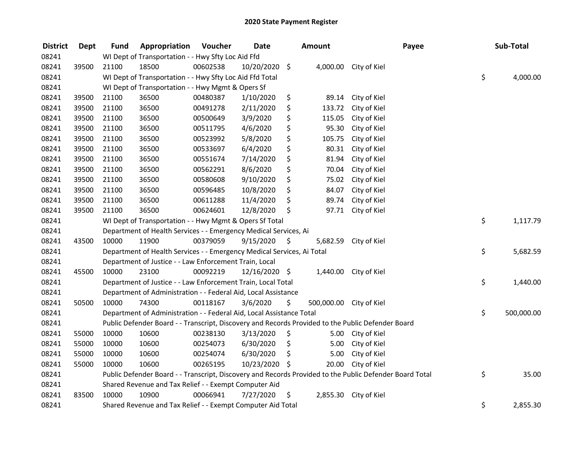| <b>District</b> | Dept  | <b>Fund</b> | Appropriation                                                          | Voucher  | <b>Date</b>   |      | <b>Amount</b> | Payee                                                                                                   | Sub-Total        |
|-----------------|-------|-------------|------------------------------------------------------------------------|----------|---------------|------|---------------|---------------------------------------------------------------------------------------------------------|------------------|
| 08241           |       |             | WI Dept of Transportation - - Hwy Sfty Loc Aid Ffd                     |          |               |      |               |                                                                                                         |                  |
| 08241           | 39500 | 21100       | 18500                                                                  | 00602538 | 10/20/2020 \$ |      |               | 4,000.00 City of Kiel                                                                                   |                  |
| 08241           |       |             | WI Dept of Transportation - - Hwy Sfty Loc Aid Ffd Total               |          |               |      |               |                                                                                                         | \$<br>4,000.00   |
| 08241           |       |             | WI Dept of Transportation - - Hwy Mgmt & Opers Sf                      |          |               |      |               |                                                                                                         |                  |
| 08241           | 39500 | 21100       | 36500                                                                  | 00480387 | 1/10/2020     | \$   | 89.14         | City of Kiel                                                                                            |                  |
| 08241           | 39500 | 21100       | 36500                                                                  | 00491278 | 2/11/2020     | \$   | 133.72        | City of Kiel                                                                                            |                  |
| 08241           | 39500 | 21100       | 36500                                                                  | 00500649 | 3/9/2020      | \$   | 115.05        | City of Kiel                                                                                            |                  |
| 08241           | 39500 | 21100       | 36500                                                                  | 00511795 | 4/6/2020      | \$   | 95.30         | City of Kiel                                                                                            |                  |
| 08241           | 39500 | 21100       | 36500                                                                  | 00523992 | 5/8/2020      | \$   | 105.75        | City of Kiel                                                                                            |                  |
| 08241           | 39500 | 21100       | 36500                                                                  | 00533697 | 6/4/2020      | \$   | 80.31         | City of Kiel                                                                                            |                  |
| 08241           | 39500 | 21100       | 36500                                                                  | 00551674 | 7/14/2020     | \$   | 81.94         | City of Kiel                                                                                            |                  |
| 08241           | 39500 | 21100       | 36500                                                                  | 00562291 | 8/6/2020      | \$   | 70.04         | City of Kiel                                                                                            |                  |
| 08241           | 39500 | 21100       | 36500                                                                  | 00580608 | 9/10/2020     | \$   | 75.02         | City of Kiel                                                                                            |                  |
| 08241           | 39500 | 21100       | 36500                                                                  | 00596485 | 10/8/2020     | \$   | 84.07         | City of Kiel                                                                                            |                  |
| 08241           | 39500 | 21100       | 36500                                                                  | 00611288 | 11/4/2020     | \$   | 89.74         | City of Kiel                                                                                            |                  |
| 08241           | 39500 | 21100       | 36500                                                                  | 00624601 | 12/8/2020     | \$   | 97.71         | City of Kiel                                                                                            |                  |
| 08241           |       |             | WI Dept of Transportation - - Hwy Mgmt & Opers Sf Total                |          |               |      |               |                                                                                                         | \$<br>1,117.79   |
| 08241           |       |             | Department of Health Services - - Emergency Medical Services, Ai       |          |               |      |               |                                                                                                         |                  |
| 08241           | 43500 | 10000       | 11900                                                                  | 00379059 | 9/15/2020     | - \$ | 5,682.59      | City of Kiel                                                                                            |                  |
| 08241           |       |             | Department of Health Services - - Emergency Medical Services, Ai Total |          |               |      |               |                                                                                                         | \$<br>5,682.59   |
| 08241           |       |             | Department of Justice - - Law Enforcement Train, Local                 |          |               |      |               |                                                                                                         |                  |
| 08241           | 45500 | 10000       | 23100                                                                  | 00092219 | 12/16/2020 \$ |      |               | 1,440.00 City of Kiel                                                                                   |                  |
| 08241           |       |             | Department of Justice - - Law Enforcement Train, Local Total           |          |               |      |               |                                                                                                         | \$<br>1,440.00   |
| 08241           |       |             | Department of Administration - - Federal Aid, Local Assistance         |          |               |      |               |                                                                                                         |                  |
| 08241           | 50500 | 10000       | 74300                                                                  | 00118167 | 3/6/2020      | \$   | 500,000.00    | City of Kiel                                                                                            |                  |
| 08241           |       |             | Department of Administration - - Federal Aid, Local Assistance Total   |          |               |      |               |                                                                                                         | \$<br>500,000.00 |
| 08241           |       |             |                                                                        |          |               |      |               | Public Defender Board - - Transcript, Discovery and Records Provided to the Public Defender Board       |                  |
| 08241           | 55000 | 10000       | 10600                                                                  | 00238130 | 3/13/2020     | \$   | 5.00          | City of Kiel                                                                                            |                  |
| 08241           | 55000 | 10000       | 10600                                                                  | 00254073 | 6/30/2020     | \$   | 5.00          | City of Kiel                                                                                            |                  |
| 08241           | 55000 | 10000       | 10600                                                                  | 00254074 | 6/30/2020     | \$   | 5.00          | City of Kiel                                                                                            |                  |
| 08241           | 55000 | 10000       | 10600                                                                  | 00265195 | 10/23/2020 \$ |      | 20.00         | City of Kiel                                                                                            |                  |
| 08241           |       |             |                                                                        |          |               |      |               | Public Defender Board - - Transcript, Discovery and Records Provided to the Public Defender Board Total | \$<br>35.00      |
| 08241           |       |             | Shared Revenue and Tax Relief - - Exempt Computer Aid                  |          |               |      |               |                                                                                                         |                  |
| 08241           | 83500 | 10000       | 10900                                                                  | 00066941 | 7/27/2020     | \$   | 2,855.30      | City of Kiel                                                                                            |                  |
| 08241           |       |             | Shared Revenue and Tax Relief - - Exempt Computer Aid Total            |          |               |      |               |                                                                                                         | \$<br>2,855.30   |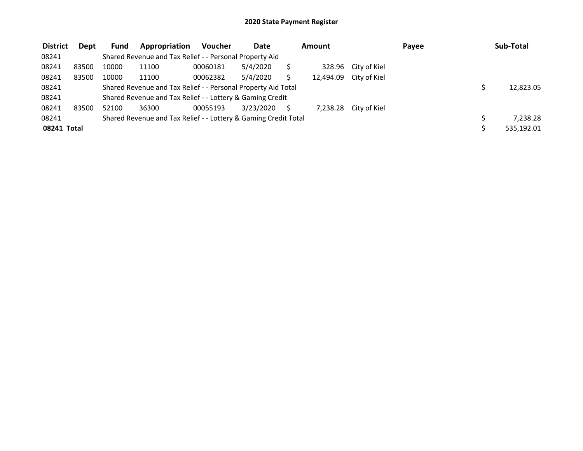| <b>District</b> | <b>Dept</b> | Fund  | Appropriation                                                   | <b>Voucher</b> | Date      | Amount |                        | Payee | Sub-Total  |
|-----------------|-------------|-------|-----------------------------------------------------------------|----------------|-----------|--------|------------------------|-------|------------|
| 08241           |             |       | Shared Revenue and Tax Relief - - Personal Property Aid         |                |           |        |                        |       |            |
| 08241           | 83500       | 10000 | 11100                                                           | 00060181       | 5/4/2020  |        | 328.96 City of Kiel    |       |            |
| 08241           | 83500       | 10000 | 11100                                                           | 00062382       | 5/4/2020  |        | 12,494.09 City of Kiel |       |            |
| 08241           |             |       | Shared Revenue and Tax Relief - - Personal Property Aid Total   |                |           |        |                        |       | 12,823.05  |
| 08241           |             |       | Shared Revenue and Tax Relief - - Lottery & Gaming Credit       |                |           |        |                        |       |            |
| 08241           | 83500       | 52100 | 36300                                                           | 00055193       | 3/23/2020 |        | 7,238.28 City of Kiel  |       |            |
| 08241           |             |       | Shared Revenue and Tax Relief - - Lottery & Gaming Credit Total |                |           |        |                        |       | 7.238.28   |
| 08241 Total     |             |       |                                                                 |                |           |        |                        |       | 535,192.01 |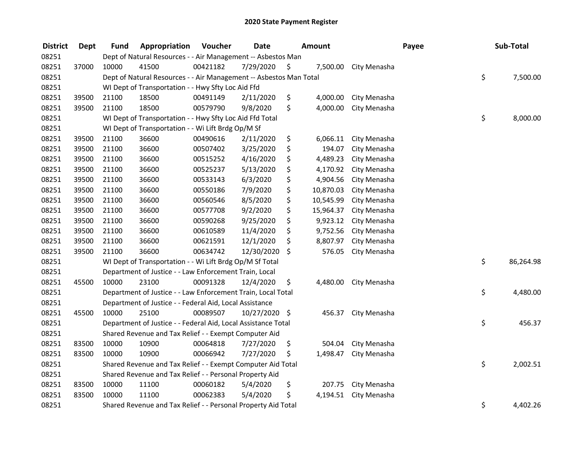| <b>District</b> | <b>Dept</b> | <b>Fund</b>                                                  | Appropriation                                                      | Voucher  | <b>Date</b>   |    | Amount    |              | Payee |    | Sub-Total |
|-----------------|-------------|--------------------------------------------------------------|--------------------------------------------------------------------|----------|---------------|----|-----------|--------------|-------|----|-----------|
| 08251           |             | Dept of Natural Resources - - Air Management -- Asbestos Man |                                                                    |          |               |    |           |              |       |    |           |
| 08251           | 37000       | 10000                                                        | 41500                                                              | 00421182 | 7/29/2020     | \$ | 7,500.00  | City Menasha |       |    |           |
| 08251           |             |                                                              | Dept of Natural Resources - - Air Management -- Asbestos Man Total |          |               |    |           |              |       |    | 7,500.00  |
| 08251           |             | WI Dept of Transportation - - Hwy Sfty Loc Aid Ffd           |                                                                    |          |               |    |           |              |       |    |           |
| 08251           | 39500       | 21100                                                        | 18500                                                              | 00491149 | 2/11/2020     | \$ | 4,000.00  | City Menasha |       |    |           |
| 08251           | 39500       | 21100                                                        | 18500                                                              | 00579790 | 9/8/2020      | \$ | 4,000.00  | City Menasha |       |    |           |
| 08251           |             |                                                              | WI Dept of Transportation - - Hwy Sfty Loc Aid Ffd Total           |          |               |    |           |              |       | \$ | 8,000.00  |
| 08251           |             |                                                              | WI Dept of Transportation - - Wi Lift Brdg Op/M Sf                 |          |               |    |           |              |       |    |           |
| 08251           | 39500       | 21100                                                        | 36600                                                              | 00490616 | 2/11/2020     | \$ | 6,066.11  | City Menasha |       |    |           |
| 08251           | 39500       | 21100                                                        | 36600                                                              | 00507402 | 3/25/2020     | \$ | 194.07    | City Menasha |       |    |           |
| 08251           | 39500       | 21100                                                        | 36600                                                              | 00515252 | 4/16/2020     | \$ | 4,489.23  | City Menasha |       |    |           |
| 08251           | 39500       | 21100                                                        | 36600                                                              | 00525237 | 5/13/2020     | \$ | 4,170.92  | City Menasha |       |    |           |
| 08251           | 39500       | 21100                                                        | 36600                                                              | 00533143 | 6/3/2020      | \$ | 4,904.56  | City Menasha |       |    |           |
| 08251           | 39500       | 21100                                                        | 36600                                                              | 00550186 | 7/9/2020      | \$ | 10,870.03 | City Menasha |       |    |           |
| 08251           | 39500       | 21100                                                        | 36600                                                              | 00560546 | 8/5/2020      | \$ | 10,545.99 | City Menasha |       |    |           |
| 08251           | 39500       | 21100                                                        | 36600                                                              | 00577708 | 9/2/2020      | \$ | 15,964.37 | City Menasha |       |    |           |
| 08251           | 39500       | 21100                                                        | 36600                                                              | 00590268 | 9/25/2020     | \$ | 9,923.12  | City Menasha |       |    |           |
| 08251           | 39500       | 21100                                                        | 36600                                                              | 00610589 | 11/4/2020     | \$ | 9,752.56  | City Menasha |       |    |           |
| 08251           | 39500       | 21100                                                        | 36600                                                              | 00621591 | 12/1/2020     | \$ | 8,807.97  | City Menasha |       |    |           |
| 08251           | 39500       | 21100                                                        | 36600                                                              | 00634742 | 12/30/2020    | \$ | 576.05    | City Menasha |       |    |           |
| 08251           |             | WI Dept of Transportation - - Wi Lift Brdg Op/M Sf Total     |                                                                    |          |               |    |           |              |       | \$ | 86,264.98 |
| 08251           |             | Department of Justice - - Law Enforcement Train, Local       |                                                                    |          |               |    |           |              |       |    |           |
| 08251           | 45500       | 10000                                                        | 23100                                                              | 00091328 | 12/4/2020     | \$ | 4,480.00  | City Menasha |       |    |           |
| 08251           |             |                                                              | Department of Justice - - Law Enforcement Train, Local Total       |          |               |    |           |              |       | \$ | 4,480.00  |
| 08251           |             | Department of Justice - - Federal Aid, Local Assistance      |                                                                    |          |               |    |           |              |       |    |           |
| 08251           | 45500       | 10000                                                        | 25100                                                              | 00089507 | 10/27/2020 \$ |    | 456.37    | City Menasha |       |    |           |
| 08251           |             |                                                              | Department of Justice - - Federal Aid, Local Assistance Total      |          |               |    |           |              |       | \$ | 456.37    |
| 08251           |             |                                                              | Shared Revenue and Tax Relief - - Exempt Computer Aid              |          |               |    |           |              |       |    |           |
| 08251           | 83500       | 10000                                                        | 10900                                                              | 00064818 | 7/27/2020     | \$ | 504.04    | City Menasha |       |    |           |
| 08251           | 83500       | 10000                                                        | 10900                                                              | 00066942 | 7/27/2020     | \$ | 1,498.47  | City Menasha |       |    |           |
| 08251           |             |                                                              | Shared Revenue and Tax Relief - - Exempt Computer Aid Total        |          |               |    |           |              |       | \$ | 2,002.51  |
| 08251           |             | Shared Revenue and Tax Relief - - Personal Property Aid      |                                                                    |          |               |    |           |              |       |    |           |
| 08251           | 83500       | 10000                                                        | 11100                                                              | 00060182 | 5/4/2020      | \$ | 207.75    | City Menasha |       |    |           |
| 08251           | 83500       | 10000                                                        | 11100                                                              | 00062383 | 5/4/2020      | \$ | 4,194.51  | City Menasha |       |    |           |
| 08251           |             |                                                              | Shared Revenue and Tax Relief - - Personal Property Aid Total      |          |               |    |           |              |       | \$ | 4,402.26  |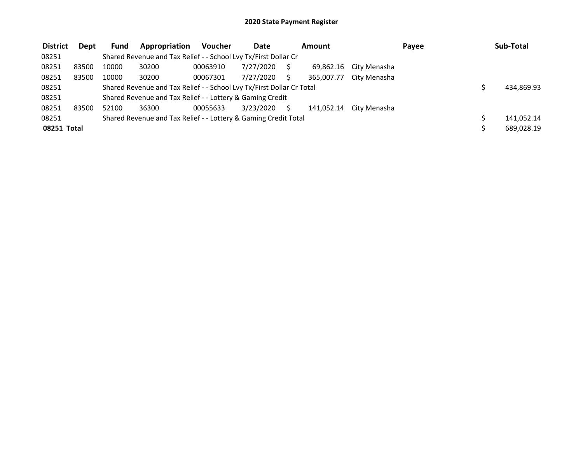| <b>District</b> | <b>Dept</b> | <b>Fund</b>                                               | Appropriation                                                         | <b>Voucher</b> | <b>Date</b> |  | Amount     |                        | Payee |  | Sub-Total  |
|-----------------|-------------|-----------------------------------------------------------|-----------------------------------------------------------------------|----------------|-------------|--|------------|------------------------|-------|--|------------|
| 08251           |             |                                                           | Shared Revenue and Tax Relief - - School Lvy Tx/First Dollar Cr       |                |             |  |            |                        |       |  |            |
| 08251           | 83500       | 10000                                                     | 30200                                                                 | 00063910       | 7/27/2020   |  |            | 69,862.16 City Menasha |       |  |            |
| 08251           | 83500       | 10000                                                     | 30200                                                                 | 00067301       | 7/27/2020   |  | 365.007.77 | City Menasha           |       |  |            |
| 08251           |             |                                                           | Shared Revenue and Tax Relief - - School Lvy Tx/First Dollar Cr Total |                |             |  |            |                        |       |  | 434,869.93 |
| 08251           |             | Shared Revenue and Tax Relief - - Lottery & Gaming Credit |                                                                       |                |             |  |            |                        |       |  |            |
| 08251           | 83500       | 52100                                                     | 36300                                                                 | 00055633       | 3/23/2020   |  | 141.052.14 | City Menasha           |       |  |            |
| 08251           |             |                                                           | Shared Revenue and Tax Relief - - Lottery & Gaming Credit Total       |                |             |  |            |                        |       |  | 141,052.14 |
| 08251 Total     |             |                                                           |                                                                       |                |             |  |            |                        |       |  | 689,028.19 |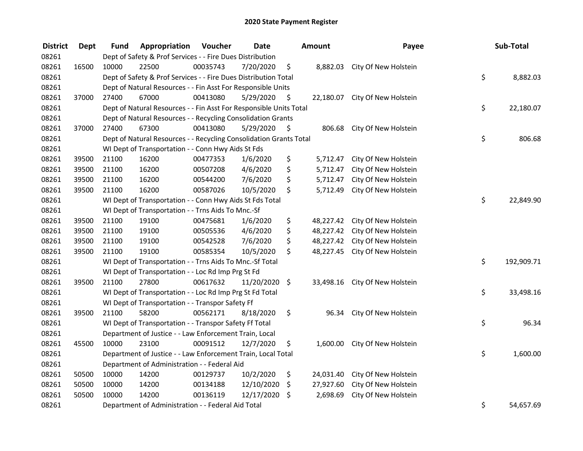| <b>District</b> | <b>Dept</b> | Fund                                                         | Appropriation                                                      | Voucher  | <b>Date</b> |     | Amount    | Payee                          |    | Sub-Total  |
|-----------------|-------------|--------------------------------------------------------------|--------------------------------------------------------------------|----------|-------------|-----|-----------|--------------------------------|----|------------|
| 08261           |             | Dept of Safety & Prof Services - - Fire Dues Distribution    |                                                                    |          |             |     |           |                                |    |            |
| 08261           | 16500       | 10000                                                        | 22500                                                              | 00035743 | 7/20/2020   | \$  |           | 8,882.03 City Of New Holstein  |    |            |
| 08261           |             |                                                              | Dept of Safety & Prof Services - - Fire Dues Distribution Total    |          |             |     |           |                                |    |            |
| 08261           |             | Dept of Natural Resources - - Fin Asst For Responsible Units |                                                                    |          |             |     |           |                                |    |            |
| 08261           | 37000       | 27400                                                        | 67000                                                              | 00413080 | 5/29/2020   | \$  |           | 22,180.07 City Of New Holstein |    |            |
| 08261           |             |                                                              | Dept of Natural Resources - - Fin Asst For Responsible Units Total |          |             |     |           |                                | \$ | 22,180.07  |
| 08261           |             |                                                              | Dept of Natural Resources - - Recycling Consolidation Grants       |          |             |     |           |                                |    |            |
| 08261           | 37000       | 27400                                                        | 67300                                                              | 00413080 | 5/29/2020   | -\$ | 806.68    | City Of New Holstein           |    |            |
| 08261           |             |                                                              | Dept of Natural Resources - - Recycling Consolidation Grants Total |          |             |     |           |                                | \$ | 806.68     |
| 08261           |             |                                                              | WI Dept of Transportation - - Conn Hwy Aids St Fds                 |          |             |     |           |                                |    |            |
| 08261           | 39500       | 21100                                                        | 16200                                                              | 00477353 | 1/6/2020    | \$  | 5,712.47  | City Of New Holstein           |    |            |
| 08261           | 39500       | 21100                                                        | 16200                                                              | 00507208 | 4/6/2020    | \$  | 5,712.47  | City Of New Holstein           |    |            |
| 08261           | 39500       | 21100                                                        | 16200                                                              | 00544200 | 7/6/2020    | \$  | 5,712.47  | City Of New Holstein           |    |            |
| 08261           | 39500       | 21100                                                        | 16200                                                              | 00587026 | 10/5/2020   | \$  | 5,712.49  | City Of New Holstein           |    |            |
| 08261           |             |                                                              | WI Dept of Transportation - - Conn Hwy Aids St Fds Total           |          |             |     |           |                                | \$ | 22,849.90  |
| 08261           |             |                                                              | WI Dept of Transportation - - Trns Aids To Mnc.-Sf                 |          |             |     |           |                                |    |            |
| 08261           | 39500       | 21100                                                        | 19100                                                              | 00475681 | 1/6/2020    | \$  | 48,227.42 | City Of New Holstein           |    |            |
| 08261           | 39500       | 21100                                                        | 19100                                                              | 00505536 | 4/6/2020    | \$  | 48,227.42 | City Of New Holstein           |    |            |
| 08261           | 39500       | 21100                                                        | 19100                                                              | 00542528 | 7/6/2020    | \$  | 48,227.42 | City Of New Holstein           |    |            |
| 08261           | 39500       | 21100                                                        | 19100                                                              | 00585354 | 10/5/2020   | \$  | 48,227.45 | City Of New Holstein           |    |            |
| 08261           |             |                                                              | WI Dept of Transportation - - Trns Aids To Mnc.-Sf Total           |          |             |     |           |                                | \$ | 192,909.71 |
| 08261           |             |                                                              | WI Dept of Transportation - - Loc Rd Imp Prg St Fd                 |          |             |     |           |                                |    |            |
| 08261           | 39500       | 21100                                                        | 27800                                                              | 00617632 | 11/20/2020  | \$  | 33,498.16 | City Of New Holstein           |    |            |
| 08261           |             |                                                              | WI Dept of Transportation - - Loc Rd Imp Prg St Fd Total           |          |             |     |           |                                | \$ | 33,498.16  |
| 08261           |             |                                                              | WI Dept of Transportation - - Transpor Safety Ff                   |          |             |     |           |                                |    |            |
| 08261           | 39500       | 21100                                                        | 58200                                                              | 00562171 | 8/18/2020   | \$  | 96.34     | City Of New Holstein           |    |            |
| 08261           |             |                                                              | WI Dept of Transportation - - Transpor Safety Ff Total             |          |             |     |           |                                | \$ | 96.34      |
| 08261           |             |                                                              | Department of Justice - - Law Enforcement Train, Local             |          |             |     |           |                                |    |            |
| 08261           | 45500       | 10000                                                        | 23100                                                              | 00091512 | 12/7/2020   | \$  | 1,600.00  | City Of New Holstein           |    |            |
| 08261           |             |                                                              | Department of Justice - - Law Enforcement Train, Local Total       |          |             |     |           |                                | \$ | 1,600.00   |
| 08261           |             |                                                              | Department of Administration - - Federal Aid                       |          |             |     |           |                                |    |            |
| 08261           | 50500       | 10000                                                        | 14200                                                              | 00129737 | 10/2/2020   | \$  | 24,031.40 | City Of New Holstein           |    |            |
| 08261           | 50500       | 10000                                                        | 14200                                                              | 00134188 | 12/10/2020  | \$  | 27,927.60 | City Of New Holstein           |    |            |
| 08261           | 50500       | 10000                                                        | 14200                                                              | 00136119 | 12/17/2020  | \$  | 2,698.69  | City Of New Holstein           |    |            |
| 08261           |             |                                                              | Department of Administration - - Federal Aid Total                 |          |             |     |           |                                | \$ | 54,657.69  |